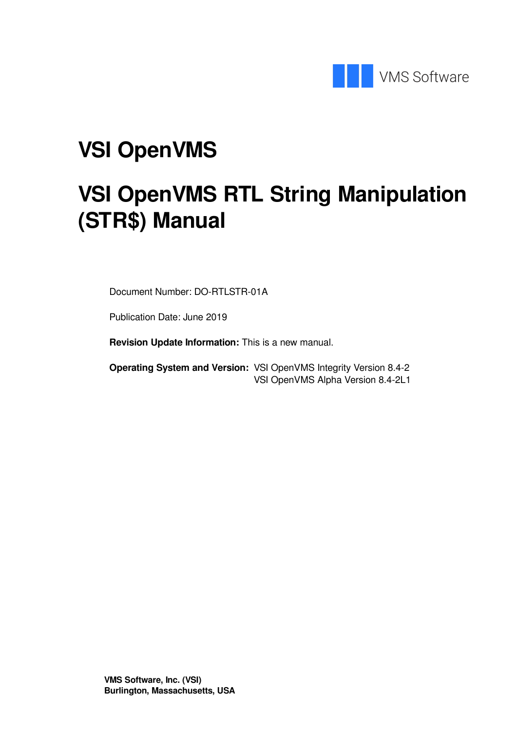

# **VSI OpenVMS**

# **VSI OpenVMS RTL String Manipulation (STR\$) Manual**

Document Number: DO-RTLSTR-01A

Publication Date: June 2019

**Revision Update Information:** This is a new manual.

**Operating System and Version:** VSI OpenVMS Integrity Version 8.4-2 VSI OpenVMS Alpha Version 8.4-2L1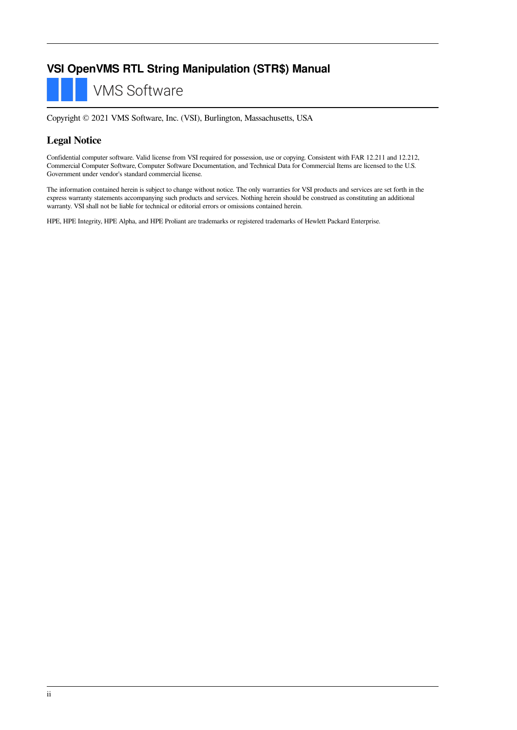### **VSI OpenVMS RTL String Manipulation (STR\$) Manual**

**VMS Software** 

Copyright © 2021 VMS Software, Inc. (VSI), Burlington, Massachusetts, USA

### **Legal Notice**

Confidential computer software. Valid license from VSI required for possession, use or copying. Consistent with FAR 12.211 and 12.212, Commercial Computer Software, Computer Software Documentation, and Technical Data for Commercial Items are licensed to the U.S. Government under vendor's standard commercial license.

The information contained herein is subject to change without notice. The only warranties for VSI products and services are set forth in the express warranty statements accompanying such products and services. Nothing herein should be construed as constituting an additional warranty. VSI shall not be liable for technical or editorial errors or omissions contained herein.

HPE, HPE Integrity, HPE Alpha, and HPE Proliant are trademarks or registered trademarks of Hewlett Packard Enterprise.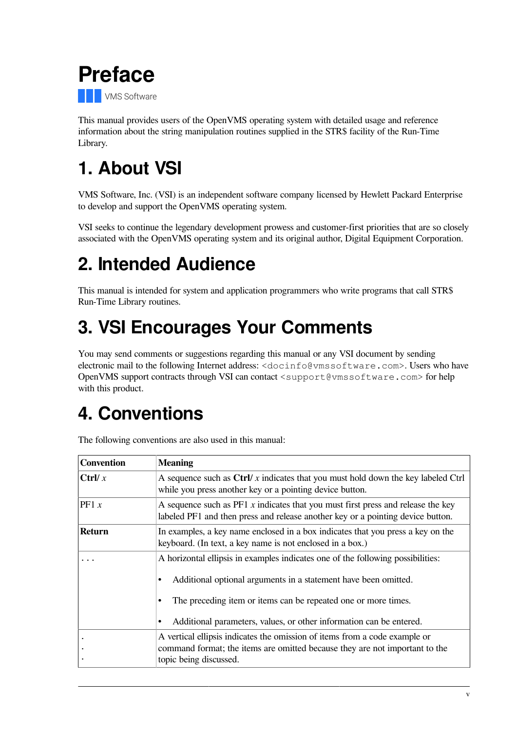<span id="page-4-0"></span>

This manual provides users of the OpenVMS operating system with detailed usage and reference information about the string manipulation routines supplied in the STR\$ facility of the Run-Time Library.

# <span id="page-4-1"></span>**1. About VSI**

VMS Software, Inc. (VSI) is an independent software company licensed by Hewlett Packard Enterprise to develop and support the OpenVMS operating system.

VSI seeks to continue the legendary development prowess and customer-first priorities that are so closely associated with the OpenVMS operating system and its original author, Digital Equipment Corporation.

# <span id="page-4-2"></span>**2. Intended Audience**

This manual is intended for system and application programmers who write programs that call STR\$ Run-Time Library routines.

# <span id="page-4-3"></span>**3. VSI Encourages Your Comments**

You may send comments or suggestions regarding this manual or any VSI document by sending electronic mail to the following Internet address: <docinfo@vmssoftware.com>. Users who have OpenVMS support contracts through VSI can contact <support@vmssoftware.com> for help with this product.

# <span id="page-4-4"></span>**4. Conventions**

| <b>Convention</b> | <b>Meaning</b>                                                                                                                                                                                                                                                                                             |
|-------------------|------------------------------------------------------------------------------------------------------------------------------------------------------------------------------------------------------------------------------------------------------------------------------------------------------------|
| Ctrl/ $x$         | A sequence such as $\frac{C}{V}$ x indicates that you must hold down the key labeled $C$ trl<br>while you press another key or a pointing device button.                                                                                                                                                   |
| PF1 x             | A sequence such as $P F1 x$ indicates that you must first press and release the key<br>labeled PF1 and then press and release another key or a pointing device button.                                                                                                                                     |
| <b>Return</b>     | In examples, a key name enclosed in a box indicates that you press a key on the<br>keyboard. (In text, a key name is not enclosed in a box.)                                                                                                                                                               |
|                   | A horizontal ellipsis in examples indicates one of the following possibilities:<br>Additional optional arguments in a statement have been omitted.<br>٠<br>The preceding item or items can be repeated one or more times.<br>٠<br>Additional parameters, values, or other information can be entered.<br>٠ |
|                   | A vertical ellipsis indicates the omission of items from a code example or<br>command format; the items are omitted because they are not important to the<br>topic being discussed.                                                                                                                        |

The following conventions are also used in this manual: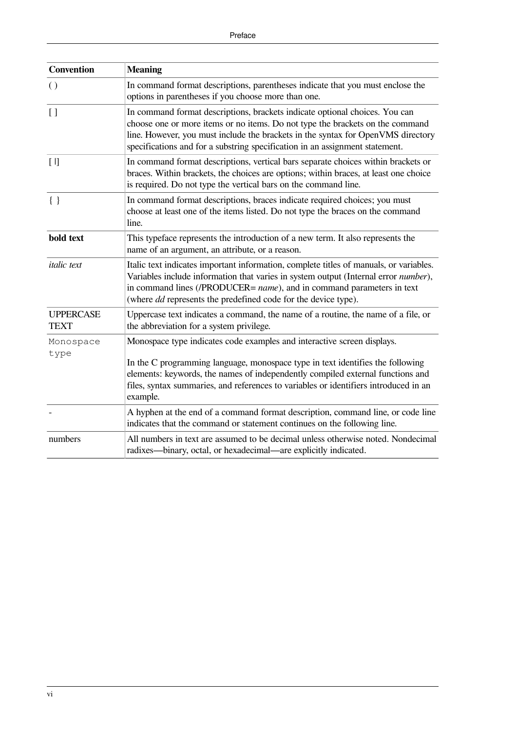| <b>Convention</b>               | <b>Meaning</b>                                                                                                                                                                                                                                                                                                                                  |
|---------------------------------|-------------------------------------------------------------------------------------------------------------------------------------------------------------------------------------------------------------------------------------------------------------------------------------------------------------------------------------------------|
| $\left( \right)$                | In command format descriptions, parentheses indicate that you must enclose the<br>options in parentheses if you choose more than one.                                                                                                                                                                                                           |
| $\lceil$ $\rceil$               | In command format descriptions, brackets indicate optional choices. You can<br>choose one or more items or no items. Do not type the brackets on the command<br>line. However, you must include the brackets in the syntax for OpenVMS directory<br>specifications and for a substring specification in an assignment statement.                |
| $[ \ ]$                         | In command format descriptions, vertical bars separate choices within brackets or<br>braces. Within brackets, the choices are options; within braces, at least one choice<br>is required. Do not type the vertical bars on the command line.                                                                                                    |
| $\{\ \}$                        | In command format descriptions, braces indicate required choices; you must<br>choose at least one of the items listed. Do not type the braces on the command<br>line.                                                                                                                                                                           |
| bold text                       | This typeface represents the introduction of a new term. It also represents the<br>name of an argument, an attribute, or a reason.                                                                                                                                                                                                              |
| <i>italic</i> text              | Italic text indicates important information, complete titles of manuals, or variables.<br>Variables include information that varies in system output (Internal error number),<br>in command lines (/PRODUCER= name), and in command parameters in text<br>(where <i>dd</i> represents the predefined code for the device type).                 |
| <b>UPPERCASE</b><br><b>TEXT</b> | Uppercase text indicates a command, the name of a routine, the name of a file, or<br>the abbreviation for a system privilege.                                                                                                                                                                                                                   |
| Monospace<br>type               | Monospace type indicates code examples and interactive screen displays.<br>In the C programming language, monospace type in text identifies the following<br>elements: keywords, the names of independently compiled external functions and<br>files, syntax summaries, and references to variables or identifiers introduced in an<br>example. |
|                                 | A hyphen at the end of a command format description, command line, or code line<br>indicates that the command or statement continues on the following line.                                                                                                                                                                                     |
| numbers                         | All numbers in text are assumed to be decimal unless otherwise noted. Nondecimal<br>radixes—binary, octal, or hexadecimal—are explicitly indicated.                                                                                                                                                                                             |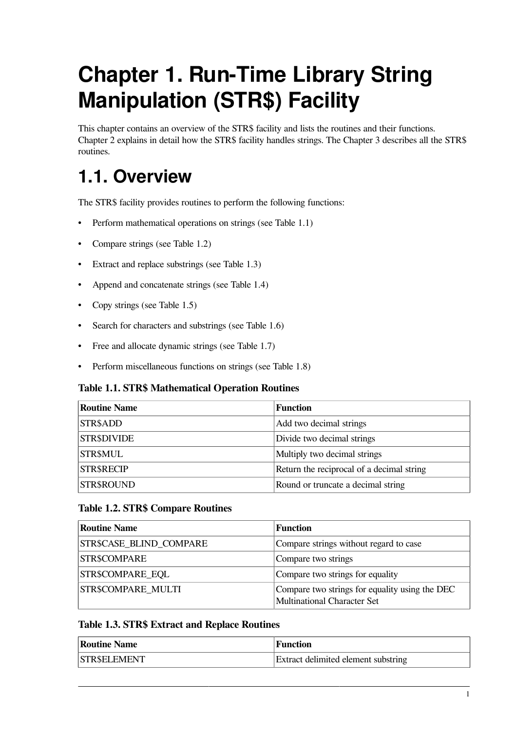# <span id="page-6-0"></span>**Chapter 1. Run-Time Library String Manipulation (STR\$) Facility**

This chapter contains an overview of the STR\$ facility and lists the routines and their functions. [Chapter](#page-10-0) 2 explains in detail how the STR\$ facility handles strings. The [Chapter](#page-24-0) 3 describes all the STR\$ routines.

# <span id="page-6-1"></span>**1.1. Overview**

The STR\$ facility provides routines to perform the following functions:

- Perform mathematical operations on strings (see [Table](#page-6-2) 1.1)
- Compare strings (see [Table](#page-6-3) 1.2)
- Extract and replace substrings (see [Table](#page-6-4) 1.3)
- Append and concatenate strings (see [Table](#page-7-0) 1.4)
- Copy strings (see [Table](#page-7-1) 1.5)
- Search for characters and substrings (see [Table](#page-7-2) 1.6)
- Free and allocate dynamic strings (see [Table](#page-7-3) 1.7)
- Perform miscellaneous functions on strings (see [Table](#page-7-4) 1.8)

### <span id="page-6-2"></span>**Table 1.1. STR\$ Mathematical Operation Routines**

| <b>Routine Name</b> | <b>Function</b>                           |
|---------------------|-------------------------------------------|
| STR\$ADD            | Add two decimal strings                   |
| STR\$DIVIDE         | Divide two decimal strings                |
| STR\$MUL            | Multiply two decimal strings              |
| <b>STR\$RECIP</b>   | Return the reciprocal of a decimal string |
| STR\$ROUND          | Round or truncate a decimal string        |

### <span id="page-6-3"></span>**Table 1.2. STR\$ Compare Routines**

| <b>Routine Name</b>       | <b>Function</b>                                                                      |
|---------------------------|--------------------------------------------------------------------------------------|
| STR\$CASE_BLIND_COMPARE   | Compare strings without regard to case                                               |
| <b>STR\$COMPARE</b>       | Compare two strings                                                                  |
| <b>STR\$COMPARE EQL</b>   | Compare two strings for equality                                                     |
| <b>STR\$COMPARE MULTI</b> | Compare two strings for equality using the DEC<br><b>Multinational Character Set</b> |

### <span id="page-6-4"></span>**Table 1.3. STR\$ Extract and Replace Routines**

| <b>Routine Name</b> | <b>Function</b>                            |
|---------------------|--------------------------------------------|
| <b>STR\$ELEMENT</b> | <b>Extract delimited element substring</b> |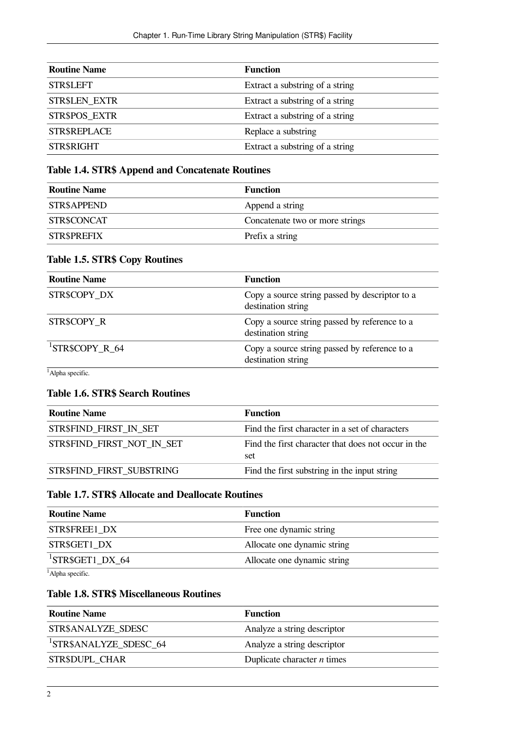| <b>Routine Name</b>  | <b>Function</b>                 |
|----------------------|---------------------------------|
| <b>STR\$LEFT</b>     | Extract a substring of a string |
| <b>STR\$LEN EXTR</b> | Extract a substring of a string |
| STR\$POS_EXTR        | Extract a substring of a string |
| STR\$REPLACE         | Replace a substring             |
| STR\$RIGHT           | Extract a substring of a string |

### <span id="page-7-0"></span>**Table 1.4. STR\$ Append and Concatenate Routines**

| <b>Routine Name</b> | Function                        |
|---------------------|---------------------------------|
| <b>STR\$APPEND</b>  | Append a string                 |
| STR\$CONCAT         | Concatenate two or more strings |
| <b>STR\$PREFIX</b>  | Prefix a string                 |

### <span id="page-7-1"></span>**Table 1.5. STR\$ Copy Routines**

| <b>Routine Name</b> | <b>Function</b>                                                      |
|---------------------|----------------------------------------------------------------------|
| STR\$COPY DX        | Copy a source string passed by descriptor to a<br>destination string |
| STR\$COPY R         | Copy a source string passed by reference to a<br>destination string  |
| $^1$ STR\$COPY_R_64 | Copy a source string passed by reference to a<br>destination string  |

<span id="page-7-2"></span> $1$ Alpha specific.

### **Table 1.6. STR\$ Search Routines**

| <b>Routine Name</b>              | Function                                                   |
|----------------------------------|------------------------------------------------------------|
| <b>STR\$FIND FIRST IN SET</b>    | Find the first character in a set of characters            |
| STR\$FIND FIRST NOT IN SET       | Find the first character that does not occur in the<br>set |
| <b>STR\$FIND FIRST SUBSTRING</b> | Find the first substring in the input string               |

### <span id="page-7-3"></span>**Table 1.7. STR\$ Allocate and Deallocate Routines**

| <b>Routine Name</b>          | Function                    |
|------------------------------|-----------------------------|
| <b>STR\$FREE1 DX</b>         | Free one dynamic string     |
| STR\$GET1 DX                 | Allocate one dynamic string |
| <sup>1</sup> STR\$GET1 DX 64 | Allocate one dynamic string |
| مصاحبا                       |                             |

<span id="page-7-4"></span><sup>1</sup>Alpha specific.

### **Table 1.8. STR\$ Miscellaneous Routines**

| Routine Name                       | Function                      |
|------------------------------------|-------------------------------|
| STR\$ANALYZE SDESC                 | Analyze a string descriptor   |
| <sup>1</sup> STR\$ANALYZE SDESC 64 | Analyze a string descriptor   |
| <b>STR\$DUPL CHAR</b>              | Duplicate character $n$ times |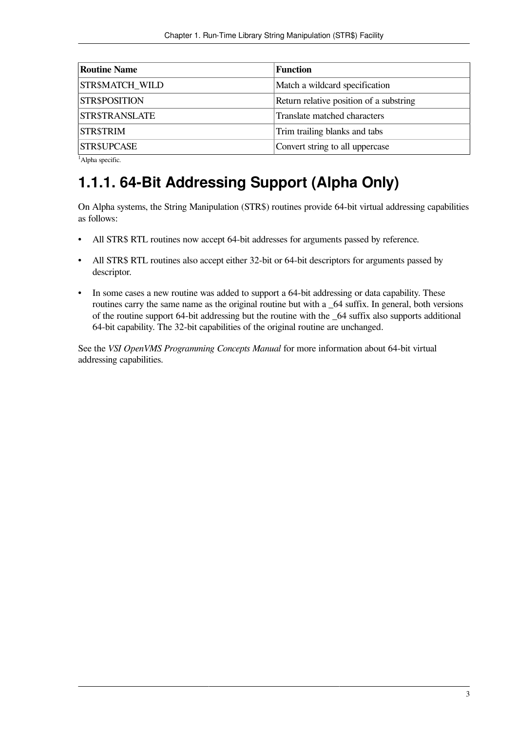| <b>Routine Name</b> | <b>Function</b>                         |
|---------------------|-----------------------------------------|
| STR\$MATCH WILD     | Match a wildcard specification          |
| STR\$POSITION       | Return relative position of a substring |
| STR\$TRANSLATE      | Translate matched characters            |
| STR\$TRIM           | Trim trailing blanks and tabs           |
| STR\$UPCASE         | Convert string to all uppercase         |
|                     |                                         |

<span id="page-8-0"></span> $<sup>1</sup>$ Alpha specific.</sup>

# **1.1.1. 64-Bit Addressing Support (Alpha Only)**

On Alpha systems, the String Manipulation (STR\$) routines provide 64-bit virtual addressing capabilities as follows:

- All STR\$ RTL routines now accept 64-bit addresses for arguments passed by reference.
- All STR\$ RTL routines also accept either 32-bit or 64-bit descriptors for arguments passed by descriptor.
- In some cases a new routine was added to support a 64-bit addressing or data capability. These routines carry the same name as the original routine but with a  $\angle 64$  suffix. In general, both versions of the routine support 64-bit addressing but the routine with the \_64 suffix also supports additional 64-bit capability. The 32-bit capabilities of the original routine are unchanged.

See the *VSI OpenVMS Programming Concepts Manual* for more information about 64-bit virtual addressing capabilities.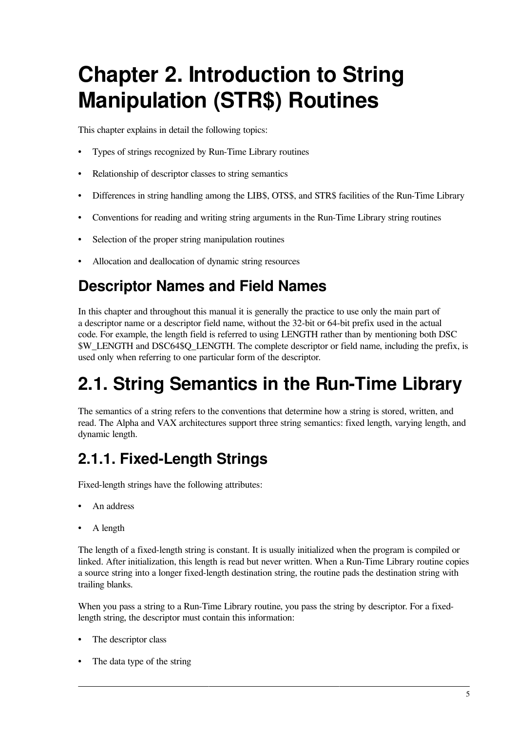# <span id="page-10-0"></span>**Chapter 2. Introduction to String Manipulation (STR\$) Routines**

This chapter explains in detail the following topics:

- Types of strings recognized by Run-Time Library routines
- Relationship of descriptor classes to string semantics
- Differences in string handling among the LIB\$, OTS\$, and STR\$ facilities of the Run-Time Library
- Conventions for reading and writing string arguments in the Run-Time Library string routines
- Selection of the proper string manipulation routines
- Allocation and deallocation of dynamic string resources

# **Descriptor Names and Field Names**

In this chapter and throughout this manual it is generally the practice to use only the main part of a descriptor name or a descriptor field name, without the 32-bit or 64-bit prefix used in the actual code. For example, the length field is referred to using LENGTH rather than by mentioning both DSC \$W\_LENGTH and DSC64\$Q\_LENGTH. The complete descriptor or field name, including the prefix, is used only when referring to one particular form of the descriptor.

# <span id="page-10-1"></span>**2.1. String Semantics in the Run-Time Library**

The semantics of a string refers to the conventions that determine how a string is stored, written, and read. The Alpha and VAX architectures support three string semantics: fixed length, varying length, and dynamic length.

# <span id="page-10-2"></span>**2.1.1. Fixed-Length Strings**

Fixed-length strings have the following attributes:

- An address
- A length

The length of a fixed-length string is constant. It is usually initialized when the program is compiled or linked. After initialization, this length is read but never written. When a Run-Time Library routine copies a source string into a longer fixed-length destination string, the routine pads the destination string with trailing blanks.

When you pass a string to a Run-Time Library routine, you pass the string by descriptor. For a fixedlength string, the descriptor must contain this information:

- The descriptor class
- The data type of the string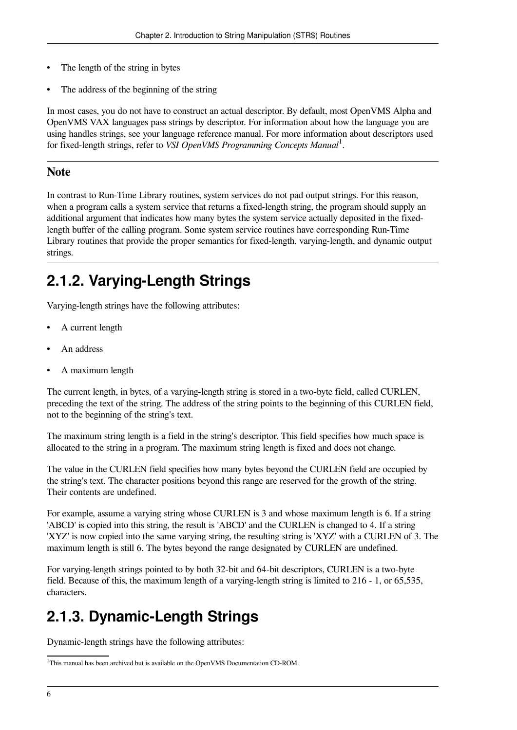- The length of the string in bytes
- The address of the beginning of the string

In most cases, you do not have to construct an actual descriptor. By default, most OpenVMS Alpha and OpenVMS VAX languages pass strings by descriptor. For information about how the language you are using handles strings, see your language reference manual. For more information about descriptors used for fixed-length strings, refer to *VSI OpenVMS Programming Concepts Manual* 1 .

### **Note**

In contrast to Run-Time Library routines, system services do not pad output strings. For this reason, when a program calls a system service that returns a fixed-length string, the program should supply an additional argument that indicates how many bytes the system service actually deposited in the fixedlength buffer of the calling program. Some system service routines have corresponding Run-Time Library routines that provide the proper semantics for fixed-length, varying-length, and dynamic output strings.

## <span id="page-11-0"></span>**2.1.2. Varying-Length Strings**

Varying-length strings have the following attributes:

- A current length
- An address
- A maximum length

The current length, in bytes, of a varying-length string is stored in a two-byte field, called CURLEN, preceding the text of the string. The address of the string points to the beginning of this CURLEN field, not to the beginning of the string's text.

The maximum string length is a field in the string's descriptor. This field specifies how much space is allocated to the string in a program. The maximum string length is fixed and does not change.

The value in the CURLEN field specifies how many bytes beyond the CURLEN field are occupied by the string's text. The character positions beyond this range are reserved for the growth of the string. Their contents are undefined.

For example, assume a varying string whose CURLEN is 3 and whose maximum length is 6. If a string 'ABCD' is copied into this string, the result is 'ABCD' and the CURLEN is changed to 4. If a string 'XYZ' is now copied into the same varying string, the resulting string is 'XYZ' with a CURLEN of 3. The maximum length is still 6. The bytes beyond the range designated by CURLEN are undefined.

For varying-length strings pointed to by both 32-bit and 64-bit descriptors, CURLEN is a two-byte field. Because of this, the maximum length of a varying-length string is limited to 216 - 1, or 65,535, characters.

# <span id="page-11-1"></span>**2.1.3. Dynamic-Length Strings**

Dynamic-length strings have the following attributes:

<sup>&</sup>lt;sup>1</sup>This manual has been archived but is available on the OpenVMS Documentation CD-ROM.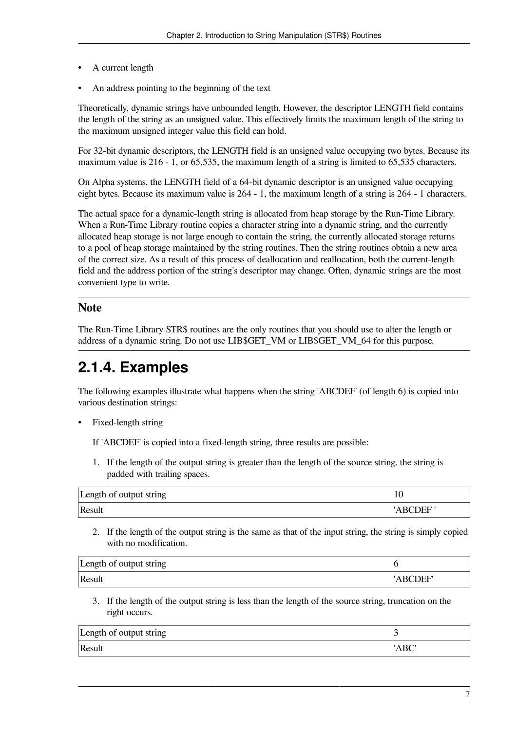- A current length
- An address pointing to the beginning of the text

Theoretically, dynamic strings have unbounded length. However, the descriptor LENGTH field contains the length of the string as an unsigned value. This effectively limits the maximum length of the string to the maximum unsigned integer value this field can hold.

For 32-bit dynamic descriptors, the LENGTH field is an unsigned value occupying two bytes. Because its maximum value is 216 - 1, or 65,535, the maximum length of a string is limited to 65,535 characters.

On Alpha systems, the LENGTH field of a 64-bit dynamic descriptor is an unsigned value occupying eight bytes. Because its maximum value is 264 - 1, the maximum length of a string is 264 - 1 characters.

The actual space for a dynamic-length string is allocated from heap storage by the Run-Time Library. When a Run-Time Library routine copies a character string into a dynamic string, and the currently allocated heap storage is not large enough to contain the string, the currently allocated storage returns to a pool of heap storage maintained by the string routines. Then the string routines obtain a new area of the correct size. As a result of this process of deallocation and reallocation, both the current-length field and the address portion of the string's descriptor may change. Often, dynamic strings are the most convenient type to write.

### **Note**

The Run-Time Library STR\$ routines are the only routines that you should use to alter the length or address of a dynamic string. Do not use LIB\$GET\_VM or LIB\$GET\_VM\_64 for this purpose.

### <span id="page-12-0"></span>**2.1.4. Examples**

The following examples illustrate what happens when the string 'ABCDEF' (of length 6) is copied into various destination strings:

• Fixed-length string

If 'ABCDEF' is copied into a fixed-length string, three results are possible:

1. If the length of the output string is greater than the length of the source string, the string is padded with trailing spaces.

| Length of output string | τc |
|-------------------------|----|
| Result                  |    |

2. If the length of the output string is the same as that of the input string, the string is simply copied with no modification.

| Length of output string |      |
|-------------------------|------|
| Result                  | .)FF |

3. If the length of the output string is less than the length of the source string, truncation on the right occurs.

| Length of output string |     |
|-------------------------|-----|
| Result                  | nde |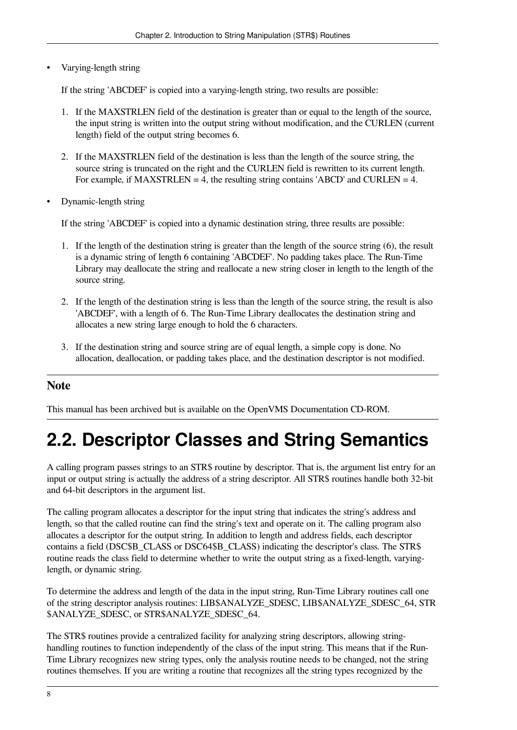• Varying-length string

If the string 'ABCDEF' is copied into a varying-length string, two results are possible:

- 1. If the MAXSTRLEN field of the destination is greater than or equal to the length of the source, the input string is written into the output string without modification, and the CURLEN (current length) field of the output string becomes 6.
- 2. If the MAXSTRLEN field of the destination is less than the length of the source string, the source string is truncated on the right and the CURLEN field is rewritten to its current length. For example, if MAXSTRLEN  $= 4$ , the resulting string contains 'ABCD' and CURLEN  $= 4$ .
- Dynamic-length string

If the string 'ABCDEF' is copied into a dynamic destination string, three results are possible:

- 1. If the length of the destination string is greater than the length of the source string (6), the result is a dynamic string of length 6 containing 'ABCDEF'. No padding takes place. The Run-Time Library may deallocate the string and reallocate a new string closer in length to the length of the source string.
- 2. If the length of the destination string is less than the length of the source string, the result is also 'ABCDEF', with a length of 6. The Run-Time Library deallocates the destination string and allocates a new string large enough to hold the 6 characters.
- 3. If the destination string and source string are of equal length, a simple copy is done. No allocation, deallocation, or padding takes place, and the destination descriptor is not modified.

### **Note**

This manual has been archived but is available on the OpenVMS Documentation CD-ROM.

# <span id="page-13-0"></span>**2.2. Descriptor Classes and String Semantics**

A calling program passes strings to an STR\$ routine by descriptor. That is, the argument list entry for an input or output string is actually the address of a string descriptor. All STR\$ routines handle both 32-bit and 64-bit descriptors in the argument list.

The calling program allocates a descriptor for the input string that indicates the string's address and length, so that the called routine can find the string's text and operate on it. The calling program also allocates a descriptor for the output string. In addition to length and address fields, each descriptor contains a field (DSC\$B\_CLASS or DSC64\$B\_CLASS) indicating the descriptor's class. The STR\$ routine reads the class field to determine whether to write the output string as a fixed-length, varyinglength, or dynamic string.

To determine the address and length of the data in the input string, Run-Time Library routines call one of the string descriptor analysis routines: LIB\$ANALYZE\_SDESC, LIB\$ANALYZE\_SDESC\_64, STR \$ANALYZE\_SDESC, or STR\$ANALYZE\_SDESC\_64.

The STR\$ routines provide a centralized facility for analyzing string descriptors, allowing stringhandling routines to function independently of the class of the input string. This means that if the Run-Time Library recognizes new string types, only the analysis routine needs to be changed, not the string routines themselves. If you are writing a routine that recognizes all the string types recognized by the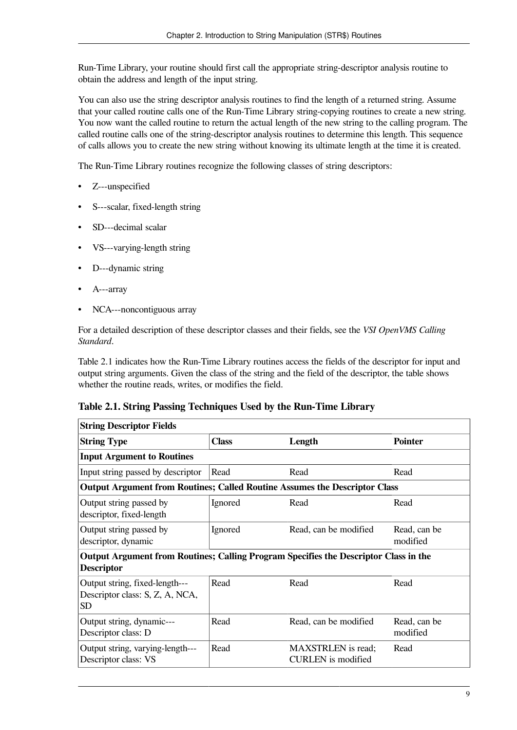Run-Time Library, your routine should first call the appropriate string-descriptor analysis routine to obtain the address and length of the input string.

You can also use the string descriptor analysis routines to find the length of a returned string. Assume that your called routine calls one of the Run-Time Library string-copying routines to create a new string. You now want the called routine to return the actual length of the new string to the calling program. The called routine calls one of the string-descriptor analysis routines to determine this length. This sequence of calls allows you to create the new string without knowing its ultimate length at the time it is created.

The Run-Time Library routines recognize the following classes of string descriptors:

- Z---unspecified
- S---scalar, fixed-length string
- SD---decimal scalar
- VS---varying-length string
- D---dynamic string
- A---array
- NCA---noncontiguous array

For a detailed description of these descriptor classes and their fields, see the *VSI OpenVMS Calling Standard*.

[Table](#page-14-0) 2.1 indicates how the Run-Time Library routines access the fields of the descriptor for input and output string arguments. Given the class of the string and the field of the descriptor, the table shows whether the routine reads, writes, or modifies the field.

#### <span id="page-14-0"></span>**Table 2.1. String Passing Techniques Used by the Run-Time Library**

| <b>String Descriptor Fields</b>                                                                                  |              |                                                        |                          |
|------------------------------------------------------------------------------------------------------------------|--------------|--------------------------------------------------------|--------------------------|
| <b>String Type</b>                                                                                               | <b>Class</b> | Length                                                 | <b>Pointer</b>           |
| <b>Input Argument to Routines</b>                                                                                |              |                                                        |                          |
| Input string passed by descriptor                                                                                | Read         | Read                                                   | Read                     |
| Output Argument from Routines; Called Routine Assumes the Descriptor Class                                       |              |                                                        |                          |
| Output string passed by<br>descriptor, fixed-length                                                              | Ignored      | Read                                                   | Read                     |
| Output string passed by<br>descriptor, dynamic                                                                   | Ignored      | Read, can be modified                                  | Read, can be<br>modified |
| <b>Output Argument from Routines; Calling Program Specifies the Descriptor Class in the</b><br><b>Descriptor</b> |              |                                                        |                          |
| Output string, fixed-length---<br>Descriptor class: S, Z, A, NCA,<br>SD.                                         | Read         | Read                                                   | Read                     |
| Output string, dynamic---<br>Descriptor class: D                                                                 | Read         | Read, can be modified                                  | Read, can be<br>modified |
| Output string, varying-length---<br>Descriptor class: VS                                                         | Read         | <b>MAXSTRLEN</b> is read;<br><b>CURLEN</b> is modified | Read                     |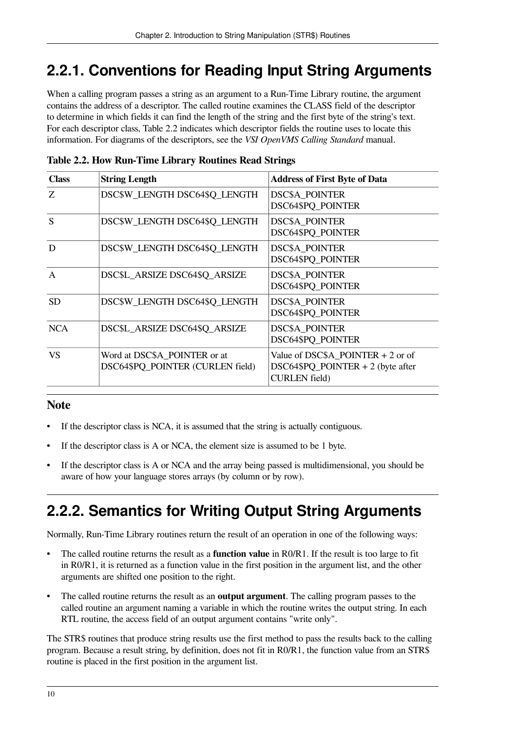## <span id="page-15-0"></span>**2.2.1. Conventions for Reading Input String Arguments**

When a calling program passes a string as an argument to a Run-Time Library routine, the argument contains the address of a descriptor. The called routine examines the CLASS field of the descriptor to determine in which fields it can find the length of the string and the first byte of the string's text. For each descriptor class, [Table](#page-15-2) 2.2 indicates which descriptor fields the routine uses to locate this information. For diagrams of the descriptors, see the *VSI OpenVMS Calling Standard* manual.

| <b>Class</b> | <b>String Length</b>                                             | <b>Address of First Byte of Data</b>                                                               |
|--------------|------------------------------------------------------------------|----------------------------------------------------------------------------------------------------|
| Ζ            | DSC\$W LENGTH DSC64\$Q LENGTH                                    | <b>DSC\$A_POINTER</b><br>DSC64\$PQ_POINTER                                                         |
| S            | DSC\$W_LENGTH DSC64\$Q_LENGTH                                    | <b>DSC\$A_POINTER</b><br>DSC64\$PQ_POINTER                                                         |
| D            | DSC\$W_LENGTH DSC64\$Q_LENGTH                                    | <b>DSC\$A_POINTER</b><br>DSC64\$PQ_POINTER                                                         |
| A            | DSC\$L ARSIZE DSC64\$Q ARSIZE                                    | <b>DSC\$A POINTER</b><br><b>DSC64\$PQ POINTER</b>                                                  |
| <b>SD</b>    | DSC\$W LENGTH DSC64\$Q LENGTH                                    | <b>DSC\$A POINTER</b><br><b>DSC64\$PQ POINTER</b>                                                  |
| <b>NCA</b>   | DSC\$L ARSIZE DSC64\$Q ARSIZE                                    | <b>DSC\$A POINTER</b><br>DSC64\$PQ_POINTER                                                         |
| <b>VS</b>    | Word at DSC\$A_POINTER or at<br>DSC64\$PQ POINTER (CURLEN field) | Value of DSC $$A_P$ OINTER + 2 or of<br>$DSC64$PQ_POINTER + 2$ (byte after<br><b>CURLEN</b> field) |

<span id="page-15-2"></span>**Table 2.2. How Run-Time Library Routines Read Strings**

### **Note**

- If the descriptor class is NCA, it is assumed that the string is actually contiguous.
- If the descriptor class is A or NCA, the element size is assumed to be 1 byte.
- If the descriptor class is A or NCA and the array being passed is multidimensional, you should be aware of how your language stores arrays (by column or by row).

# <span id="page-15-1"></span>**2.2.2. Semantics for Writing Output String Arguments**

Normally, Run-Time Library routines return the result of an operation in one of the following ways:

- The called routine returns the result as a **function value** in R0/R1. If the result is too large to fit in R0/R1, it is returned as a function value in the first position in the argument list, and the other arguments are shifted one position to the right.
- The called routine returns the result as an **output argument**. The calling program passes to the called routine an argument naming a variable in which the routine writes the output string. In each RTL routine, the access field of an output argument contains "write only".

The STR\$ routines that produce string results use the first method to pass the results back to the calling program. Because a result string, by definition, does not fit in R0/R1, the function value from an STR\$ routine is placed in the first position in the argument list.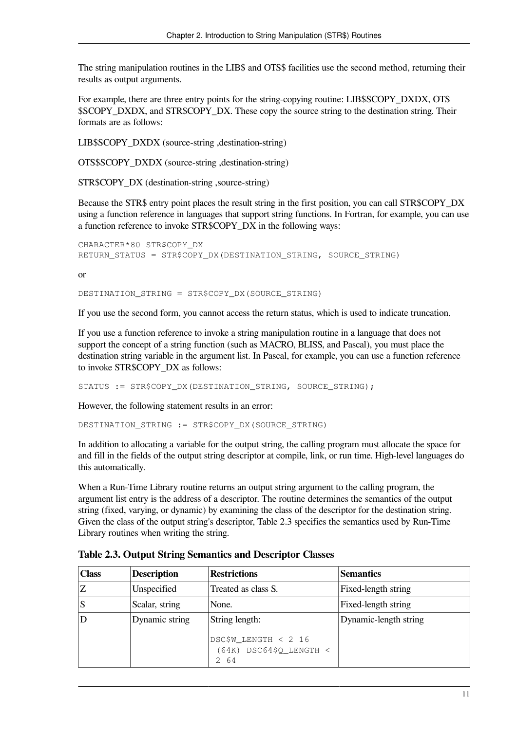The string manipulation routines in the LIB\$ and OTS\$ facilities use the second method, returning their results as output arguments.

For example, there are three entry points for the string-copying routine: LIB\$SCOPY\_DXDX, OTS \$SCOPY\_DXDX, and STR\$COPY\_DX. These copy the source string to the destination string. Their formats are as follows:

LIB\$SCOPY\_DXDX (source-string ,destination-string)

OTS\$SCOPY\_DXDX (source-string ,destination-string)

STR\$COPY DX (destination-string ,source-string)

Because the STR\$ entry point places the result string in the first position, you can call STR\$COPY\_DX using a function reference in languages that support string functions. In Fortran, for example, you can use a function reference to invoke STR\$COPY\_DX in the following ways:

```
CHARACTER*80 STR$COPY_DX
RETURN STATUS = STR$COPY DX(DESTINATION STRING, SOURCE STRING)
```
or

DESTINATION\_STRING = STR\$COPY\_DX(SOURCE\_STRING)

If you use the second form, you cannot access the return status, which is used to indicate truncation.

If you use a function reference to invoke a string manipulation routine in a language that does not support the concept of a string function (such as MACRO, BLISS, and Pascal), you must place the destination string variable in the argument list. In Pascal, for example, you can use a function reference to invoke STR\$COPY\_DX as follows:

STATUS := STR\$COPY DX(DESTINATION STRING, SOURCE STRING);

However, the following statement results in an error:

DESTINATION\_STRING := STR\$COPY\_DX(SOURCE\_STRING)

In addition to allocating a variable for the output string, the calling program must allocate the space for and fill in the fields of the output string descriptor at compile, link, or run time. High-level languages do this automatically.

When a Run-Time Library routine returns an output string argument to the calling program, the argument list entry is the address of a descriptor. The routine determines the semantics of the output string (fixed, varying, or dynamic) by examining the class of the descriptor for the destination string. Given the class of the output string's descriptor, [Table](#page-16-0) 2.3 specifies the semantics used by Run-Time Library routines when writing the string.

| <b>Class</b> | <b>Description</b> | <b>Restrictions</b>                                       | <b>Semantics</b>      |
|--------------|--------------------|-----------------------------------------------------------|-----------------------|
| Z            | Unspecified        | Treated as class S.                                       | Fixed-length string   |
| S            | Scalar, string     | None.                                                     | Fixed-length string   |
| D            | Dynamic string     | String length:                                            | Dynamic-length string |
|              |                    | DSC\$W_LENGTH < 2 16<br>$(64K)$ DSC64\$Q_LENGTH <<br>2 64 |                       |

<span id="page-16-0"></span>**Table 2.3. Output String Semantics and Descriptor Classes**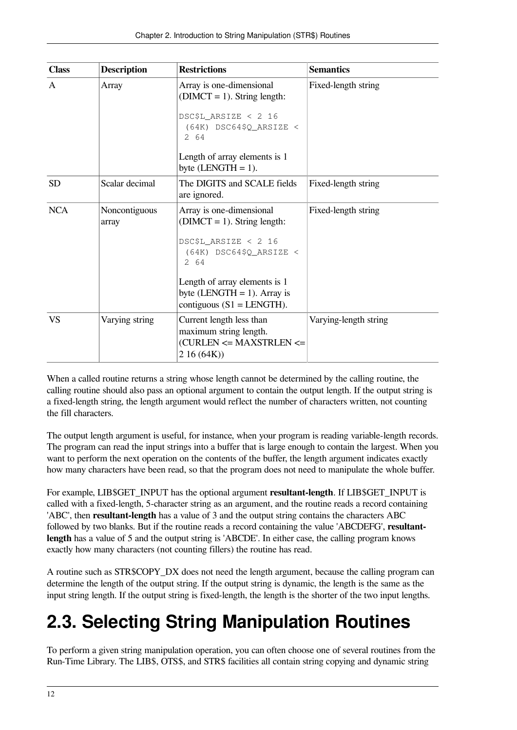| <b>Class</b> | <b>Description</b>     | <b>Restrictions</b>                                                                                                                                                                                                        | <b>Semantics</b>      |
|--------------|------------------------|----------------------------------------------------------------------------------------------------------------------------------------------------------------------------------------------------------------------------|-----------------------|
| A            | Array                  | Array is one-dimensional<br>$(DIMCT = 1)$ . String length:<br>DSC\$L_ARSIZE < 2 16<br>$(64K)$ DSC64\$Q ARSIZE <<br>2 64<br>Length of array elements is 1<br>byte $(LENGTH = 1)$ .                                          | Fixed-length string   |
| <b>SD</b>    | Scalar decimal         | The DIGITS and SCALE fields<br>are ignored.                                                                                                                                                                                | Fixed-length string   |
| <b>NCA</b>   | Noncontiguous<br>array | Array is one-dimensional<br>$(DIMCT = 1)$ . String length:<br>DSC\$L_ARSIZE < 2 16<br>$(64K)$ DSC64\$Q_ARSIZE <<br>2.64<br>Length of array elements is 1<br>byte (LENGTH $= 1$ ). Array is<br>contiguous $(S1 = LENGTH)$ . | Fixed-length string   |
| VS           | Varying string         | Current length less than<br>maximum string length.<br>(CURLEN <= MAXSTRLEN <=<br>216(64K)                                                                                                                                  | Varying-length string |

When a called routine returns a string whose length cannot be determined by the calling routine, the calling routine should also pass an optional argument to contain the output length. If the output string is a fixed-length string, the length argument would reflect the number of characters written, not counting the fill characters.

The output length argument is useful, for instance, when your program is reading variable-length records. The program can read the input strings into a buffer that is large enough to contain the largest. When you want to perform the next operation on the contents of the buffer, the length argument indicates exactly how many characters have been read, so that the program does not need to manipulate the whole buffer.

For example, LIB\$GET\_INPUT has the optional argument **resultant-length**. If LIB\$GET\_INPUT is called with a fixed-length, 5-character string as an argument, and the routine reads a record containing 'ABC', then **resultant-length** has a value of 3 and the output string contains the characters ABC followed by two blanks. But if the routine reads a record containing the value 'ABCDEFG', **resultantlength** has a value of 5 and the output string is 'ABCDE'. In either case, the calling program knows exactly how many characters (not counting fillers) the routine has read.

A routine such as STR\$COPY\_DX does not need the length argument, because the calling program can determine the length of the output string. If the output string is dynamic, the length is the same as the input string length. If the output string is fixed-length, the length is the shorter of the two input lengths.

# <span id="page-17-0"></span>**2.3. Selecting String Manipulation Routines**

To perform a given string manipulation operation, you can often choose one of several routines from the Run-Time Library. The LIB\$, OTS\$, and STR\$ facilities all contain string copying and dynamic string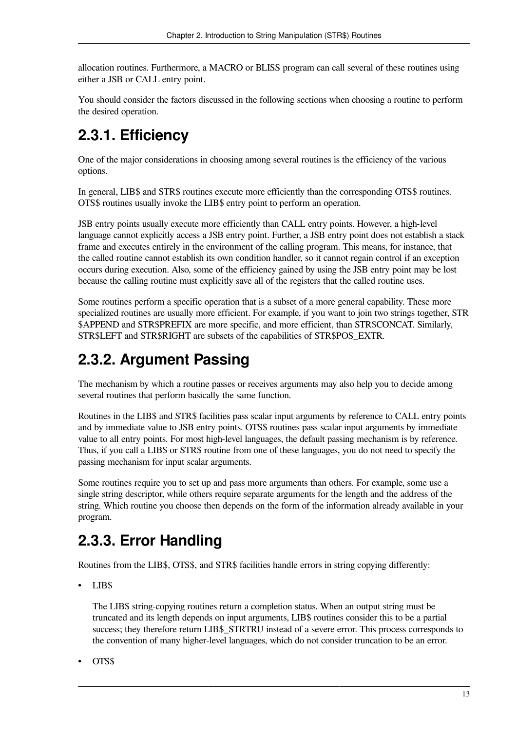allocation routines. Furthermore, a MACRO or BLISS program can call several of these routines using either a JSB or CALL entry point.

You should consider the factors discussed in the following sections when choosing a routine to perform the desired operation.

# <span id="page-18-0"></span>**2.3.1. Efficiency**

One of the major considerations in choosing among several routines is the efficiency of the various options.

In general, LIB\$ and STR\$ routines execute more efficiently than the corresponding OTS\$ routines. OTS\$ routines usually invoke the LIB\$ entry point to perform an operation.

JSB entry points usually execute more efficiently than CALL entry points. However, a high-level language cannot explicitly access a JSB entry point. Further, a JSB entry point does not establish a stack frame and executes entirely in the environment of the calling program. This means, for instance, that the called routine cannot establish its own condition handler, so it cannot regain control if an exception occurs during execution. Also, some of the efficiency gained by using the JSB entry point may be lost because the calling routine must explicitly save all of the registers that the called routine uses.

Some routines perform a specific operation that is a subset of a more general capability. These more specialized routines are usually more efficient. For example, if you want to join two strings together, STR \$APPEND and STR\$PREFIX are more specific, and more efficient, than STR\$CONCAT. Similarly, STR\$LEFT and STR\$RIGHT are subsets of the capabilities of STR\$POS\_EXTR.

# <span id="page-18-1"></span>**2.3.2. Argument Passing**

The mechanism by which a routine passes or receives arguments may also help you to decide among several routines that perform basically the same function.

Routines in the LIB\$ and STR\$ facilities pass scalar input arguments by reference to CALL entry points and by immediate value to JSB entry points. OTS\$ routines pass scalar input arguments by immediate value to all entry points. For most high-level languages, the default passing mechanism is by reference. Thus, if you call a LIB\$ or STR\$ routine from one of these languages, you do not need to specify the passing mechanism for input scalar arguments.

Some routines require you to set up and pass more arguments than others. For example, some use a single string descriptor, while others require separate arguments for the length and the address of the string. Which routine you choose then depends on the form of the information already available in your program.

# <span id="page-18-2"></span>**2.3.3. Error Handling**

Routines from the LIB\$, OTS\$, and STR\$ facilities handle errors in string copying differently:

• LIB\$

The LIB\$ string-copying routines return a completion status. When an output string must be truncated and its length depends on input arguments, LIB\$ routines consider this to be a partial success; they therefore return LIB\$\_STRTRU instead of a severe error. This process corresponds to the convention of many higher-level languages, which do not consider truncation to be an error.

• OTS\$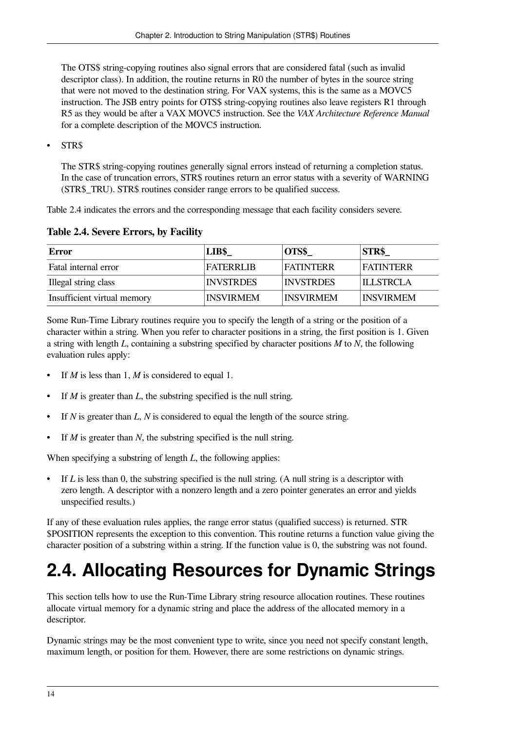The OTS\$ string-copying routines also signal errors that are considered fatal (such as invalid descriptor class). In addition, the routine returns in R0 the number of bytes in the source string that were not moved to the destination string. For VAX systems, this is the same as a MOVC5 instruction. The JSB entry points for OTS\$ string-copying routines also leave registers R1 through R5 as they would be after a VAX MOVC5 instruction. See the *VAX Architecture Reference Manual* for a complete description of the MOVC5 instruction.

• STR\$

The STR\$ string-copying routines generally signal errors instead of returning a completion status. In the case of truncation errors, STR\$ routines return an error status with a severity of WARNING (STR\$\_TRU). STR\$ routines consider range errors to be qualified success.

<span id="page-19-1"></span>[Table](#page-19-1) 2.4 indicates the errors and the corresponding message that each facility considers severe.

**Table 2.4. Severe Errors, by Facility**

| <b>Error</b>                | LIB\$            | OTS\$            | <b>STR\$</b>     |
|-----------------------------|------------------|------------------|------------------|
| Fatal internal error        | <b>FATERRIJR</b> | <b>FATINTERR</b> | FATINTER R       |
| Illegal string class        | <b>INVSTRDES</b> | <b>INVSTRDES</b> | II J STRCLA      |
| Insufficient virtual memory | <b>INSVIRMEM</b> | <b>INSVIRMEM</b> | <b>INSVIRMEM</b> |

Some Run-Time Library routines require you to specify the length of a string or the position of a character within a string. When you refer to character positions in a string, the first position is 1. Given a string with length *L*, containing a substring specified by character positions *M* to *N*, the following evaluation rules apply:

- If *M* is less than 1, *M* is considered to equal 1.
- If *M* is greater than *L*, the substring specified is the null string.
- If *N* is greater than *L*, *N* is considered to equal the length of the source string.
- If *M* is greater than *N*, the substring specified is the null string.

When specifying a substring of length *L*, the following applies:

If *L* is less than 0, the substring specified is the null string. (A null string is a descriptor with zero length. A descriptor with a nonzero length and a zero pointer generates an error and yields unspecified results.)

If any of these evaluation rules applies, the range error status (qualified success) is returned. STR \$POSITION represents the exception to this convention. This routine returns a function value giving the character position of a substring within a string. If the function value is 0, the substring was not found.

# <span id="page-19-0"></span>**2.4. Allocating Resources for Dynamic Strings**

This section tells how to use the Run-Time Library string resource allocation routines. These routines allocate virtual memory for a dynamic string and place the address of the allocated memory in a descriptor.

Dynamic strings may be the most convenient type to write, since you need not specify constant length, maximum length, or position for them. However, there are some restrictions on dynamic strings.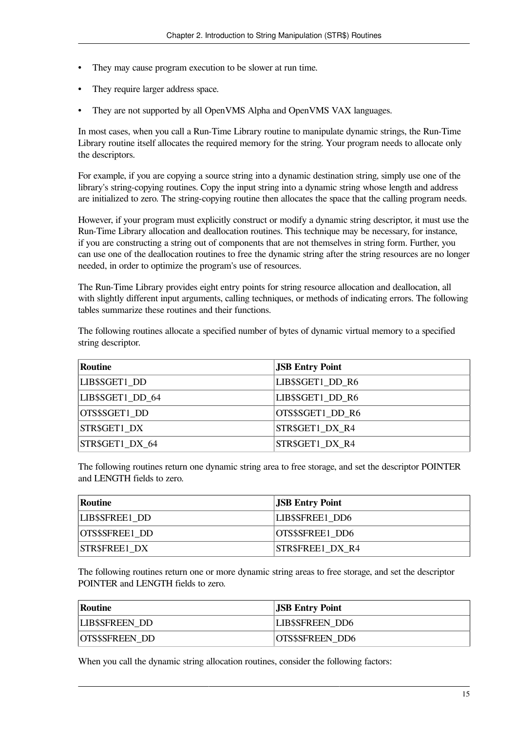- They may cause program execution to be slower at run time.
- They require larger address space.
- They are not supported by all OpenVMS Alpha and OpenVMS VAX languages.

In most cases, when you call a Run-Time Library routine to manipulate dynamic strings, the Run-Time Library routine itself allocates the required memory for the string. Your program needs to allocate only the descriptors.

For example, if you are copying a source string into a dynamic destination string, simply use one of the library's string-copying routines. Copy the input string into a dynamic string whose length and address are initialized to zero. The string-copying routine then allocates the space that the calling program needs.

However, if your program must explicitly construct or modify a dynamic string descriptor, it must use the Run-Time Library allocation and deallocation routines. This technique may be necessary, for instance, if you are constructing a string out of components that are not themselves in string form. Further, you can use one of the deallocation routines to free the dynamic string after the string resources are no longer needed, in order to optimize the program's use of resources.

The Run-Time Library provides eight entry points for string resource allocation and deallocation, all with slightly different input arguments, calling techniques, or methods of indicating errors. The following tables summarize these routines and their functions.

The following routines allocate a specified number of bytes of dynamic virtual memory to a specified string descriptor.

| <b>Routine</b>   | <b>JSB Entry Point</b> |
|------------------|------------------------|
| LIB\$SGET1 DD    | LIB\$SGET1_DD_R6       |
| LIB\$SGET1_DD_64 | LIB\$SGET1_DD_R6       |
| OTS\$SGET1 DD    | OTS\$SGET1 DD R6       |
| STR\$GET1 DX     | STR\$GET1 DX R4        |
| STR\$GET1 DX 64  | STR\$GET1 DX R4        |

The following routines return one dynamic string area to free storage, and set the descriptor POINTER and LENGTH fields to zero.

| Routine              | <b>JSB Entry Point</b>  |
|----------------------|-------------------------|
| LIB\$SFREE1 DD       | <b>LIBSSFREE1 DD6</b>   |
| OTS\$SFREE1 DD       | OTS\$SFREE1 DD6         |
| <b>STR\$FREE1 DX</b> | <b>STR\$FREE1 DX R4</b> |

The following routines return one or more dynamic string areas to free storage, and set the descriptor POINTER and LENGTH fields to zero.

| Routine               | <b>JSB Entry Point</b> |
|-----------------------|------------------------|
| <b>LIBSSFREEN DD</b>  | <b>LIB\$SFREEN DD6</b> |
| <b>OTS\$SFREEN DD</b> | <b>OTS\$SFREEN DD6</b> |

When you call the dynamic string allocation routines, consider the following factors: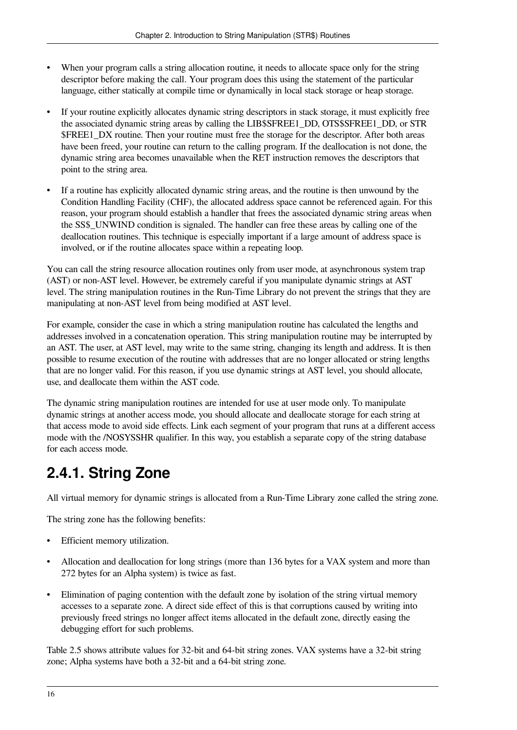- When your program calls a string allocation routine, it needs to allocate space only for the string descriptor before making the call. Your program does this using the statement of the particular language, either statically at compile time or dynamically in local stack storage or heap storage.
- If your routine explicitly allocates dynamic string descriptors in stack storage, it must explicitly free the associated dynamic string areas by calling the LIB\$SFREE1\_DD, OTS\$SFREE1\_DD, or STR \$FREE1\_DX routine. Then your routine must free the storage for the descriptor. After both areas have been freed, your routine can return to the calling program. If the deallocation is not done, the dynamic string area becomes unavailable when the RET instruction removes the descriptors that point to the string area.
- If a routine has explicitly allocated dynamic string areas, and the routine is then unwound by the Condition Handling Facility (CHF), the allocated address space cannot be referenced again. For this reason, your program should establish a handler that frees the associated dynamic string areas when the SS\$\_UNWIND condition is signaled. The handler can free these areas by calling one of the deallocation routines. This technique is especially important if a large amount of address space is involved, or if the routine allocates space within a repeating loop.

You can call the string resource allocation routines only from user mode, at asynchronous system trap (AST) or non-AST level. However, be extremely careful if you manipulate dynamic strings at AST level. The string manipulation routines in the Run-Time Library do not prevent the strings that they are manipulating at non-AST level from being modified at AST level.

For example, consider the case in which a string manipulation routine has calculated the lengths and addresses involved in a concatenation operation. This string manipulation routine may be interrupted by an AST. The user, at AST level, may write to the same string, changing its length and address. It is then possible to resume execution of the routine with addresses that are no longer allocated or string lengths that are no longer valid. For this reason, if you use dynamic strings at AST level, you should allocate, use, and deallocate them within the AST code.

The dynamic string manipulation routines are intended for use at user mode only. To manipulate dynamic strings at another access mode, you should allocate and deallocate storage for each string at that access mode to avoid side effects. Link each segment of your program that runs at a different access mode with the /NOSYSSHR qualifier. In this way, you establish a separate copy of the string database for each access mode.

# <span id="page-21-0"></span>**2.4.1. String Zone**

All virtual memory for dynamic strings is allocated from a Run-Time Library zone called the string zone.

The string zone has the following benefits:

- Efficient memory utilization.
- Allocation and deallocation for long strings (more than 136 bytes for a VAX system and more than 272 bytes for an Alpha system) is twice as fast.
- Elimination of paging contention with the default zone by isolation of the string virtual memory accesses to a separate zone. A direct side effect of this is that corruptions caused by writing into previously freed strings no longer affect items allocated in the default zone, directly easing the debugging effort for such problems.

[Table](#page-22-0) 2.5 shows attribute values for 32-bit and 64-bit string zones. VAX systems have a 32-bit string zone; Alpha systems have both a 32-bit and a 64-bit string zone.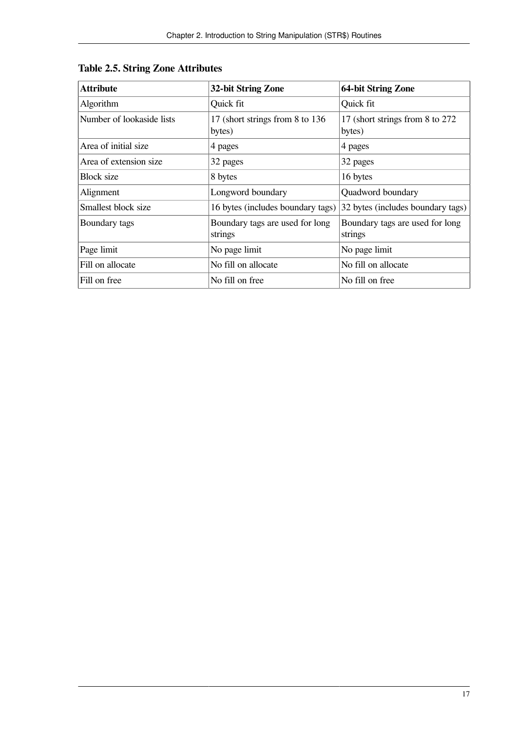| <b>Attribute</b>          | <b>32-bit String Zone</b>                  | <b>64-bit String Zone</b>                  |
|---------------------------|--------------------------------------------|--------------------------------------------|
| Algorithm                 | Quick fit                                  | Quick fit                                  |
| Number of lookaside lists | 17 (short strings from 8 to 136)<br>bytes) | 17 (short strings from 8 to 272)<br>bytes) |
| Area of initial size      | 4 pages                                    | 4 pages                                    |
| Area of extension size    | 32 pages                                   | 32 pages                                   |
| Block size                | 8 bytes                                    | 16 bytes                                   |
| Alignment                 | Longword boundary                          | Quadword boundary                          |
| Smallest block size       | 16 bytes (includes boundary tags)          | 32 bytes (includes boundary tags)          |
| Boundary tags             | Boundary tags are used for long<br>strings | Boundary tags are used for long<br>strings |
| Page limit                | No page limit                              | No page limit                              |
| Fill on allocate          | No fill on allocate                        | No fill on allocate                        |
| Fill on free              | No fill on free                            | No fill on free                            |

### <span id="page-22-0"></span>**Table 2.5. String Zone Attributes**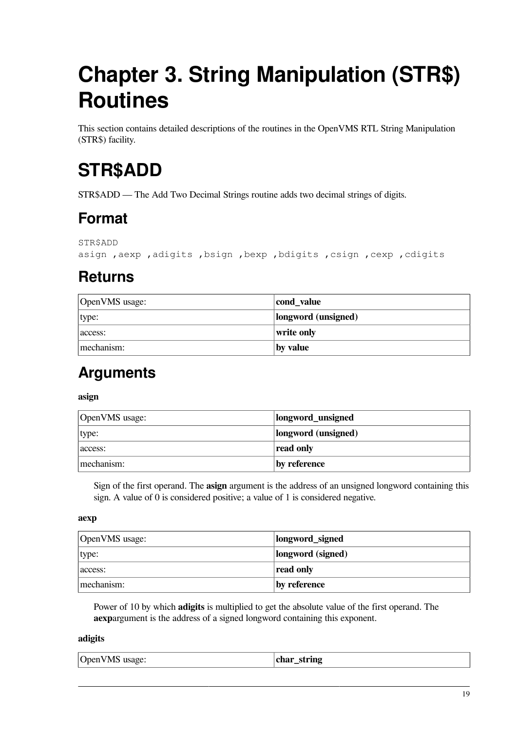# <span id="page-24-0"></span>**Chapter 3. String Manipulation (STR\$) Routines**

This section contains detailed descriptions of the routines in the OpenVMS RTL String Manipulation (STR\$) facility.

# <span id="page-24-1"></span>**STR\$ADD**

STR\$ADD — The Add Two Decimal Strings routine adds two decimal strings of digits.

## **Format**

STR\$ADD

asign ,aexp ,adigits ,bsign ,bexp ,bdigits ,csign ,cexp ,cdigits

# **Returns**

| OpenVMS usage: | cond_value          |
|----------------|---------------------|
| type:          | longword (unsigned) |
| access:        | write only          |
| mechanism:     | by value            |

## **Arguments**

#### **asign**

| OpenVMS usage: | longword_unsigned   |
|----------------|---------------------|
| type:          | longword (unsigned) |
| access:        | read only           |
| mechanism:     | by reference        |

Sign of the first operand. The **asign** argument is the address of an unsigned longword containing this sign. A value of 0 is considered positive; a value of 1 is considered negative.

#### **aexp**

| OpenVMS usage: | longword_signed   |
|----------------|-------------------|
| type:          | longword (signed) |
| access:        | read only         |
| mechanism:     | by reference      |

Power of 10 by which **adigits** is multiplied to get the absolute value of the first operand. The **aexp**argument is the address of a signed longword containing this exponent.

#### **adigits**

| OpenVMS usage: | char_string |
|----------------|-------------|
|----------------|-------------|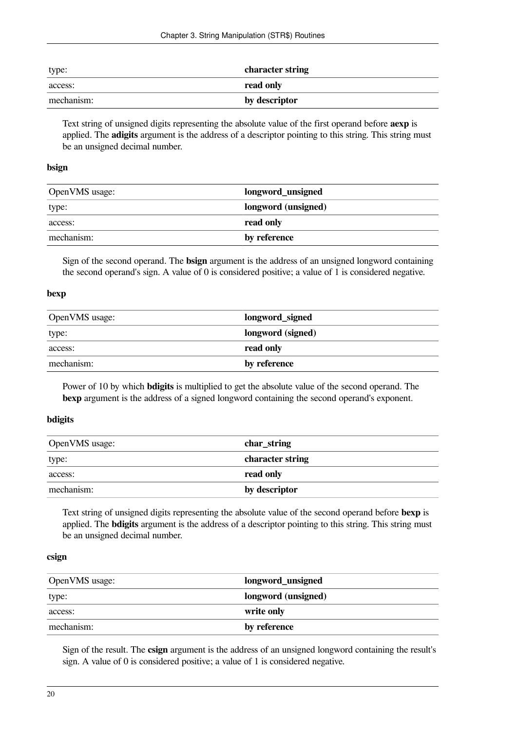| type:      | character string |
|------------|------------------|
| access:    | read only        |
| mechanism: | by descriptor    |

Text string of unsigned digits representing the absolute value of the first operand before **aexp** is applied. The **adigits** argument is the address of a descriptor pointing to this string. This string must be an unsigned decimal number.

#### **bsign**

| OpenVMS usage: | longword_unsigned   |
|----------------|---------------------|
| type:          | longword (unsigned) |
| access:        | read only           |
| mechanism:     | by reference        |

Sign of the second operand. The **bsign** argument is the address of an unsigned longword containing the second operand's sign. A value of 0 is considered positive; a value of 1 is considered negative.

#### **bexp**

| OpenVMS usage: | longword_signed   |
|----------------|-------------------|
| type:          | longword (signed) |
| access:        | read only         |
| mechanism:     | by reference      |

Power of 10 by which **bdigits** is multiplied to get the absolute value of the second operand. The **bexp** argument is the address of a signed longword containing the second operand's exponent.

### **bdigits**

| OpenVMS usage: | char_string      |
|----------------|------------------|
| type:          | character string |
| access:        | read only        |
| mechanism:     | by descriptor    |

Text string of unsigned digits representing the absolute value of the second operand before **bexp** is applied. The **bdigits** argument is the address of a descriptor pointing to this string. This string must be an unsigned decimal number.

#### **csign**

| OpenVMS usage: | longword_unsigned   |
|----------------|---------------------|
| type:          | longword (unsigned) |
| access:        | write only          |
| mechanism:     | by reference        |

Sign of the result. The **csign** argument is the address of an unsigned longword containing the result's sign. A value of 0 is considered positive; a value of 1 is considered negative.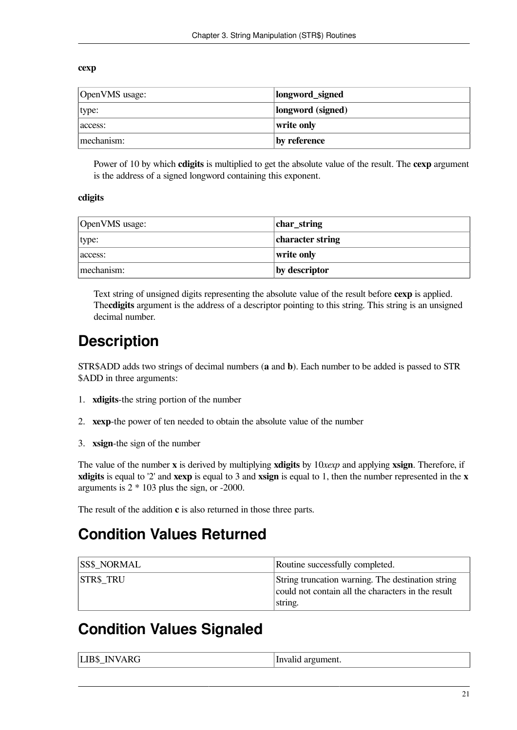#### **cexp**

| OpenVMS usage: | longword_signed   |
|----------------|-------------------|
| type:          | longword (signed) |
| access:        | write only        |
| mechanism:     | by reference      |

Power of 10 by which **cdigits** is multiplied to get the absolute value of the result. The **cexp** argument is the address of a signed longword containing this exponent.

#### **cdigits**

| OpenVMS usage: | char_string      |
|----------------|------------------|
| type:          | character string |
| access:        | write only       |
| mechanism:     | by descriptor    |

Text string of unsigned digits representing the absolute value of the result before **cexp** is applied. The**cdigits** argument is the address of a descriptor pointing to this string. This string is an unsigned decimal number.

## **Description**

STR\$ADD adds two strings of decimal numbers (**a** and **b**). Each number to be added is passed to STR \$ADD in three arguments:

- 1. **xdigits**-the string portion of the number
- 2. **xexp**-the power of ten needed to obtain the absolute value of the number
- 3. **xsign**-the sign of the number

The value of the number **x** is derived by multiplying **xdigits** by 10*xexp* and applying **xsign**. Therefore, if **xdigits** is equal to '2' and **xexp** is equal to 3 and **xsign** is equal to 1, then the number represented in the **x** arguments is 2 \* 103 plus the sign, or -2000.

The result of the addition **c** is also returned in those three parts.

### **Condition Values Returned**

| <b>ISS\$ NORMAL</b> | Routine successfully completed.                                                                                    |
|---------------------|--------------------------------------------------------------------------------------------------------------------|
| <b>STR\$ TRU</b>    | String truncation warning. The destination string<br>could not contain all the characters in the result<br>string. |

### **Condition Values Signaled**

| <b>LIBS INVARG</b> | Invalid argument. |
|--------------------|-------------------|
|--------------------|-------------------|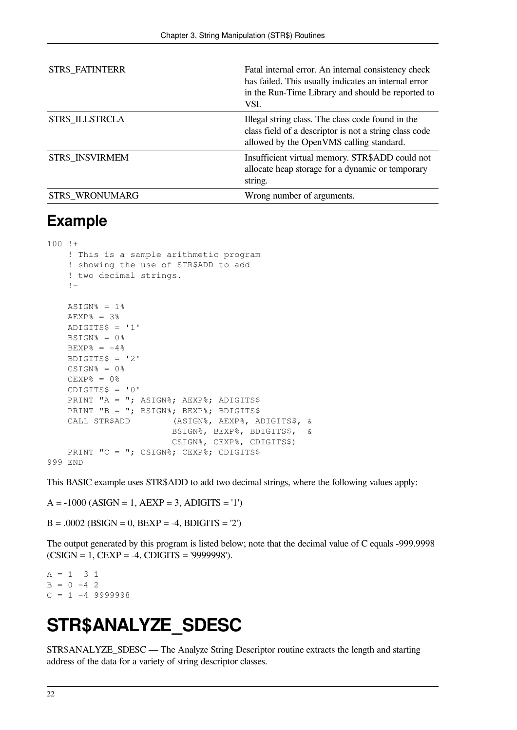| STR\$_FATINTERR        | Fatal internal error. An internal consistency check<br>has failed. This usually indicates an internal error<br>in the Run-Time Library and should be reported to<br>VSI. |
|------------------------|--------------------------------------------------------------------------------------------------------------------------------------------------------------------------|
| STR\$ ILLSTRCLA        | Illegal string class. The class code found in the<br>class field of a descriptor is not a string class code<br>allowed by the OpenVMS calling standard.                  |
| <b>STR\$ INSVIRMEM</b> | Insufficient virtual memory. STR\$ADD could not<br>allocate heap storage for a dynamic or temporary<br>string.                                                           |
| STR\$ WRONUMARG        | Wrong number of arguments.                                                                                                                                               |

### **Example**

```
100 + ! This is a sample arithmetic program
     ! showing the use of STR$ADD to add
     ! two decimal strings.
     !-
    ASIGN% = 1%
    AEXP = 3%
     ADIGITS$ = '1'
    BSIGN% = 0%BEXP% = -4%
     BDIGITS$ = '2'
    CSIGN<sup>o</sup> = 0<sup>o</sup>CEXP% = 0%
    CDIGITS$ = '0'PRINT "A = "; ASIGN%; AEXP%; ADIGITS$
    PRINT "B = "; BSIGN%; BEXP%; BDIGITS$
     CALL STR$ADD (ASIGN%, AEXP%, ADIGITS$, &
                          BSIGN%, BEXP%, BDIGITS$, &
                          CSIGN%, CEXP%, CDIGITS$)
    PRINT "C = "; CSIGN%; CEXP%; CDIGITS$
999 END
```
This BASIC example uses STR\$ADD to add two decimal strings, where the following values apply:

 $A = -1000 (ASIGN = 1, AEXP = 3, ADIGITS = '1')$ 

 $B = .0002$  (BSIGN = 0, BEXP = -4, BDIGITS = '2')

The output generated by this program is listed below; note that the decimal value of C equals -999.9998 (CSIGN = 1, CEXP = -4, CDIGITS = '9999998').

 $A = 1 3 1$  $B = 0 -4$  2  $C = 1 -4 9999998$ 

# <span id="page-27-0"></span>**STR\$ANALYZE\_SDESC**

STR\$ANALYZE\_SDESC — The Analyze String Descriptor routine extracts the length and starting address of the data for a variety of string descriptor classes.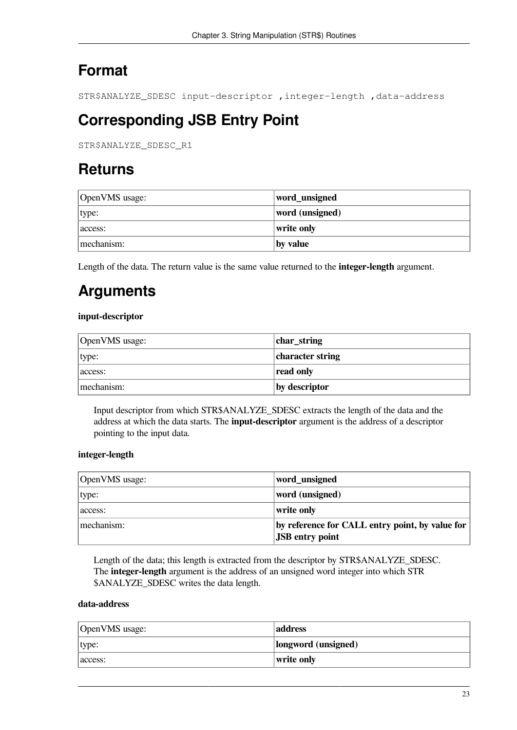# **Format**

STR\$ANALYZE\_SDESC input-descriptor ,integer-length ,data-address

# **Corresponding JSB Entry Point**

STR\$ANALYZE\_SDESC\_R1

## **Returns**

| OpenVMS usage: | word_unsigned   |
|----------------|-----------------|
| type:          | word (unsigned) |
| access:        | write only      |
| mechanism:     | by value        |

Length of the data. The return value is the same value returned to the **integer-length** argument.

# **Arguments**

### **input-descriptor**

| OpenVMS usage: | char_string      |
|----------------|------------------|
| type:          | character string |
| access:        | read only        |
| mechanism:     | by descriptor    |

Input descriptor from which STR\$ANALYZE\_SDESC extracts the length of the data and the address at which the data starts. The **input-descriptor** argument is the address of a descriptor pointing to the input data.

### **integer-length**

| OpenVMS usage: | word_unsigned                                                             |
|----------------|---------------------------------------------------------------------------|
| type:          | word (unsigned)                                                           |
| access:        | write only                                                                |
| mechanism:     | by reference for CALL entry point, by value for<br><b>JSB</b> entry point |

Length of the data; this length is extracted from the descriptor by STR\$ANALYZE\_SDESC. The **integer-length** argument is the address of an unsigned word integer into which STR \$ANALYZE\_SDESC writes the data length.

### **data-address**

| OpenVMS usage: | address             |
|----------------|---------------------|
| type:          | longword (unsigned) |
| access:        | write only          |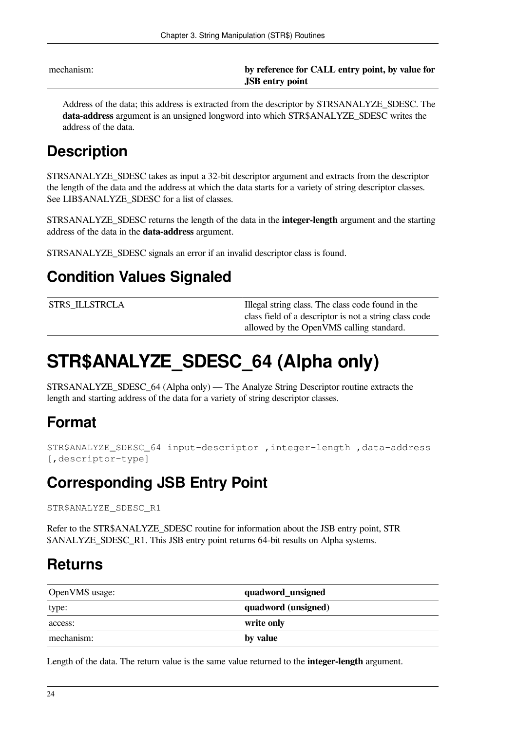mechanism: **by reference for CALL entry point, by value for JSB entry point**

Address of the data; this address is extracted from the descriptor by STR\$ANALYZE\_SDESC. The **data-address** argument is an unsigned longword into which STR\$ANALYZE\_SDESC writes the address of the data.

# **Description**

STR\$ANALYZE\_SDESC takes as input a 32-bit descriptor argument and extracts from the descriptor the length of the data and the address at which the data starts for a variety of string descriptor classes. See LIB\$ANALYZE\_SDESC for a list of classes.

STR\$ANALYZE\_SDESC returns the length of the data in the **integer-length** argument and the starting address of the data in the **data-address** argument.

STR\$ANALYZE\_SDESC signals an error if an invalid descriptor class is found.

## **Condition Values Signaled**

STR\$\_ILLSTRCLA Illegal string class. The class code found in the class field of a descriptor is not a string class code allowed by the OpenVMS calling standard.

# <span id="page-29-0"></span>**STR\$ANALYZE\_SDESC\_64 (Alpha only)**

STR\$ANALYZE\_SDESC\_64 (Alpha only) — The Analyze String Descriptor routine extracts the length and starting address of the data for a variety of string descriptor classes.

## **Format**

```
STR$ANALYZE_SDESC_64 input-descriptor ,integer-length ,data-address
[,descriptor-type]
```
## **Corresponding JSB Entry Point**

STR\$ANALYZE\_SDESC\_R1

Refer to the STR\$ANALYZE\_SDESC routine for information about the JSB entry point, STR \$ANALYZE\_SDESC\_R1. This JSB entry point returns 64-bit results on Alpha systems.

## **Returns**

| OpenVMS usage: | quadword_unsigned   |
|----------------|---------------------|
| type:          | quadword (unsigned) |
| access:        | write only          |
| mechanism:     | by value            |

Length of the data. The return value is the same value returned to the **integer-length** argument.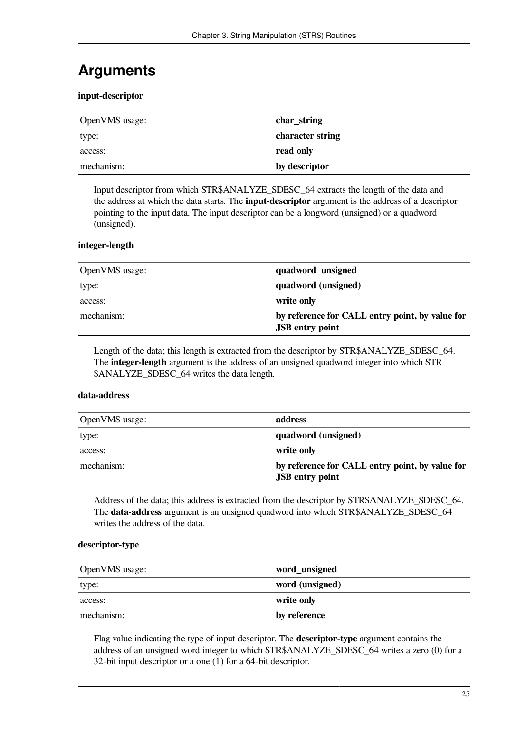# **Arguments**

#### **input-descriptor**

| OpenVMS usage: | char_string      |
|----------------|------------------|
| type:          | character string |
| access:        | read only        |
| mechanism:     | by descriptor    |

Input descriptor from which STR\$ANALYZE\_SDESC\_64 extracts the length of the data and the address at which the data starts. The **input-descriptor** argument is the address of a descriptor pointing to the input data. The input descriptor can be a longword (unsigned) or a quadword (unsigned).

#### **integer-length**

| OpenVMS usage: | quadword_unsigned                                                           |
|----------------|-----------------------------------------------------------------------------|
| type:          | quadword (unsigned)                                                         |
| access:        | write only                                                                  |
| mechanism:     | by reference for CALL entry point, by value for  <br><b>JSB</b> entry point |

Length of the data; this length is extracted from the descriptor by STR\$ANALYZE\_SDESC\_64. The **integer-length** argument is the address of an unsigned quadword integer into which STR \$ANALYZE\_SDESC\_64 writes the data length.

#### **data-address**

| OpenVMS usage: | address                                                                   |
|----------------|---------------------------------------------------------------------------|
| type:          | quadword (unsigned)                                                       |
| access:        | write only                                                                |
| mechanism:     | by reference for CALL entry point, by value for<br><b>JSB</b> entry point |

Address of the data; this address is extracted from the descriptor by STR\$ANALYZE\_SDESC\_64. The **data-address** argument is an unsigned quadword into which STR\$ANALYZE\_SDESC\_64 writes the address of the data.

### **descriptor-type**

| OpenVMS usage: | word_unsigned   |
|----------------|-----------------|
| type:          | word (unsigned) |
| access:        | write only      |
| mechanism:     | by reference    |

Flag value indicating the type of input descriptor. The **descriptor-type** argument contains the address of an unsigned word integer to which STR\$ANALYZE\_SDESC\_64 writes a zero (0) for a 32-bit input descriptor or a one (1) for a 64-bit descriptor.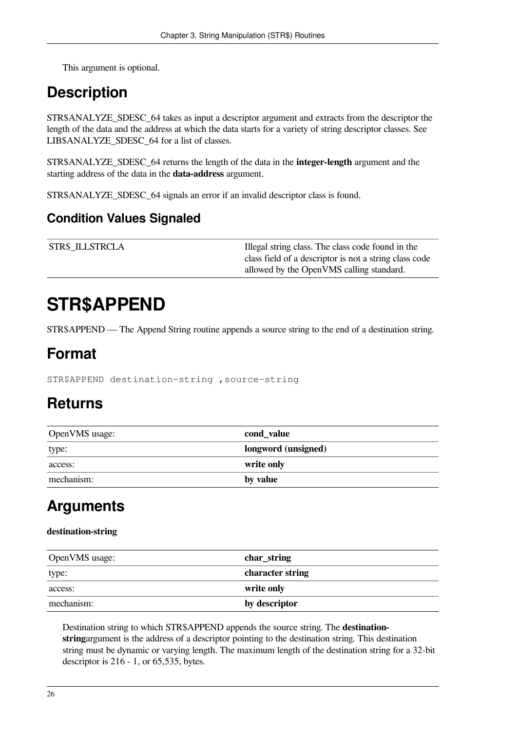This argument is optional.

## **Description**

STR\$ANALYZE\_SDESC\_64 takes as input a descriptor argument and extracts from the descriptor the length of the data and the address at which the data starts for a variety of string descriptor classes. See LIB\$ANALYZE\_SDESC\_64 for a list of classes.

STR\$ANALYZE\_SDESC\_64 returns the length of the data in the **integer-length** argument and the starting address of the data in the **data-address** argument.

STR\$ANALYZE\_SDESC\_64 signals an error if an invalid descriptor class is found.

### **Condition Values Signaled**

| <b>STR\$ ILLSTRCLA</b> | Illegal string class. The class code found in the      |
|------------------------|--------------------------------------------------------|
|                        | class field of a descriptor is not a string class code |
|                        | allowed by the OpenVMS calling standard.               |

# <span id="page-31-0"></span>**STR\$APPEND**

STR\$APPEND — The Append String routine appends a source string to the end of a destination string.

### **Format**

STR\$APPEND destination-string ,source-string

### **Returns**

| OpenVMS usage: | cond_value          |
|----------------|---------------------|
| type:          | longword (unsigned) |
| access:        | write only          |
| mechanism:     | by value            |

# **Arguments**

#### **destination-string**

| OpenVMS usage: | char_string      |
|----------------|------------------|
| type:          | character string |
| access:        | write only       |
| mechanism:     | by descriptor    |

Destination string to which STR\$APPEND appends the source string. The **destinationstring**argument is the address of a descriptor pointing to the destination string. This destination string must be dynamic or varying length. The maximum length of the destination string for a 32-bit descriptor is 216 - 1, or 65,535, bytes.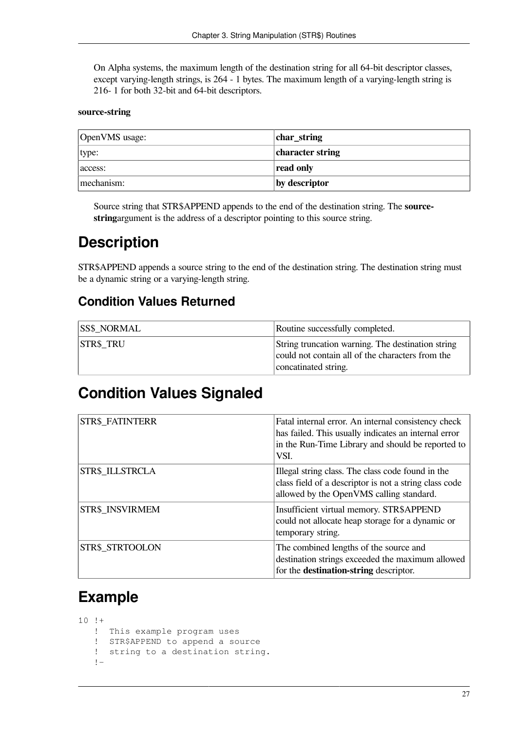On Alpha systems, the maximum length of the destination string for all 64-bit descriptor classes, except varying-length strings, is 264 - 1 bytes. The maximum length of a varying-length string is 216- 1 for both 32-bit and 64-bit descriptors.

#### **source-string**

| OpenVMS usage: | char_string      |
|----------------|------------------|
| type:          | character string |
| access:        | read only        |
| mechanism:     | by descriptor    |

Source string that STR\$APPEND appends to the end of the destination string. The **sourcestring**argument is the address of a descriptor pointing to this source string.

## **Description**

STR\$APPEND appends a source string to the end of the destination string. The destination string must be a dynamic string or a varying-length string.

### **Condition Values Returned**

| <b>SS\$ NORMAL</b> | Routine successfully completed.                                                                       |
|--------------------|-------------------------------------------------------------------------------------------------------|
| <b>STR\$ TRU</b>   | String truncation warning. The destination string<br>could not contain all of the characters from the |
|                    | concatinated string.                                                                                  |

### **Condition Values Signaled**

| <b>STR\$ FATINTERR</b> | Fatal internal error. An internal consistency check<br>has failed. This usually indicates an internal error<br>in the Run-Time Library and should be reported to<br>VSI. |
|------------------------|--------------------------------------------------------------------------------------------------------------------------------------------------------------------------|
| STR\$ ILLSTRCLA        | Illegal string class. The class code found in the<br>class field of a descriptor is not a string class code<br>allowed by the OpenVMS calling standard.                  |
| <b>STR\$ INSVIRMEM</b> | Insufficient virtual memory. STR\$APPEND<br>could not allocate heap storage for a dynamic or<br>temporary string.                                                        |
| STR\$ STRTOOLON        | The combined lengths of the source and<br>destination strings exceeded the maximum allowed<br>for the <b>destination-string</b> descriptor.                              |

### **Example**

10 !+ ! This example program uses ! STR\$APPEND to append a source ! string to a destination string. !-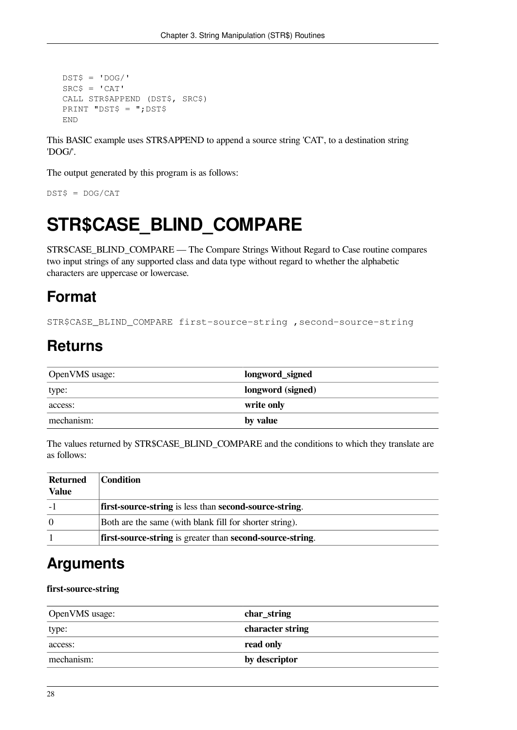```
DST$ = 'DOG'SRC$ = 'CAT' CALL STR$APPEND (DST$, SRC$)
 PRINT "DST$ = ";DST$
 END
```
This BASIC example uses STR\$APPEND to append a source string 'CAT', to a destination string 'DOG/'.

The output generated by this program is as follows:

<span id="page-33-0"></span>DST\$ = DOG/CAT

# **STR\$CASE\_BLIND\_COMPARE**

STR\$CASE\_BLIND\_COMPARE — The Compare Strings Without Regard to Case routine compares two input strings of any supported class and data type without regard to whether the alphabetic characters are uppercase or lowercase.

## **Format**

STR\$CASE\_BLIND\_COMPARE first-source-string ,second-source-string

## **Returns**

| OpenVMS usage: | longword_signed   |
|----------------|-------------------|
| type:          | longword (signed) |
| access:        | write only        |
| mechanism:     | by value          |

The values returned by STR\$CASE\_BLIND\_COMPARE and the conditions to which they translate are as follows:

| Returned<br><b>Value</b> | <b>Condition</b>                                          |
|--------------------------|-----------------------------------------------------------|
|                          | first-source-string is less than second-source-string.    |
| 0                        | Both are the same (with blank fill for shorter string).   |
|                          | first-source-string is greater than second-source-string. |

### **Arguments**

#### **first-source-string**

| OpenVMS usage: | char_string      |
|----------------|------------------|
| type:          | character string |
| access:        | read only        |
| mechanism:     | by descriptor    |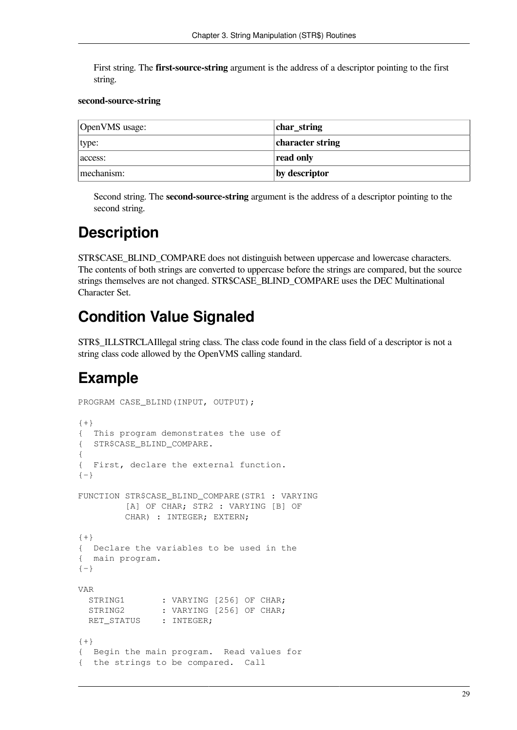First string. The **first-source-string** argument is the address of a descriptor pointing to the first string.

#### **second-source-string**

| OpenVMS usage: | char_string      |
|----------------|------------------|
| type:          | character string |
| access:        | read only        |
| mechanism:     | by descriptor    |

Second string. The **second-source-string** argument is the address of a descriptor pointing to the second string.

## **Description**

STR\$CASE\_BLIND\_COMPARE does not distinguish between uppercase and lowercase characters. The contents of both strings are converted to uppercase before the strings are compared, but the source strings themselves are not changed. STR\$CASE\_BLIND\_COMPARE uses the DEC Multinational Character Set.

## **Condition Value Signaled**

STR\$\_ILLSTRCLAIllegal string class. The class code found in the class field of a descriptor is not a string class code allowed by the OpenVMS calling standard.

### **Example**

```
PROGRAM CASE_BLIND(INPUT, OUTPUT);
{+}{ This program demonstrates the use of
{ STR$CASE_BLIND_COMPARE.
{
{ First, declare the external function.
{-}FUNCTION STR$CASE_BLIND_COMPARE(STR1 : VARYING
          [A] OF CHAR; STR2 : VARYING [B] OF
          CHAR) : INTEGER; EXTERN;
{+}{ Declare the variables to be used in the
{ main program.
\{-\}VAR
 STRING1 : VARYING [256] OF CHAR;<br>STRING2 : VARYING [256] OF CHAR;
               : VARYING [256] OF CHAR;
 RET STATUS : INTEGER;
{+}{ Begin the main program. Read values for
{ the strings to be compared. Call
```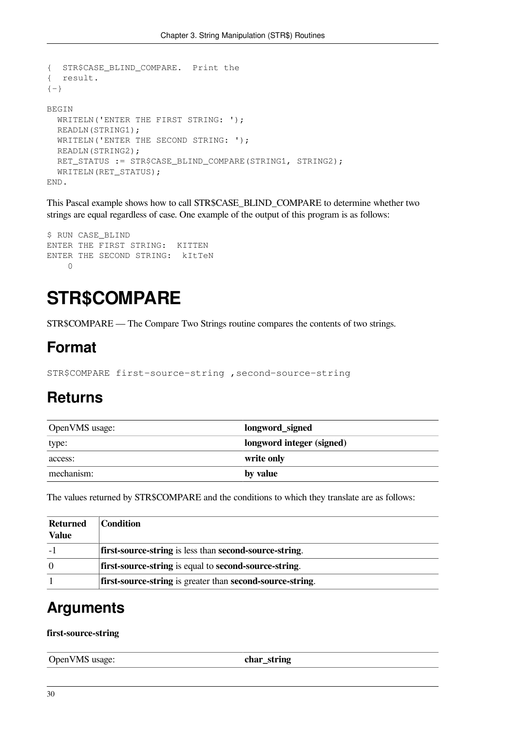```
{ STR$CASE_BLIND_COMPARE. Print the
{ result.
{-}BEGIN
 WRITELN('ENTER THE FIRST STRING: ');
  READLN(STRING1);
 WRITELN('ENTER THE SECOND STRING: ');
  READLN(STRING2);
   RET_STATUS := STR$CASE_BLIND_COMPARE(STRING1, STRING2);
   WRITELN(RET_STATUS);
END.
```
This Pascal example shows how to call STR\$CASE\_BLIND\_COMPARE to determine whether two strings are equal regardless of case. One example of the output of this program is as follows:

```
$ RUN CASE_BLIND
ENTER THE FIRST STRING: KITTEN
ENTER THE SECOND STRING: kItTeN
    \cap
```
# <span id="page-35-0"></span>**STR\$COMPARE**

STR\$COMPARE — The Compare Two Strings routine compares the contents of two strings.

### **Format**

STR\$COMPARE first-source-string ,second-source-string

### **Returns**

| OpenVMS usage: | longword_signed           |
|----------------|---------------------------|
| type:          | longword integer (signed) |
| access:        | write only                |
| mechanism:     | by value                  |

The values returned by STR\$COMPARE and the conditions to which they translate are as follows:

| Returned     | <b>Condition</b>                                          |
|--------------|-----------------------------------------------------------|
| <b>Value</b> |                                                           |
|              | first-source-string is less than second-source-string.    |
| $\theta$     | first-source-string is equal to second-source-string.     |
|              | first-source-string is greater than second-source-string. |

### **Arguments**

#### **first-source-string**

| OpenVMS usage: | char<br>string |
|----------------|----------------|
|                |                |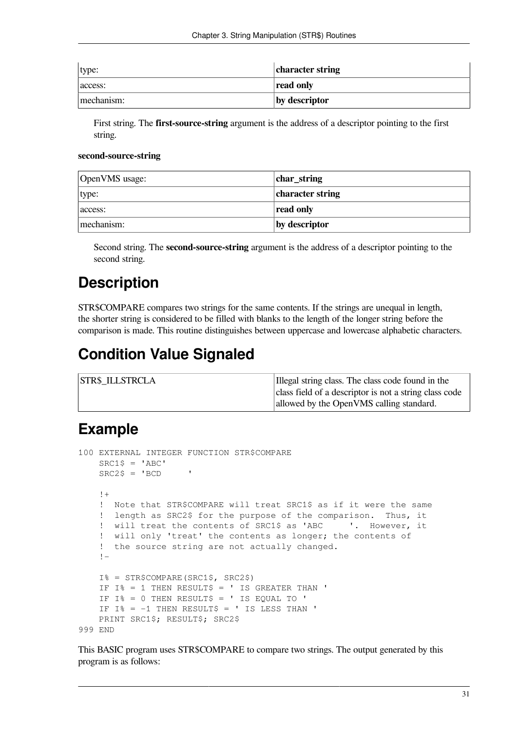| type:      | character string |
|------------|------------------|
| access:    | read only        |
| mechanism: | by descriptor    |

First string. The **first-source-string** argument is the address of a descriptor pointing to the first string.

#### **second-source-string**

| OpenVMS usage: | char_string      |
|----------------|------------------|
| type:          | character string |
| access:        | read only        |
| mechanism:     | by descriptor    |

Second string. The **second-source-string** argument is the address of a descriptor pointing to the second string.

#### **Description**

STR\$COMPARE compares two strings for the same contents. If the strings are unequal in length, the shorter string is considered to be filled with blanks to the length of the longer string before the comparison is made. This routine distinguishes between uppercase and lowercase alphabetic characters.

#### **Condition Value Signaled**

| <b>STR\$ ILLSTRCLA</b> | Illegal string class. The class code found in the      |
|------------------------|--------------------------------------------------------|
|                        | class field of a descriptor is not a string class code |
|                        | allowed by the OpenVMS calling standard.               |

#### **Example**

```
100 EXTERNAL INTEGER FUNCTION STR$COMPARE
   SRC1$ = 'ABC'SRC2$ = 'BCD !+
    ! Note that STR$COMPARE will treat SRC1$ as if it were the same
     ! length as SRC2$ for the purpose of the comparison. Thus, it
    ! will treat the contents of SRC1$ as 'ABC '. However, it
     ! will only 'treat' the contents as longer; the contents of
     ! the source string are not actually changed.
     !-
    I% = STR$COMPARE(SRC1$, SRC2$)
   IF I^* = 1 THEN RESULT$ = ' IS GREATER THAN '
   IF I% = 0 THEN RESULT$ = ' IS EQUAL TO 'IF I% = -1 THEN RESULT$ = ' IS LESS THAN '
    PRINT SRC1$; RESULT$; SRC2$
999 END
```
This BASIC program uses STR\$COMPARE to compare two strings. The output generated by this program is as follows: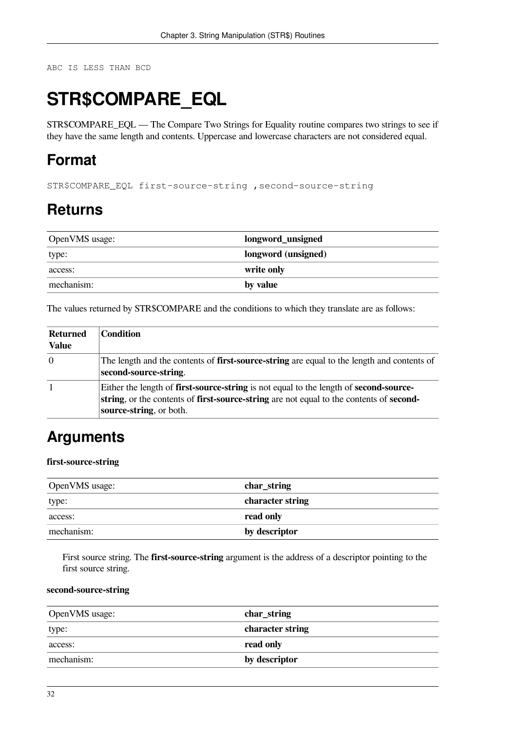ABC IS LESS THAN BCD

## **STR\$COMPARE\_EQL**

STR\$COMPARE\_EQL — The Compare Two Strings for Equality routine compares two strings to see if they have the same length and contents. Uppercase and lowercase characters are not considered equal.

### **Format**

STR\$COMPARE\_EQL first-source-string ,second-source-string

### **Returns**

| OpenVMS usage: | longword_unsigned   |
|----------------|---------------------|
| type:          | longword (unsigned) |
| access:        | write only          |
| mechanism:     | by value            |

The values returned by STR\$COMPARE and the conditions to which they translate are as follows:

| <b>Returned</b><br><b>Value</b> | <b>Condition</b>                                                                                                                                                                                                          |
|---------------------------------|---------------------------------------------------------------------------------------------------------------------------------------------------------------------------------------------------------------------------|
| $ 0\rangle$                     | The length and the contents of <b>first-source-string</b> are equal to the length and contents of<br>second-source-string.                                                                                                |
|                                 | Either the length of <b>first-source-string</b> is not equal to the length of <b>second-source-</b><br>string, or the contents of first-source-string are not equal to the contents of second-<br>source-string, or both. |

### **Arguments**

#### **first-source-string**

| OpenVMS usage: | char_string      |
|----------------|------------------|
| type:          | character string |
| access:        | read only        |
| mechanism:     | by descriptor    |

First source string. The **first-source-string** argument is the address of a descriptor pointing to the first source string.

#### **second-source-string**

| OpenVMS usage: | char_string      |
|----------------|------------------|
| type:          | character string |
| access:        | read only        |
| mechanism:     | by descriptor    |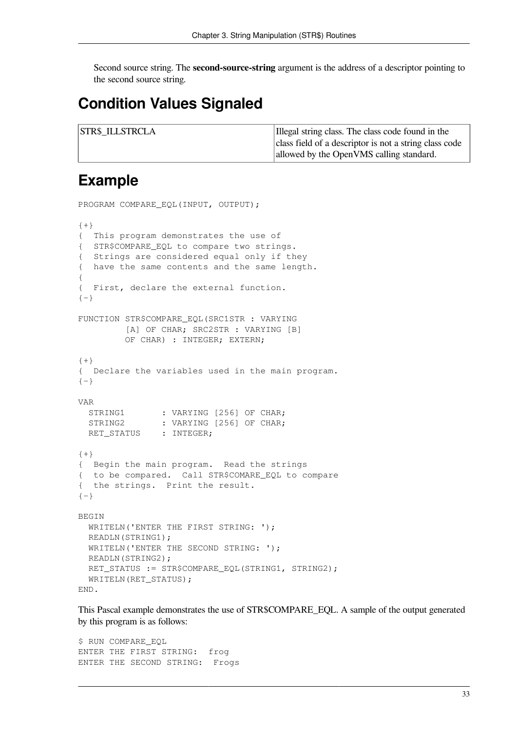Second source string. The **second-source-string** argument is the address of a descriptor pointing to the second source string.

#### **Condition Values Signaled**

| <b>STR\$ ILLSTRCLA</b> | Illegal string class. The class code found in the      |
|------------------------|--------------------------------------------------------|
|                        | class field of a descriptor is not a string class code |
|                        | allowed by the OpenVMS calling standard.               |

#### **Example**

```
PROGRAM COMPARE EQL(INPUT, OUTPUT);
\{+\}{ This program demonstrates the use of
{ STR$COMPARE_EQL to compare two strings.
{ Strings are considered equal only if they
{ have the same contents and the same length.
{
{ First, declare the external function.
{-}FUNCTION STR$COMPARE_EQL(SRC1STR : VARYING
          [A] OF CHAR; SRC2STR : VARYING [B]
         OF CHAR) : INTEGER; EXTERN;
{+}
{ Declare the variables used in the main program.
{-}VAR
 STRING1 : VARYING [256] OF CHAR;
 STRING2 : VARYING [256] OF CHAR;
 RET_STATUS : INTEGER;
{+}{ Begin the main program. Read the strings
{ to be compared. Call STR$COMARE_EQL to compare
{ the strings. Print the result.
{-}BEGIN
 WRITELN('ENTER THE FIRST STRING: ');
  READLN(STRING1);
 WRITELN('ENTER THE SECOND STRING: ');
  READLN(STRING2);
  RET_STATUS := STR$COMPARE_EQL(STRING1, STRING2);
   WRITELN(RET_STATUS);
END.
```
This Pascal example demonstrates the use of STR\$COMPARE\_EQL. A sample of the output generated by this program is as follows:

\$ RUN COMPARE EOL ENTER THE FIRST STRING: frog ENTER THE SECOND STRING: Frogs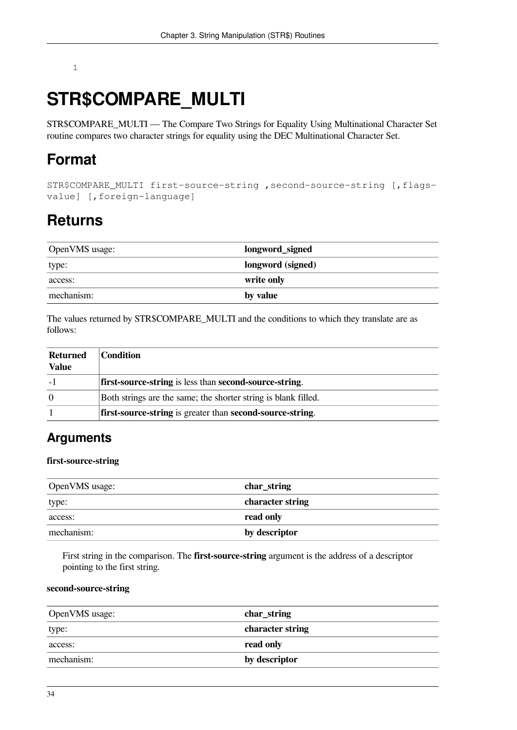#### 1

## **STR\$COMPARE\_MULTI**

STR\$COMPARE\_MULTI — The Compare Two Strings for Equality Using Multinational Character Set routine compares two character strings for equality using the DEC Multinational Character Set.

#### **Format**

```
STR$COMPARE_MULTI first-source-string ,second-source-string [,flags-
value] [,foreign-language]
```
#### **Returns**

| OpenVMS usage: | longword_signed   |
|----------------|-------------------|
| type:          | longword (signed) |
| access:        | write only        |
| mechanism:     | by value          |

The values returned by STR\$COMPARE\_MULTI and the conditions to which they translate are as follows:

| Returned<br><b>Value</b> | <b>Condition</b>                                               |
|--------------------------|----------------------------------------------------------------|
|                          | first-source-string is less than second-source-string.         |
| $\Omega$                 | Both strings are the same; the shorter string is blank filled. |
|                          | first-source-string is greater than second-source-string.      |

#### **Arguments**

#### **first-source-string**

| OpenVMS usage: | char_string      |
|----------------|------------------|
| type:          | character string |
| access:        | read only        |
| mechanism:     | by descriptor    |

First string in the comparison. The **first-source-string** argument is the address of a descriptor pointing to the first string.

#### **second-source-string**

| OpenVMS usage: | char_string      |
|----------------|------------------|
| type:          | character string |
| access:        | read only        |
| mechanism:     | by descriptor    |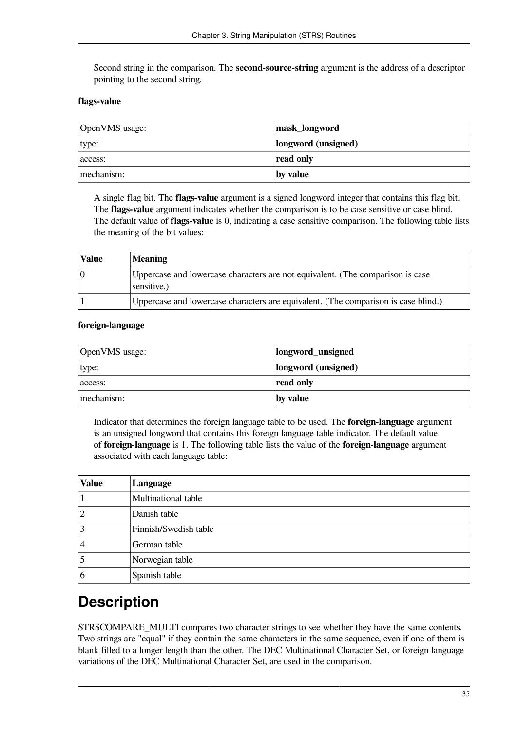Second string in the comparison. The **second-source-string** argument is the address of a descriptor pointing to the second string.

#### **flags-value**

| OpenVMS usage: | mask_longword       |
|----------------|---------------------|
| type:          | longword (unsigned) |
| access:        | read only           |
| mechanism:     | by value            |

A single flag bit. The **flags-value** argument is a signed longword integer that contains this flag bit. The **flags-value** argument indicates whether the comparison is to be case sensitive or case blind. The default value of **flags-value** is 0, indicating a case sensitive comparison. The following table lists the meaning of the bit values:

| <b>Value</b> | <b>Meaning</b>                                                                                |
|--------------|-----------------------------------------------------------------------------------------------|
|              | Uppercase and lowercase characters are not equivalent. (The comparison is case<br>sensitive.) |
|              | Uppercase and lowercase characters are equivalent. (The comparison is case blind.)            |

#### **foreign-language**

| OpenVMS usage: | longword_unsigned   |
|----------------|---------------------|
| type:          | longword (unsigned) |
| access:        | read only           |
| mechanism:     | by value            |

Indicator that determines the foreign language table to be used. The **foreign-language** argument is an unsigned longword that contains this foreign language table indicator. The default value of **foreign-language** is 1. The following table lists the value of the **foreign-language** argument associated with each language table:

| <b>Value</b> | Language              |
|--------------|-----------------------|
|              | Multinational table   |
|              | Danish table          |
|              | Finnish/Swedish table |
| 4            | German table          |
|              | Norwegian table       |
| 6            | Spanish table         |

#### **Description**

STR\$COMPARE\_MULTI compares two character strings to see whether they have the same contents. Two strings are "equal" if they contain the same characters in the same sequence, even if one of them is blank filled to a longer length than the other. The DEC Multinational Character Set, or foreign language variations of the DEC Multinational Character Set, are used in the comparison.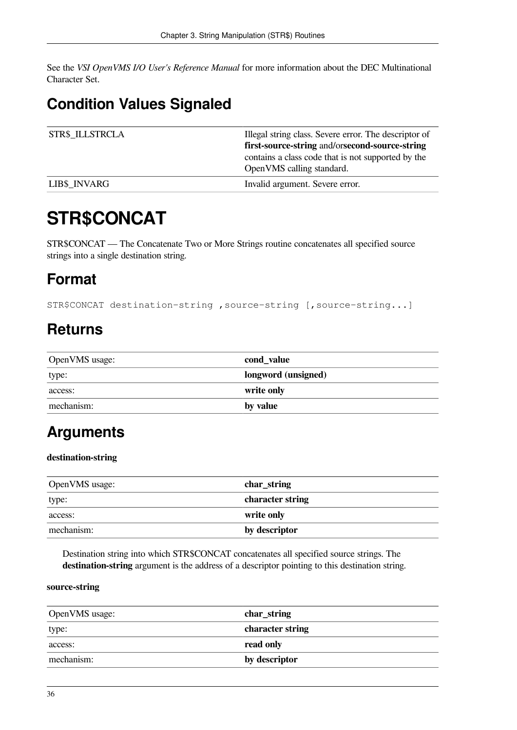See the *VSI OpenVMS I/O User's Reference Manual* for more information about the DEC Multinational Character Set.

## **Condition Values Signaled**

| <b>STR\$ ILLSTRCLA</b> | Illegal string class. Severe error. The descriptor of |
|------------------------|-------------------------------------------------------|
|                        | <b>first-source-string and/orsecond-source-string</b> |
|                        | contains a class code that is not supported by the    |
|                        | OpenVMS calling standard.                             |
| <b>LIB\$ INVARG</b>    | Invalid argument. Severe error.                       |

## **STR\$CONCAT**

STR\$CONCAT — The Concatenate Two or More Strings routine concatenates all specified source strings into a single destination string.

### **Format**

STR\$CONCAT destination-string ,source-string [,source-string...]

### **Returns**

| OpenVMS usage: | cond_value          |
|----------------|---------------------|
| type:          | longword (unsigned) |
| access:        | write only          |
| mechanism:     | by value            |

### **Arguments**

#### **destination-string**

| OpenVMS usage: | char_string      |
|----------------|------------------|
| type:          | character string |
| access:        | write only       |
| mechanism:     | by descriptor    |

Destination string into which STR\$CONCAT concatenates all specified source strings. The **destination-string** argument is the address of a descriptor pointing to this destination string.

#### **source-string**

| OpenVMS usage: | char_string      |
|----------------|------------------|
| type:          | character string |
| access:        | read only        |
| mechanism:     | by descriptor    |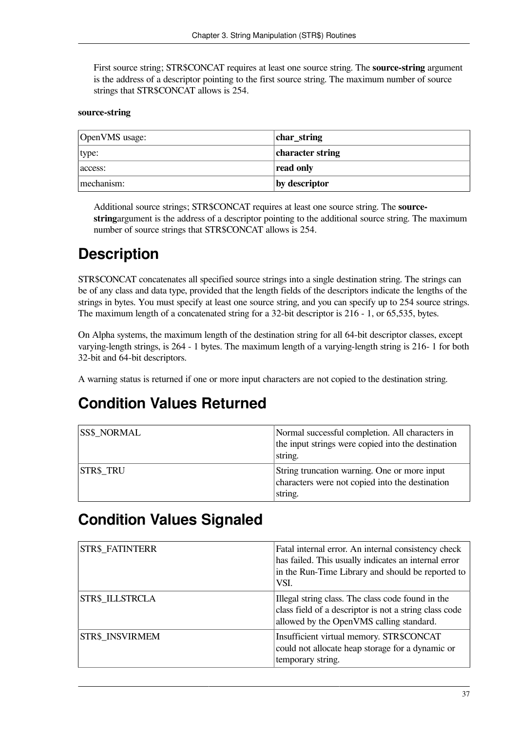First source string; STR\$CONCAT requires at least one source string. The **source-string** argument is the address of a descriptor pointing to the first source string. The maximum number of source strings that STR\$CONCAT allows is 254.

#### **source-string**

| OpenVMS usage: | char_string      |
|----------------|------------------|
| type:          | character string |
| access:        | read only        |
| mechanism:     | by descriptor    |

Additional source strings; STR\$CONCAT requires at least one source string. The **sourcestring**argument is the address of a descriptor pointing to the additional source string. The maximum number of source strings that STR\$CONCAT allows is 254.

### **Description**

STR\$CONCAT concatenates all specified source strings into a single destination string. The strings can be of any class and data type, provided that the length fields of the descriptors indicate the lengths of the strings in bytes. You must specify at least one source string, and you can specify up to 254 source strings. The maximum length of a concatenated string for a 32-bit descriptor is 216 - 1, or 65,535, bytes.

On Alpha systems, the maximum length of the destination string for all 64-bit descriptor classes, except varying-length strings, is 264 - 1 bytes. The maximum length of a varying-length string is 216- 1 for both 32-bit and 64-bit descriptors.

A warning status is returned if one or more input characters are not copied to the destination string.

### **Condition Values Returned**

| <b>SS\$ NORMAL</b> | Normal successful completion. All characters in<br>the input strings were copied into the destination<br>string. |
|--------------------|------------------------------------------------------------------------------------------------------------------|
| <b>STR\$ TRU</b>   | String truncation warning. One or more input<br>characters were not copied into the destination<br>string.       |

#### **Condition Values Signaled**

| <b>STR\$ FATINTERR</b> | Fatal internal error. An internal consistency check<br>has failed. This usually indicates an internal error<br>in the Run-Time Library and should be reported to<br>VSI. |
|------------------------|--------------------------------------------------------------------------------------------------------------------------------------------------------------------------|
| <b>STR\$ ILLSTRCLA</b> | Illegal string class. The class code found in the<br>class field of a descriptor is not a string class code<br>allowed by the OpenVMS calling standard.                  |
| <b>STR\$ INSVIRMEM</b> | Insufficient virtual memory. STR\$CONCAT<br>could not allocate heap storage for a dynamic or<br>temporary string.                                                        |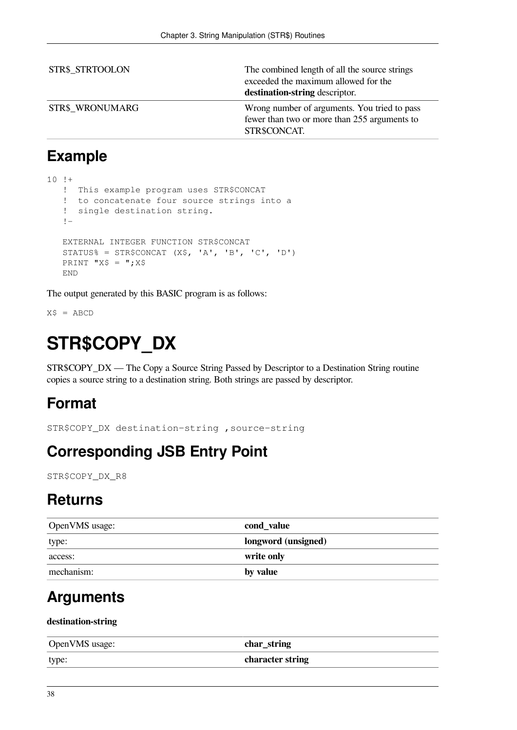| <b>STR\$ STRTOOLON</b> | The combined length of all the source strings<br>exceeded the maximum allowed for the<br>destination-string descriptor. |
|------------------------|-------------------------------------------------------------------------------------------------------------------------|
| <b>STR\$_WRONUMARG</b> | Wrong number of arguments. You tried to pass<br>fewer than two or more than 255 arguments to<br>STR\$CONCAT.            |

### **Example**

```
10 + ! This example program uses STR$CONCAT
    ! to concatenate four source strings into a
    ! single destination string.
    !-
   EXTERNAL INTEGER FUNCTION STR$CONCAT
   STATUS% = STR$CONCAT (X$, 'A', 'B', 'C', 'D')PRINT "X$ = ": X$
   END
```
The output generated by this BASIC program is as follows:

 $X$ = ABCD$ 

## **STR\$COPY\_DX**

STR\$COPY\_DX — The Copy a Source String Passed by Descriptor to a Destination String routine copies a source string to a destination string. Both strings are passed by descriptor.

### **Format**

STR\$COPY\_DX destination-string ,source-string

### **Corresponding JSB Entry Point**

STR\$COPY\_DX\_R8

#### **Returns**

| OpenVMS usage: | cond_value          |
|----------------|---------------------|
| type:          | longword (unsigned) |
| access:        | write only          |
| mechanism:     | by value            |

### **Arguments**

#### **destination-string**

| OpenVMS usage: | char_string      |
|----------------|------------------|
| type:          | character string |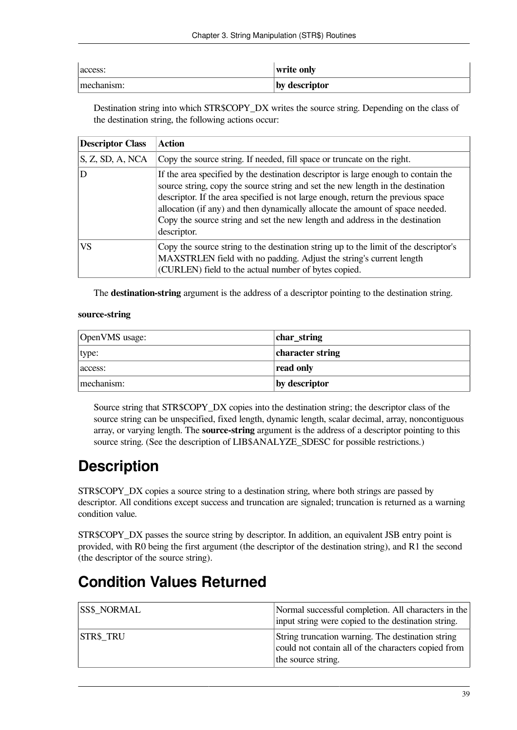| access:    | write only    |
|------------|---------------|
| mechanism: | by descriptor |

Destination string into which STR\$COPY\_DX writes the source string. Depending on the class of the destination string, the following actions occur:

| <b>Descriptor Class</b> | <b>Action</b>                                                                                                                                                                                                                                                                                                                                                                                                                             |
|-------------------------|-------------------------------------------------------------------------------------------------------------------------------------------------------------------------------------------------------------------------------------------------------------------------------------------------------------------------------------------------------------------------------------------------------------------------------------------|
| S, Z, SD, A, NCA        | Copy the source string. If needed, fill space or truncate on the right.                                                                                                                                                                                                                                                                                                                                                                   |
| D                       | If the area specified by the destination descriptor is large enough to contain the<br>source string, copy the source string and set the new length in the destination<br>descriptor. If the area specified is not large enough, return the previous space<br>allocation (if any) and then dynamically allocate the amount of space needed.<br>Copy the source string and set the new length and address in the destination<br>descriptor. |
| VS.                     | Copy the source string to the destination string up to the limit of the descriptor's<br>MAXSTRLEN field with no padding. Adjust the string's current length<br>(CURLEN) field to the actual number of bytes copied.                                                                                                                                                                                                                       |

The **destination-string** argument is the address of a descriptor pointing to the destination string.

#### **source-string**

| OpenVMS usage: | char_string      |
|----------------|------------------|
| type:          | character string |
| access:        | read only        |
| mechanism:     | by descriptor    |

Source string that STR\$COPY\_DX copies into the destination string; the descriptor class of the source string can be unspecified, fixed length, dynamic length, scalar decimal, array, noncontiguous array, or varying length. The **source-string** argument is the address of a descriptor pointing to this source string. (See the description of LIB\$ANALYZE\_SDESC for possible restrictions.)

## **Description**

STR\$COPY DX copies a source string to a destination string, where both strings are passed by descriptor. All conditions except success and truncation are signaled; truncation is returned as a warning condition value.

STR\$COPY\_DX passes the source string by descriptor. In addition, an equivalent JSB entry point is provided, with R0 being the first argument (the descriptor of the destination string), and R1 the second (the descriptor of the source string).

### **Condition Values Returned**

| <b>SS\$ NORMAL</b> | Normal successful completion. All characters in the<br>input string were copied to the destination string.                     |
|--------------------|--------------------------------------------------------------------------------------------------------------------------------|
| <b>STR\$ TRU</b>   | String truncation warning. The destination string<br>could not contain all of the characters copied from<br>the source string. |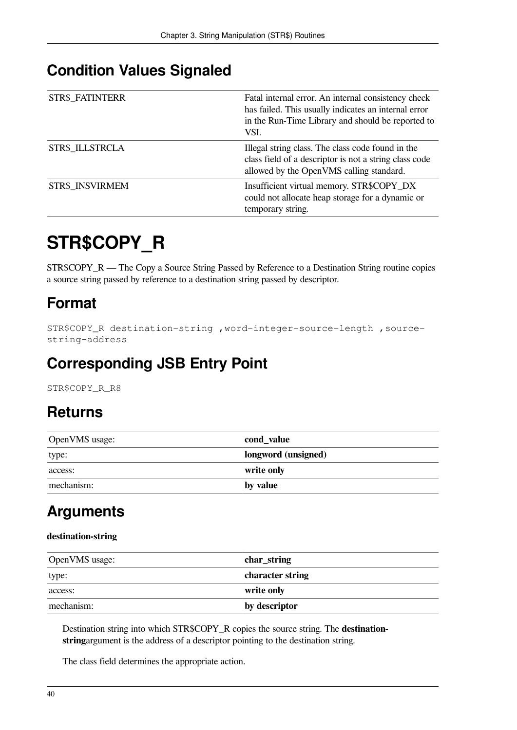#### **Condition Values Signaled**

| <b>STR\$ FATINTERR</b> | Fatal internal error. An internal consistency check<br>has failed. This usually indicates an internal error<br>in the Run-Time Library and should be reported to<br>VSI. |
|------------------------|--------------------------------------------------------------------------------------------------------------------------------------------------------------------------|
| STR\$ ILLSTRCLA        | Illegal string class. The class code found in the<br>class field of a descriptor is not a string class code<br>allowed by the OpenVMS calling standard.                  |
| STR\$ INSVIRMEM        | Insufficient virtual memory. STR\$COPY_DX<br>could not allocate heap storage for a dynamic or<br>temporary string.                                                       |

# **STR\$COPY\_R**

STR\$COPY\_R — The Copy a Source String Passed by Reference to a Destination String routine copies a source string passed by reference to a destination string passed by descriptor.

## **Format**

```
STR$COPY_R destination-string ,word-integer-source-length ,source-
string-address
```
### **Corresponding JSB Entry Point**

STR\$COPY\_R\_R8

### **Returns**

| OpenVMS usage: | cond_value          |
|----------------|---------------------|
| type:          | longword (unsigned) |
| access:        | write only          |
| mechanism:     | by value            |

## **Arguments**

#### **destination-string**

| OpenVMS usage: | $ char_{str}$    |
|----------------|------------------|
| type:          | character string |
| access:        | write only       |
| mechanism:     | by descriptor    |

Destination string into which STR\$COPY\_R copies the source string. The **destinationstring**argument is the address of a descriptor pointing to the destination string.

The class field determines the appropriate action.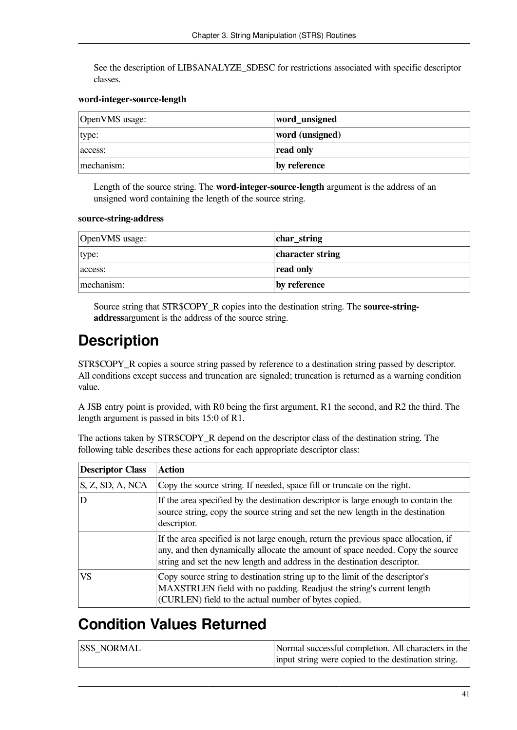See the description of LIB\$ANALYZE\_SDESC for restrictions associated with specific descriptor classes.

#### **word-integer-source-length**

| OpenVMS usage: | word_unsigned   |
|----------------|-----------------|
| type:          | word (unsigned) |
| access:        | read only       |
| mechanism:     | by reference    |

Length of the source string. The **word-integer-source-length** argument is the address of an unsigned word containing the length of the source string.

#### **source-string-address**

| OpenVMS usage: | char_string      |
|----------------|------------------|
| type:          | character string |
| access:        | read only        |
| mechanism:     | by reference     |

Source string that STR\$COPY\_R copies into the destination string. The **source-stringaddress**argument is the address of the source string.

### **Description**

STR\$COPY\_R copies a source string passed by reference to a destination string passed by descriptor. All conditions except success and truncation are signaled; truncation is returned as a warning condition value.

A JSB entry point is provided, with R0 being the first argument, R1 the second, and R2 the third. The length argument is passed in bits 15:0 of R1.

The actions taken by STR\$COPY\_R depend on the descriptor class of the destination string. The following table describes these actions for each appropriate descriptor class:

| <b>Descriptor Class</b> | <b>Action</b>                                                                                                                                                                                                                                     |
|-------------------------|---------------------------------------------------------------------------------------------------------------------------------------------------------------------------------------------------------------------------------------------------|
| $S$ , Z, SD, A, NCA     | Copy the source string. If needed, space fill or truncate on the right.                                                                                                                                                                           |
| D                       | If the area specified by the destination descriptor is large enough to contain the<br>source string, copy the source string and set the new length in the destination<br>descriptor.                                                              |
|                         | If the area specified is not large enough, return the previous space allocation, if<br>any, and then dynamically allocate the amount of space needed. Copy the source<br>string and set the new length and address in the destination descriptor. |
| VS                      | Copy source string to destination string up to the limit of the descriptor's<br>MAXSTRLEN field with no padding. Readjust the string's current length<br>(CURLEN) field to the actual number of bytes copied.                                     |

### **Condition Values Returned**

| <b>SS\$ NORMAL</b> | Normal successful completion. All characters in the |
|--------------------|-----------------------------------------------------|
|                    | input string were copied to the destination string. |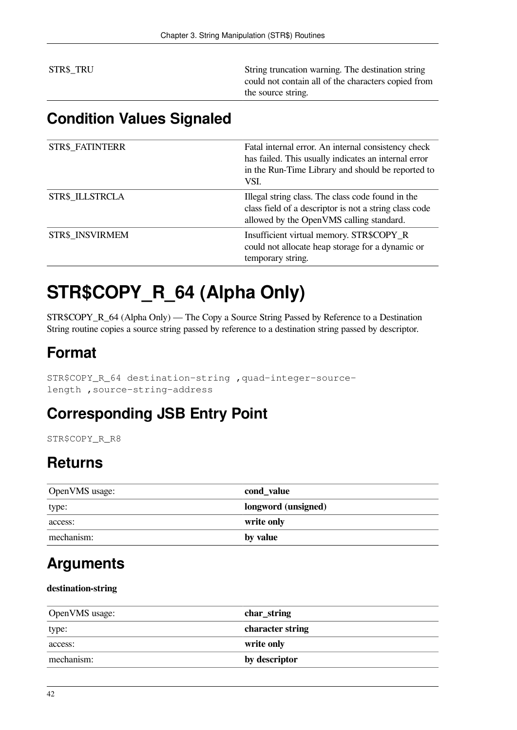STR\$\_TRU String truncation warning. The destination string could not contain all of the characters copied from the source string.

### **Condition Values Signaled**

| <b>STR\$_FATINTERR</b> | Fatal internal error. An internal consistency check<br>has failed. This usually indicates an internal error<br>in the Run-Time Library and should be reported to<br>VSI. |
|------------------------|--------------------------------------------------------------------------------------------------------------------------------------------------------------------------|
| STR\$ ILLSTRCLA        | Illegal string class. The class code found in the<br>class field of a descriptor is not a string class code<br>allowed by the OpenVMS calling standard.                  |
| STR\$ INSVIRMEM        | Insufficient virtual memory. STR\$COPY_R<br>could not allocate heap storage for a dynamic or<br>temporary string.                                                        |

## **STR\$COPY\_R\_64 (Alpha Only)**

STR\$COPY\_R\_64 (Alpha Only) — The Copy a Source String Passed by Reference to a Destination String routine copies a source string passed by reference to a destination string passed by descriptor.

### **Format**

STR\$COPY\_R\_64 destination-string ,quad-integer-sourcelength ,source-string-address

### **Corresponding JSB Entry Point**

STR\$COPY R\_R8

### **Returns**

| OpenVMS usage: | cond_value          |
|----------------|---------------------|
| type:          | longword (unsigned) |
| access:        | write only          |
| mechanism:     | by value            |

### **Arguments**

#### **destination-string**

| OpenVMS usage: | $ char_{str}$    |
|----------------|------------------|
| type:          | character string |
| access:        | write only       |
| mechanism:     | by descriptor    |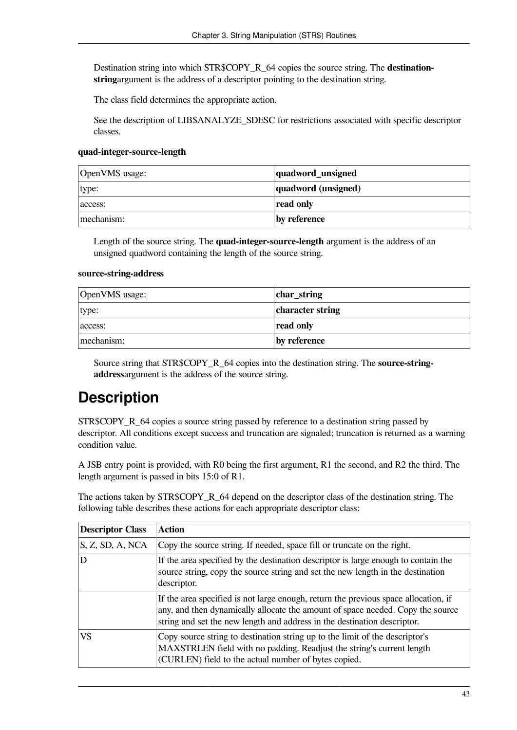Destination string into which STR\$COPY\_R\_64 copies the source string. The **destinationstring**argument is the address of a descriptor pointing to the destination string.

The class field determines the appropriate action.

See the description of LIB\$ANALYZE\_SDESC for restrictions associated with specific descriptor classes.

#### **quad-integer-source-length**

| OpenVMS usage: | quadword_unsigned   |
|----------------|---------------------|
| type:          | quadword (unsigned) |
| access:        | read only           |
| mechanism:     | by reference        |

Length of the source string. The **quad-integer-source-length** argument is the address of an unsigned quadword containing the length of the source string.

#### **source-string-address**

| OpenVMS usage: | char_string      |
|----------------|------------------|
| type:          | character string |
| access:        | read only        |
| mechanism:     | by reference     |

Source string that STR\$COPY\_R\_64 copies into the destination string. The **source-stringaddress**argument is the address of the source string.

### **Description**

STR\$COPY\_R\_64 copies a source string passed by reference to a destination string passed by descriptor. All conditions except success and truncation are signaled; truncation is returned as a warning condition value.

A JSB entry point is provided, with R0 being the first argument, R1 the second, and R2 the third. The length argument is passed in bits 15:0 of R1.

The actions taken by STR\$COPY\_R\_64 depend on the descriptor class of the destination string. The following table describes these actions for each appropriate descriptor class:

| <b>Descriptor Class</b> | <b>Action</b>                                                                                                                                                                                                                                     |
|-------------------------|---------------------------------------------------------------------------------------------------------------------------------------------------------------------------------------------------------------------------------------------------|
| S, Z, SD, A, NCA        | Copy the source string. If needed, space fill or truncate on the right.                                                                                                                                                                           |
| D                       | If the area specified by the destination descriptor is large enough to contain the<br>source string, copy the source string and set the new length in the destination<br>descriptor.                                                              |
|                         | If the area specified is not large enough, return the previous space allocation, if<br>any, and then dynamically allocate the amount of space needed. Copy the source<br>string and set the new length and address in the destination descriptor. |
| VS.                     | Copy source string to destination string up to the limit of the descriptor's<br>MAXSTRLEN field with no padding. Readjust the string's current length<br>(CURLEN) field to the actual number of bytes copied.                                     |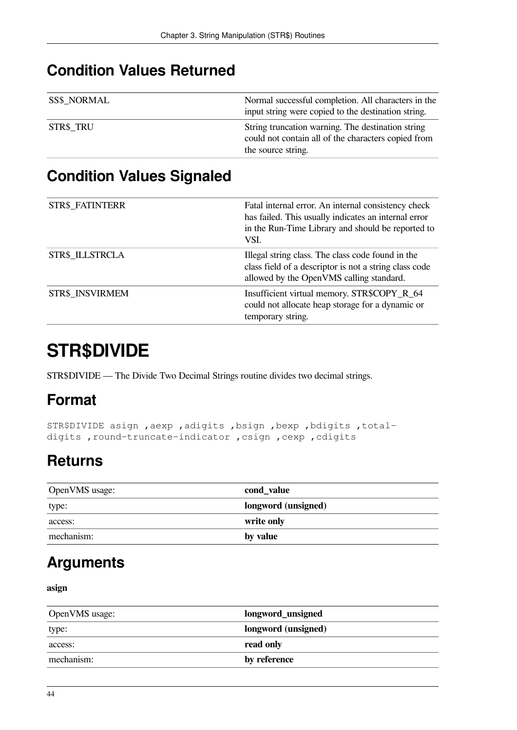### **Condition Values Returned**

| <b>SS\$ NORMAL</b> | Normal successful completion. All characters in the |
|--------------------|-----------------------------------------------------|
|                    | input string were copied to the destination string. |
| STR\$_TRU          | String truncation warning. The destination string   |
|                    | could not contain all of the characters copied from |
|                    | the source string.                                  |

### **Condition Values Signaled**

| <b>STR\$ FATINTERR</b> | Fatal internal error. An internal consistency check<br>has failed. This usually indicates an internal error<br>in the Run-Time Library and should be reported to<br>VSI. |
|------------------------|--------------------------------------------------------------------------------------------------------------------------------------------------------------------------|
| STR\$ ILLSTRCLA        | Illegal string class. The class code found in the<br>class field of a descriptor is not a string class code<br>allowed by the OpenVMS calling standard.                  |
| <b>STR\$ INSVIRMEM</b> | Insufficient virtual memory. STR\$COPY_R_64<br>could not allocate heap storage for a dynamic or<br>temporary string.                                                     |

## **STR\$DIVIDE**

STR\$DIVIDE — The Divide Two Decimal Strings routine divides two decimal strings.

### **Format**

STR\$DIVIDE asign ,aexp ,adigits ,bsign ,bexp ,bdigits ,totaldigits , round-truncate-indicator , csign , cexp , cdigits

## **Returns**

| OpenVMS usage: | cond_value          |
|----------------|---------------------|
| type:          | longword (unsigned) |
| access:        | write only          |
| mechanism:     | by value            |

### **Arguments**

**asign**

| OpenVMS usage: | longword_unsigned   |
|----------------|---------------------|
| type:          | longword (unsigned) |
| access:        | read only           |
| mechanism:     | by reference        |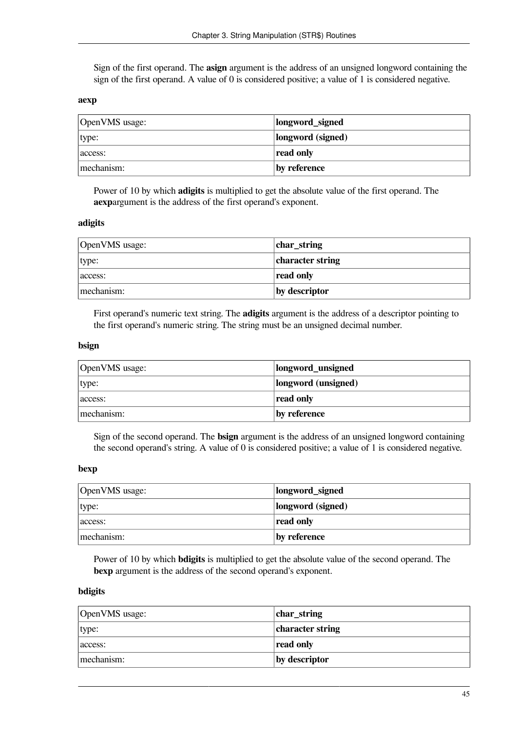Sign of the first operand. The **asign** argument is the address of an unsigned longword containing the sign of the first operand. A value of 0 is considered positive; a value of 1 is considered negative.

#### **aexp**

| OpenVMS usage: | longword_signed   |
|----------------|-------------------|
| type:          | longword (signed) |
| access:        | read only         |
| mechanism:     | by reference      |

Power of 10 by which **adigits** is multiplied to get the absolute value of the first operand. The **aexp**argument is the address of the first operand's exponent.

#### **adigits**

| OpenVMS usage: | char_string      |
|----------------|------------------|
| type:          | character string |
| access:        | read only        |
| mechanism:     | by descriptor    |

First operand's numeric text string. The **adigits** argument is the address of a descriptor pointing to the first operand's numeric string. The string must be an unsigned decimal number.

#### **bsign**

| OpenVMS usage: | longword_unsigned   |
|----------------|---------------------|
| type:          | longword (unsigned) |
| access:        | read only           |
| mechanism:     | by reference        |

Sign of the second operand. The **bsign** argument is the address of an unsigned longword containing the second operand's string. A value of 0 is considered positive; a value of 1 is considered negative.

#### **bexp**

| OpenVMS usage: | longword_signed   |
|----------------|-------------------|
| type:          | longword (signed) |
| access:        | read only         |
| mechanism:     | by reference      |

Power of 10 by which **bdigits** is multiplied to get the absolute value of the second operand. The **bexp** argument is the address of the second operand's exponent.

#### **bdigits**

| OpenVMS usage: | char_string      |
|----------------|------------------|
| type:          | character string |
| access:        | read only        |
| mechanism:     | by descriptor    |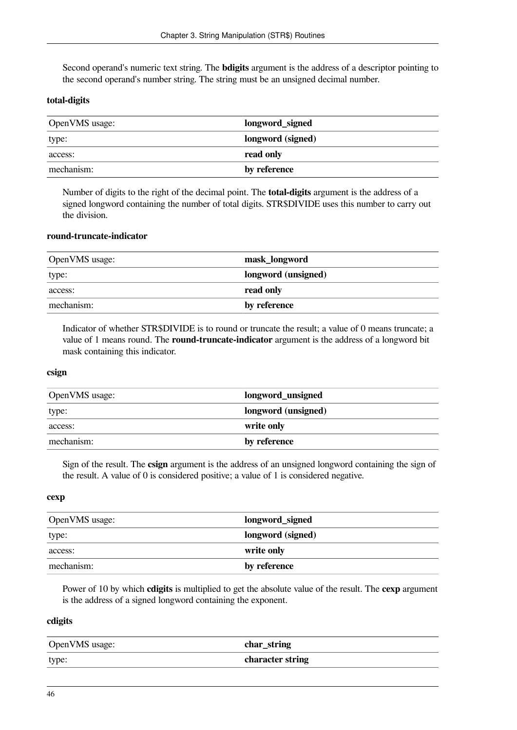Second operand's numeric text string. The **bdigits** argument is the address of a descriptor pointing to the second operand's number string. The string must be an unsigned decimal number.

#### **total-digits**

| OpenVMS usage: | longword_signed   |
|----------------|-------------------|
| type:          | longword (signed) |
| access:        | read only         |
| mechanism:     | by reference      |

Number of digits to the right of the decimal point. The **total-digits** argument is the address of a signed longword containing the number of total digits. STR\$DIVIDE uses this number to carry out the division.

#### **round-truncate-indicator**

| OpenVMS usage: | mask_longword       |
|----------------|---------------------|
| type:          | longword (unsigned) |
| access:        | read only           |
| mechanism:     | by reference        |

Indicator of whether STR\$DIVIDE is to round or truncate the result; a value of 0 means truncate; a value of 1 means round. The **round-truncate-indicator** argument is the address of a longword bit mask containing this indicator.

#### **csign**

| OpenVMS usage: | longword_unsigned   |
|----------------|---------------------|
| type:          | longword (unsigned) |
| access:        | write only          |
| mechanism:     | by reference        |

Sign of the result. The **csign** argument is the address of an unsigned longword containing the sign of the result. A value of 0 is considered positive; a value of 1 is considered negative.

#### **cexp**

| OpenVMS usage: | longword_signed   |
|----------------|-------------------|
| type:          | longword (signed) |
| access:        | write only        |
| mechanism:     | by reference      |

Power of 10 by which **cdigits** is multiplied to get the absolute value of the result. The **cexp** argument is the address of a signed longword containing the exponent.

#### **cdigits**

| OpenVMS usage: | char_string      |
|----------------|------------------|
| type:          | character string |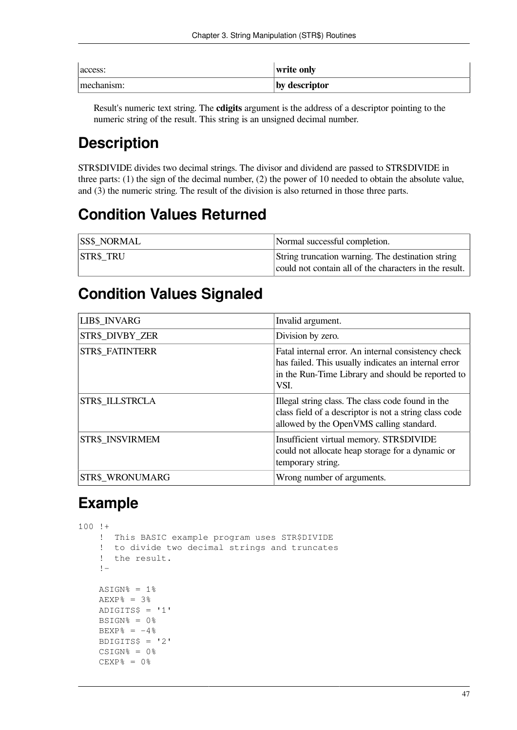| access:    | write only    |
|------------|---------------|
| mechanism: | by descriptor |

Result's numeric text string. The **cdigits** argument is the address of a descriptor pointing to the numeric string of the result. This string is an unsigned decimal number.

## **Description**

STR\$DIVIDE divides two decimal strings. The divisor and dividend are passed to STR\$DIVIDE in three parts: (1) the sign of the decimal number, (2) the power of 10 needed to obtain the absolute value, and (3) the numeric string. The result of the division is also returned in those three parts.

### **Condition Values Returned**

| <b>SS\$ NORMAL</b> | Normal successful completion.                          |
|--------------------|--------------------------------------------------------|
| <b>STR\$ TRU</b>   | String truncation warning. The destination string      |
|                    | could not contain all of the characters in the result. |

#### **Condition Values Signaled**

| <b>LIB\$ INVARG</b>    | Invalid argument.                                                                                                                                                        |
|------------------------|--------------------------------------------------------------------------------------------------------------------------------------------------------------------------|
| STR\$ DIVBY ZER        | Division by zero.                                                                                                                                                        |
| <b>STR\$ FATINTERR</b> | Fatal internal error. An internal consistency check<br>has failed. This usually indicates an internal error<br>in the Run-Time Library and should be reported to<br>VSI. |
| STR\$ ILLSTRCLA        | Illegal string class. The class code found in the<br>class field of a descriptor is not a string class code<br>allowed by the OpenVMS calling standard.                  |
| STR\$ INSVIRMEM        | Insufficient virtual memory. STR\$DIVIDE<br>could not allocate heap storage for a dynamic or<br>temporary string.                                                        |
| <b>STR\$ WRONUMARG</b> | Wrong number of arguments.                                                                                                                                               |

### **Example**

100 !+ ! This BASIC example program uses STR\$DIVIDE ! to divide two decimal strings and truncates ! the result. !-  $ASIGN$ <sup>8</sup> = 1%  $AEXP$  =  $3$  % ADIGITS\$ = '1'  $BSIGN$ % =  $0$ %  $BEXP$ % =  $-4$ %  $BDIGITS$ = '2'$  $CSIGN<sup>8</sup> = 0<sup>8</sup>$  $CEXP$ % =  $0$ %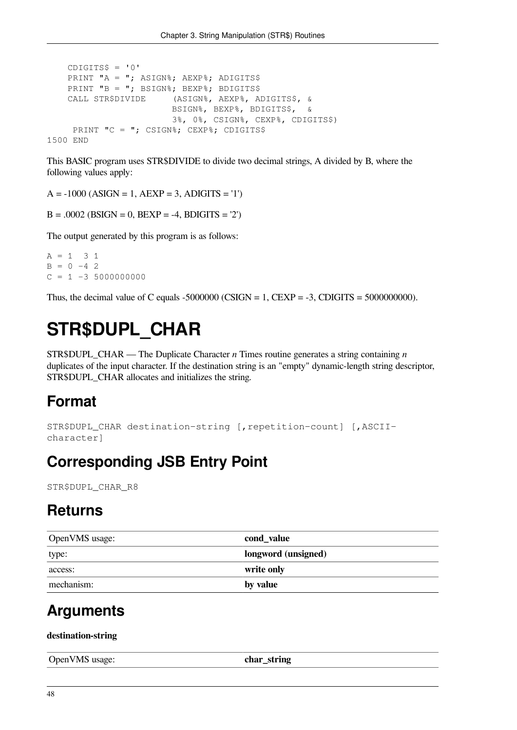```
CDIGITS$ = '0'PRINT "A = "; ASIGN%; AEXP%; ADIGITS$
   PRINT "B = "; BSIGN%; BEXP%; BDIGITS$
    CALL STR$DIVIDE (ASIGN%, AEXP%, ADIGITS$, &
                         BSIGN%, BEXP%, BDIGITS$, &
                         3%, 0%, CSIGN%, CEXP%, CDIGITS$)
     PRINT "C = "; CSIGN%; CEXP%; CDIGITS$
1500 END
```
This BASIC program uses STR\$DIVIDE to divide two decimal strings, A divided by B, where the following values apply:

 $A = -1000 (ASIGN = 1, AEXP = 3, ADIGITS = '1')$ 

```
B = .0002 (BSIGN = 0, BEXP = -4, BDIGITS = '2')
```
The output generated by this program is as follows:

```
A = 1 3 1B = 0 -4 2
C = 1 -3 5000000000
```
Thus, the decimal value of C equals -5000000 (CSIGN = 1, CEXP = -3, CDIGITS = 5000000000).

## **STR\$DUPL\_CHAR**

STR\$DUPL\_CHAR — The Duplicate Character *n* Times routine generates a string containing *n* duplicates of the input character. If the destination string is an "empty" dynamic-length string descriptor, STR\$DUPL\_CHAR allocates and initializes the string.

#### **Format**

```
STR$DUPL CHAR destination-string [, repetition-count] [, ASCII-
character]
```
#### **Corresponding JSB Entry Point**

STR\$DUPL\_CHAR\_R8

#### **Returns**

| OpenVMS usage: | cond_value          |
|----------------|---------------------|
| type:          | longword (unsigned) |
| access:        | write only          |
| mechanism:     | by value            |

#### **Arguments**

**destination-string**

| $\bigcap$ nen<br>$\sqrt{2}$<br>$\cup$ pen v MS<br>asage | . .<br>rino<br>$- - -$<br>ша<br>_<br>$\overline{\phantom{0}}$ |
|---------------------------------------------------------|---------------------------------------------------------------|
|                                                         |                                                               |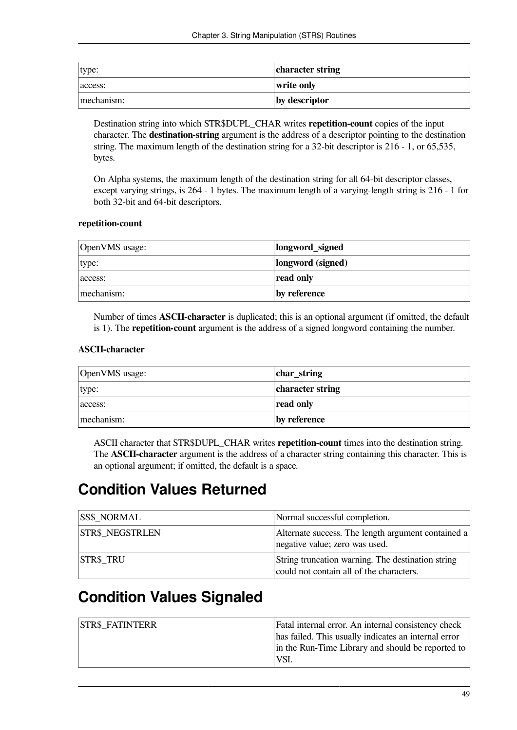| type:      | character string |
|------------|------------------|
| access:    | write only       |
| mechanism: | by descriptor    |

Destination string into which STR\$DUPL\_CHAR writes **repetition-count** copies of the input character. The **destination-string** argument is the address of a descriptor pointing to the destination string. The maximum length of the destination string for a 32-bit descriptor is 216 - 1, or 65,535, bytes.

On Alpha systems, the maximum length of the destination string for all 64-bit descriptor classes, except varying strings, is 264 - 1 bytes. The maximum length of a varying-length string is 216 - 1 for both 32-bit and 64-bit descriptors.

#### **repetition-count**

| OpenVMS usage: | longword_signed   |
|----------------|-------------------|
| type:          | longword (signed) |
| access:        | read only         |
| mechanism:     | by reference      |

Number of times **ASCII-character** is duplicated; this is an optional argument (if omitted, the default is 1). The **repetition-count** argument is the address of a signed longword containing the number.

#### **ASCII-character**

| OpenVMS usage: | char_string      |
|----------------|------------------|
| type:          | character string |
| access:        | read only        |
| mechanism:     | by reference     |

ASCII character that STR\$DUPL\_CHAR writes **repetition-count** times into the destination string. The **ASCII-character** argument is the address of a character string containing this character. This is an optional argument; if omitted, the default is a space.

#### **Condition Values Returned**

| <b>SS\$ NORMAL</b>     | Normal successful completion.                                                                 |
|------------------------|-----------------------------------------------------------------------------------------------|
| <b>STR\$ NEGSTRLEN</b> | Alternate success. The length argument contained a<br>negative value; zero was used.          |
| <b>STR\$ TRU</b>       | String truncation warning. The destination string<br>could not contain all of the characters. |

#### **Condition Values Signaled**

| <b>STR\$ FATINTERR</b> | Fatal internal error. An internal consistency check  |
|------------------------|------------------------------------------------------|
|                        | has failed. This usually indicates an internal error |
|                        | in the Run-Time Library and should be reported to    |
|                        | 'VSI.                                                |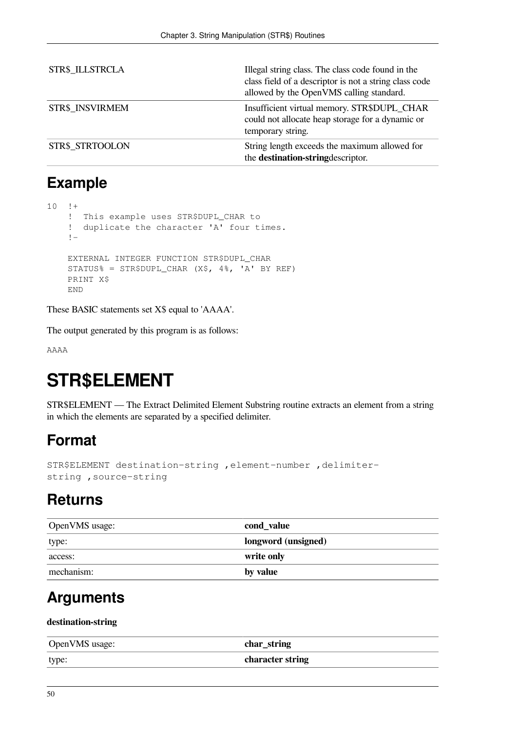| STR\$ ILLSTRCLA | Illegal string class. The class code found in the<br>class field of a descriptor is not a string class code<br>allowed by the OpenVMS calling standard. |
|-----------------|---------------------------------------------------------------------------------------------------------------------------------------------------------|
| STR\$ INSVIRMEM | Insufficient virtual memory. STR\$DUPL_CHAR<br>could not allocate heap storage for a dynamic or<br>temporary string.                                    |
| STR\$ STRTOOLON | String length exceeds the maximum allowed for<br>the destination-stringdescriptor.                                                                      |

#### **Example**

```
10 + ! This example uses STR$DUPL_CHAR to
     ! duplicate the character 'A' four times.
    ! - EXTERNAL INTEGER FUNCTION STR$DUPL_CHAR
    STATUS% = STR$DUPL_CHAR (X$, 4%, 'A' BY REF)
    PRINT X$
    END
```
These BASIC statements set X\$ equal to 'AAAA'.

The output generated by this program is as follows:

AAAA

## **STR\$ELEMENT**

STR\$ELEMENT — The Extract Delimited Element Substring routine extracts an element from a string in which the elements are separated by a specified delimiter.

### **Format**

```
STR$ELEMENT destination-string ,element-number ,delimiter-
string ,source-string
```
### **Returns**

| OpenVMS usage: | cond_value          |
|----------------|---------------------|
| type:          | longword (unsigned) |
| access:        | write only          |
| mechanism:     | by value            |

### **Arguments**

#### **destination-string**

| OpenVMS usage: | char_string      |
|----------------|------------------|
| type:          | character string |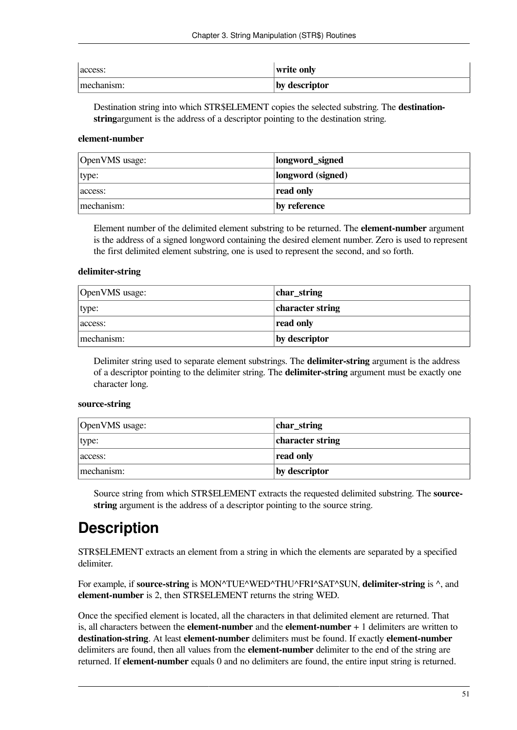| access:    | write only    |
|------------|---------------|
| mechanism: | by descriptor |

Destination string into which STR\$ELEMENT copies the selected substring. The **destinationstring**argument is the address of a descriptor pointing to the destination string.

#### **element-number**

| OpenVMS usage: | longword_signed   |
|----------------|-------------------|
| type:          | longword (signed) |
| access:        | read only         |
| mechanism:     | by reference      |

Element number of the delimited element substring to be returned. The **element-number** argument is the address of a signed longword containing the desired element number. Zero is used to represent the first delimited element substring, one is used to represent the second, and so forth.

#### **delimiter-string**

| OpenVMS usage: | char_string      |
|----------------|------------------|
| type:          | character string |
| access:        | read only        |
| mechanism:     | by descriptor    |

Delimiter string used to separate element substrings. The **delimiter-string** argument is the address of a descriptor pointing to the delimiter string. The **delimiter-string** argument must be exactly one character long.

#### **source-string**

| OpenVMS usage: | char_string      |
|----------------|------------------|
| type:          | character string |
| access:        | read only        |
| mechanism:     | by descriptor    |

Source string from which STR\$ELEMENT extracts the requested delimited substring. The **sourcestring** argument is the address of a descriptor pointing to the source string.

### **Description**

STR\$ELEMENT extracts an element from a string in which the elements are separated by a specified delimiter.

For example, if **source-string** is MON^TUE^WED^THU^FRI^SAT^SUN, **delimiter-string** is ^, and **element-number** is 2, then STR\$ELEMENT returns the string WED.

Once the specified element is located, all the characters in that delimited element are returned. That is, all characters between the **element-number** and the **element-number** + 1 delimiters are written to **destination-string**. At least **element-number** delimiters must be found. If exactly **element-number** delimiters are found, then all values from the **element-number** delimiter to the end of the string are returned. If **element-number** equals 0 and no delimiters are found, the entire input string is returned.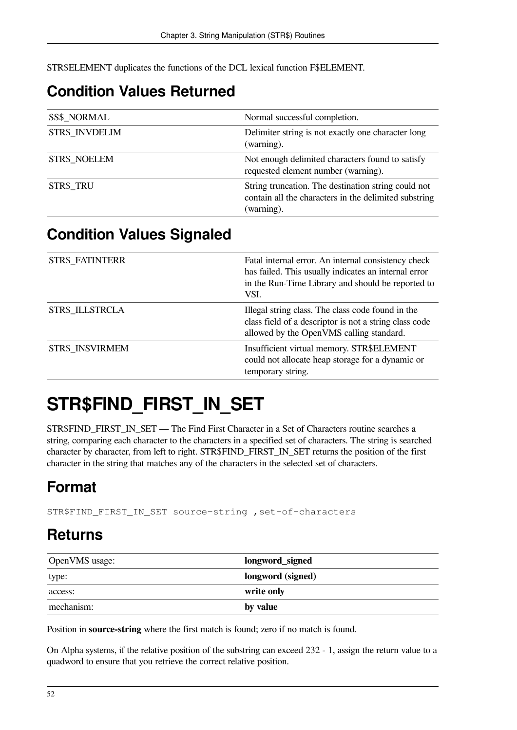STR\$ELEMENT duplicates the functions of the DCL lexical function F\$ELEMENT.

### **Condition Values Returned**

| <b>SS\$ NORMAL</b>  | Normal successful completion.                                                                                              |
|---------------------|----------------------------------------------------------------------------------------------------------------------------|
| STR\$ INVDELIM      | Delimiter string is not exactly one character long<br>(warning).                                                           |
| <b>STR\$ NOELEM</b> | Not enough delimited characters found to satisfy<br>requested element number (warning).                                    |
| STR\$ TRU           | String truncation. The destination string could not<br>contain all the characters in the delimited substring<br>(warning). |

#### **Condition Values Signaled**

| STR\$_FATINTERR        | Fatal internal error. An internal consistency check<br>has failed. This usually indicates an internal error<br>in the Run-Time Library and should be reported to<br>VSI. |
|------------------------|--------------------------------------------------------------------------------------------------------------------------------------------------------------------------|
| <b>STR\$ ILLSTRCLA</b> | Illegal string class. The class code found in the<br>class field of a descriptor is not a string class code<br>allowed by the OpenVMS calling standard.                  |
| STR\$ INSVIRMEM        | Insufficient virtual memory. STR\$ELEMENT<br>could not allocate heap storage for a dynamic or<br>temporary string.                                                       |

## **STR\$FIND\_FIRST\_IN\_SET**

STR\$FIND\_FIRST\_IN\_SET — The Find First Character in a Set of Characters routine searches a string, comparing each character to the characters in a specified set of characters. The string is searched character by character, from left to right. STR\$FIND\_FIRST\_IN\_SET returns the position of the first character in the string that matches any of the characters in the selected set of characters.

## **Format**

STR\$FIND\_FIRST\_IN\_SET source-string ,set-of-characters

### **Returns**

| OpenVMS usage: | longword_signed   |
|----------------|-------------------|
| type:          | longword (signed) |
| access:        | write only        |
| mechanism:     | by value          |

Position in **source-string** where the first match is found; zero if no match is found.

On Alpha systems, if the relative position of the substring can exceed 232 - 1, assign the return value to a quadword to ensure that you retrieve the correct relative position.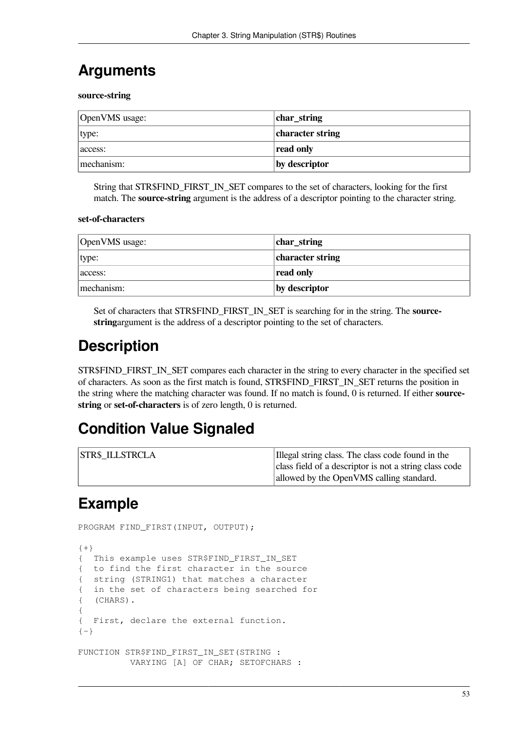### **Arguments**

**source-string**

| OpenVMS usage: | char_string      |
|----------------|------------------|
| type:          | character string |
| access:        | read only        |
| mechanism:     | by descriptor    |

String that STR\$FIND\_FIRST\_IN\_SET compares to the set of characters, looking for the first match. The **source-string** argument is the address of a descriptor pointing to the character string.

#### **set-of-characters**

| OpenVMS usage: | char_string      |
|----------------|------------------|
| type:          | character string |
| access:        | read only        |
| mechanism:     | by descriptor    |

Set of characters that STR\$FIND\_FIRST\_IN\_SET is searching for in the string. The **sourcestring**argument is the address of a descriptor pointing to the set of characters.

### **Description**

STR\$FIND\_FIRST\_IN\_SET compares each character in the string to every character in the specified set of characters. As soon as the first match is found, STR\$FIND\_FIRST\_IN\_SET returns the position in the string where the matching character was found. If no match is found, 0 is returned. If either **sourcestring** or **set-of-characters** is of zero length, 0 is returned.

#### **Condition Value Signaled**

| <b>STR\$ ILLSTRCLA</b> | Illegal string class. The class code found in the      |
|------------------------|--------------------------------------------------------|
|                        | class field of a descriptor is not a string class code |
|                        | allowed by the OpenVMS calling standard.               |

### **Example**

```
PROGRAM FIND FIRST(INPUT, OUTPUT);
{+}{ This example uses STR$FIND_FIRST_IN_SET
{ to find the first character in the source
{ string (STRING1) that matches a character
{ in the set of characters being searched for
{ (CHARS).
{
{ First, declare the external function.
{-}FUNCTION STR$FIND FIRST IN SET(STRING :
          VARYING [A] OF CHAR; SETOFCHARS :
```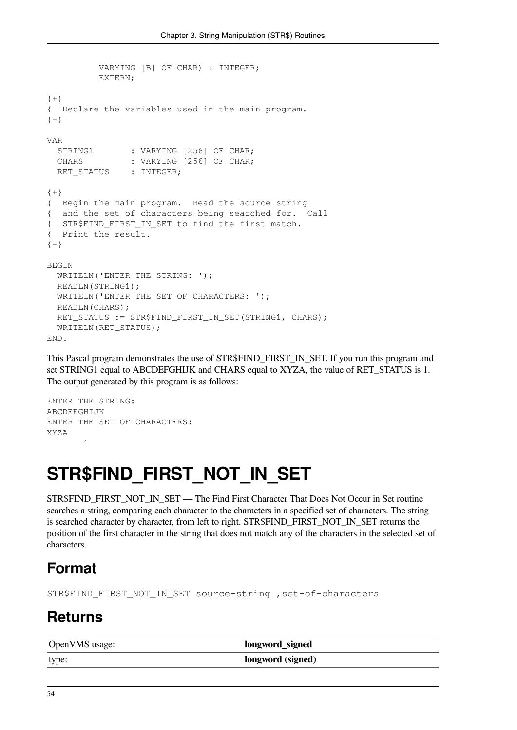```
 VARYING [B] OF CHAR) : INTEGER;
          EXTERN;
{+}
{ Declare the variables used in the main program.
{-}VAR
 STRING1 : VARYING [256] OF CHAR;
 CHARS : VARYING [256] OF CHAR;
 RET_STATUS : INTEGER;
{+}{ Begin the main program. Read the source string
{ and the set of characters being searched for. Call
{ STR$FIND_FIRST_IN_SET to find the first match.
{ Print the result.
{-}BEGIN
 WRITELN('ENTER THE STRING: ');
  READLN(STRING1);
 WRITELN('ENTER THE SET OF CHARACTERS: ');
  READLN(CHARS);
 RET_STATUS := STR$FIND_FIRST_IN_SET(STRING1, CHARS);
  WRITELN(RET_STATUS);
END.
```
This Pascal program demonstrates the use of STR\$FIND\_FIRST\_IN\_SET. If you run this program and set STRING1 equal to ABCDEFGHIJK and CHARS equal to XYZA, the value of RET\_STATUS is 1. The output generated by this program is as follows:

```
ENTER THE STRING:
ABCDEFGHIJK
ENTER THE SET OF CHARACTERS:
XYZA
 1
```
## **STR\$FIND\_FIRST\_NOT\_IN\_SET**

STR\$FIND\_FIRST\_NOT\_IN\_SET — The Find First Character That Does Not Occur in Set routine searches a string, comparing each character to the characters in a specified set of characters. The string is searched character by character, from left to right. STR\$FIND\_FIRST\_NOT\_IN\_SET returns the position of the first character in the string that does not match any of the characters in the selected set of characters.

### **Format**

STR\$FIND\_FIRST\_NOT\_IN\_SET source-string ,set-of-characters

### **Returns**

| OpenVMS usage: | longword_signed   |
|----------------|-------------------|
| type:          | longword (signed) |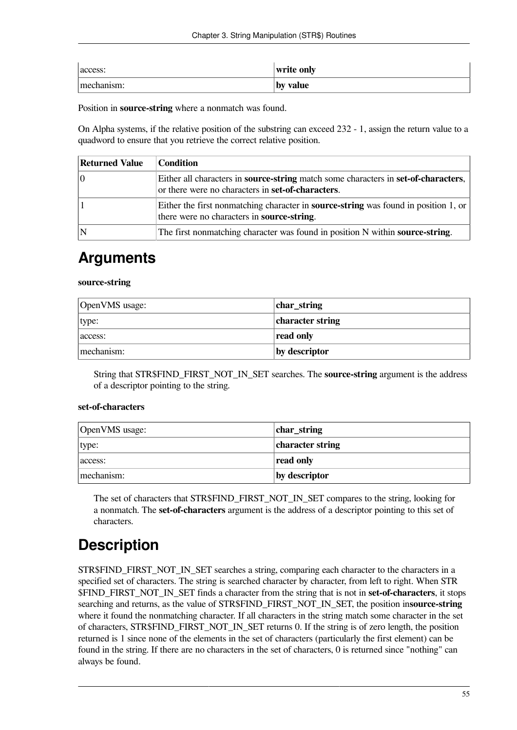| access:    | write only |
|------------|------------|
| mechanism: | by value   |

Position in **source-string** where a nonmatch was found.

On Alpha systems, if the relative position of the substring can exceed 232 - 1, assign the return value to a quadword to ensure that you retrieve the correct relative position.

| <b>Returned Value</b> | <b>Condition</b>                                                                                                                                       |
|-----------------------|--------------------------------------------------------------------------------------------------------------------------------------------------------|
|                       | Either all characters in <b>source-string</b> match some characters in <b>set-of-characters</b> ,<br>or there were no characters in set-of-characters. |
|                       | Either the first nonmatching character in <b>source-string</b> was found in position 1, or<br>there were no characters in source-string.               |
|                       | The first nonmatching character was found in position N within source-string.                                                                          |

### **Arguments**

#### **source-string**

| OpenVMS usage: | $ char_{str}$    |
|----------------|------------------|
| type:          | character string |
| access:        | read only        |
| mechanism:     | by descriptor    |

String that STR\$FIND\_FIRST\_NOT\_IN\_SET searches. The **source-string** argument is the address of a descriptor pointing to the string.

#### **set-of-characters**

| OpenVMS usage: | char_string      |
|----------------|------------------|
| type:          | character string |
| access:        | read only        |
| mechanism:     | by descriptor    |

The set of characters that STR\$FIND\_FIRST\_NOT\_IN\_SET compares to the string, looking for a nonmatch. The **set-of-characters** argument is the address of a descriptor pointing to this set of characters.

## **Description**

STR\$FIND\_FIRST\_NOT\_IN\_SET searches a string, comparing each character to the characters in a specified set of characters. The string is searched character by character, from left to right. When STR \$FIND\_FIRST\_NOT\_IN\_SET finds a character from the string that is not in **set-of-characters**, it stops searching and returns, as the value of STR\$FIND\_FIRST\_NOT\_IN\_SET, the position in**source-string** where it found the nonmatching character. If all characters in the string match some character in the set of characters, STR\$FIND\_FIRST\_NOT\_IN\_SET returns 0. If the string is of zero length, the position returned is 1 since none of the elements in the set of characters (particularly the first element) can be found in the string. If there are no characters in the set of characters, 0 is returned since "nothing" can always be found.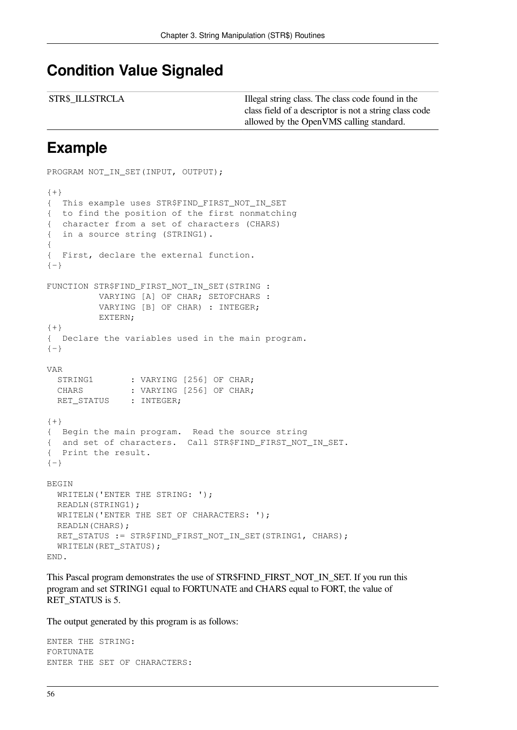#### **Condition Value Signaled**

| <b>STR\$ ILLSTRCLA</b> | Illegal string class. The class code found in the      |
|------------------------|--------------------------------------------------------|
|                        | class field of a descriptor is not a string class code |
|                        | allowed by the OpenVMS calling standard.               |

#### **Example**

```
PROGRAM NOT_IN_SET(INPUT, OUTPUT);
{+}{ This example uses STR$FIND_FIRST_NOT_IN_SET
{ to find the position of the first nonmatching
{ character from a set of characters (CHARS)
{ in a source string (STRING1).
{
{ First, declare the external function.
{-}FUNCTION STR$FIND_FIRST_NOT_IN_SET(STRING :
          VARYING [A] OF CHAR; SETOFCHARS :
          VARYING [B] OF CHAR) : INTEGER;
          EXTERN;
\{+\}{ Declare the variables used in the main program.
{-}VAR
 STRING1 : VARYING [256] OF CHAR;
 CHARS : VARYING [256] OF CHAR;
 RET_STATUS : INTEGER;
{+}{ Begin the main program. Read the source string
{ and set of characters. Call STR$FIND FIRST NOT IN SET.
{ Print the result.
{-}BEGIN
 WRITELN('ENTER THE STRING: ');
  READLN(STRING1);
 WRITELN('ENTER THE SET OF CHARACTERS: ');
  READLN(CHARS);
 RET_STATUS := STR$FIND_FIRST_NOT_IN_SET(STRING1, CHARS);
 WRITELN(RET STATUS);
END.
```
This Pascal program demonstrates the use of STR\$FIND\_FIRST\_NOT\_IN\_SET. If you run this program and set STRING1 equal to FORTUNATE and CHARS equal to FORT, the value of RET\_STATUS is 5.

The output generated by this program is as follows:

```
ENTER THE STRING:
FORTUNATE
ENTER THE SET OF CHARACTERS:
```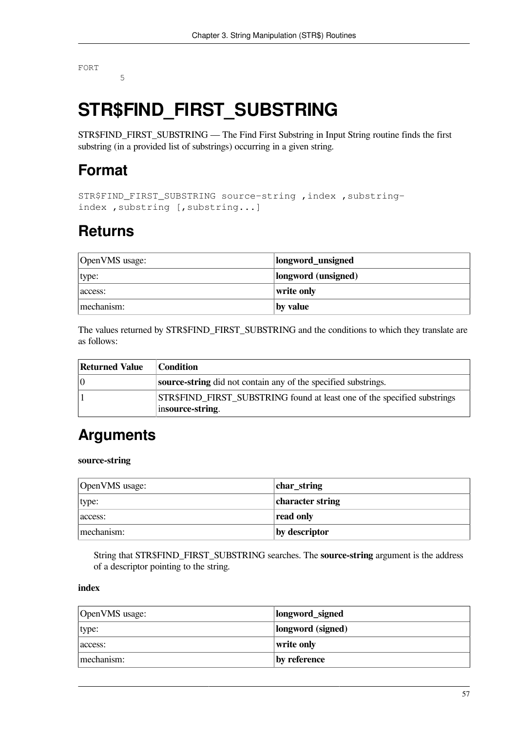FORT

5

## **STR\$FIND\_FIRST\_SUBSTRING**

STR\$FIND\_FIRST\_SUBSTRING — The Find First Substring in Input String routine finds the first substring (in a provided list of substrings) occurring in a given string.

### **Format**

```
STR$FIND_FIRST_SUBSTRING source-string ,index ,substring-
index ,substring [,substring...]
```
### **Returns**

| OpenVMS usage: | longword_unsigned   |
|----------------|---------------------|
| type:          | longword (unsigned) |
| access:        | write only          |
| mechanism:     | by value            |

The values returned by STR\$FIND\_FIRST\_SUBSTRING and the conditions to which they translate are as follows:

| <b>Returned Value</b> | <b>Condition</b>                                                                             |  |
|-----------------------|----------------------------------------------------------------------------------------------|--|
| 10                    | source-string did not contain any of the specified substrings.                               |  |
|                       | STR\$FIND FIRST_SUBSTRING found at least one of the specified substrings<br>insource-string. |  |

### **Arguments**

#### **source-string**

| OpenVMS usage: | char_string      |
|----------------|------------------|
| type:          | character string |
| access:        | read only        |
| mechanism:     | by descriptor    |

String that STR\$FIND\_FIRST\_SUBSTRING searches. The **source-string** argument is the address of a descriptor pointing to the string.

#### **index**

| OpenVMS usage: | longword_signed   |
|----------------|-------------------|
| type:          | longword (signed) |
| access:        | write only        |
| mechanism:     | by reference      |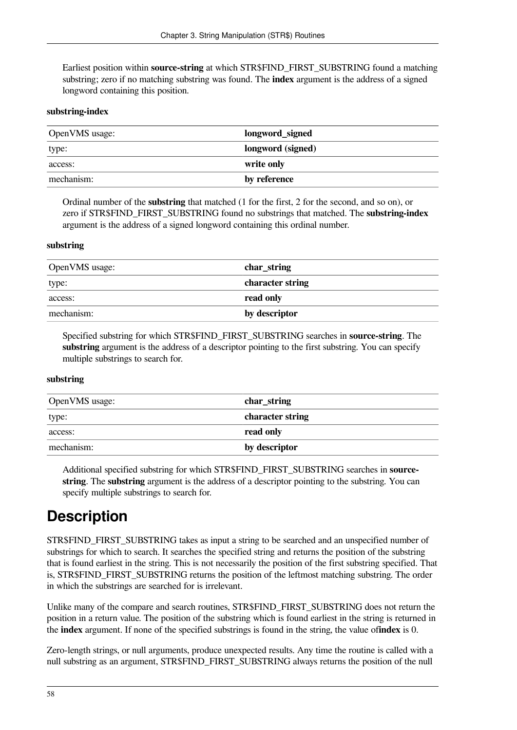Earliest position within **source-string** at which STR\$FIND\_FIRST\_SUBSTRING found a matching substring; zero if no matching substring was found. The **index** argument is the address of a signed longword containing this position.

#### **substring-index**

| OpenVMS usage: | longword_signed   |
|----------------|-------------------|
| type:          | longword (signed) |
| access:        | write only        |
| mechanism:     | by reference      |

Ordinal number of the **substring** that matched (1 for the first, 2 for the second, and so on), or zero if STR\$FIND\_FIRST\_SUBSTRING found no substrings that matched. The **substring-index** argument is the address of a signed longword containing this ordinal number.

#### **substring**

| OpenVMS usage: | char_string      |
|----------------|------------------|
| type:          | character string |
| access:        | read only        |
| mechanism:     | by descriptor    |

Specified substring for which STR\$FIND\_FIRST\_SUBSTRING searches in **source-string**. The **substring** argument is the address of a descriptor pointing to the first substring. You can specify multiple substrings to search for.

#### **substring**

| OpenVMS usage: | char_string      |
|----------------|------------------|
| type:          | character string |
| access:        | read only        |
| mechanism:     | by descriptor    |

Additional specified substring for which STR\$FIND\_FIRST\_SUBSTRING searches in **sourcestring**. The **substring** argument is the address of a descriptor pointing to the substring. You can specify multiple substrings to search for.

### **Description**

STR\$FIND\_FIRST\_SUBSTRING takes as input a string to be searched and an unspecified number of substrings for which to search. It searches the specified string and returns the position of the substring that is found earliest in the string. This is not necessarily the position of the first substring specified. That is, STR\$FIND\_FIRST\_SUBSTRING returns the position of the leftmost matching substring. The order in which the substrings are searched for is irrelevant.

Unlike many of the compare and search routines, STR\$FIND\_FIRST\_SUBSTRING does not return the position in a return value. The position of the substring which is found earliest in the string is returned in the **index** argument. If none of the specified substrings is found in the string, the value of**index** is 0.

Zero-length strings, or null arguments, produce unexpected results. Any time the routine is called with a null substring as an argument, STR\$FIND\_FIRST\_SUBSTRING always returns the position of the null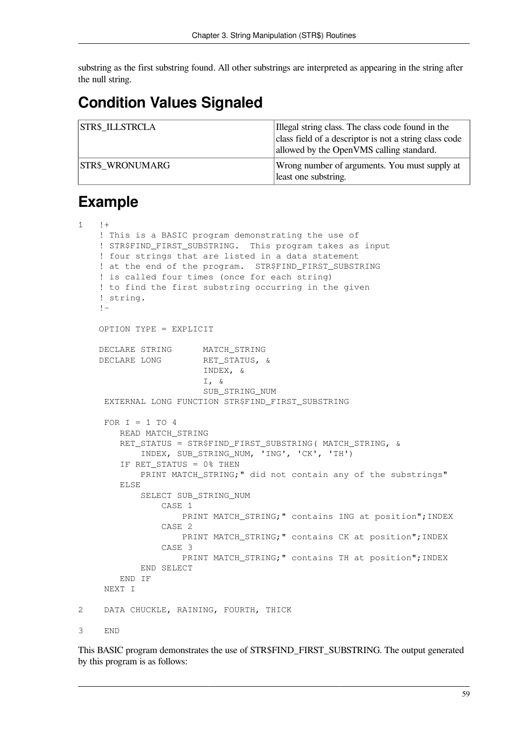substring as the first substring found. All other substrings are interpreted as appearing in the string after the null string.

### **Condition Values Signaled**

| <b>STR\$ ILLSTRCLA</b> | Illegal string class. The class code found in the<br>class field of a descriptor is not a string class code<br>allowed by the OpenVMS calling standard. |
|------------------------|---------------------------------------------------------------------------------------------------------------------------------------------------------|
| <b>STR\$ WRONUMARG</b> | Wrong number of arguments. You must supply at<br>least one substring.                                                                                   |

### **Example**

| $\mathbf{1}$ | $! +$                                                                                                                                                                                                                                                                                                                                                         |
|--------------|---------------------------------------------------------------------------------------------------------------------------------------------------------------------------------------------------------------------------------------------------------------------------------------------------------------------------------------------------------------|
|              | ! This is a BASIC program demonstrating the use of<br>! STR\$FIND_FIRST_SUBSTRING. This program takes as input<br>! four strings that are listed in a data statement<br>! at the end of the program. STR\$FIND_FIRST_SUBSTRING<br>! is called four times (once for each string)<br>! to find the first substring occurring in the given<br>! string.<br>$! -$ |
|              | OPTION TYPE = EXPLICIT                                                                                                                                                                                                                                                                                                                                        |
|              | DECLARE STRING MATCH_STRING<br>DECLARE LONG<br>RET_STATUS, &<br>INDEX, &<br>$I, \&$<br>SUB STRING NUM                                                                                                                                                                                                                                                         |
|              | EXTERNAL LONG FUNCTION STR\$FIND_FIRST_SUBSTRING                                                                                                                                                                                                                                                                                                              |
|              | FOR $I = 1$ TO 4<br>READ MATCH_STRING<br>RET_STATUS = STR\$FIND_FIRST_SUBSTRING( MATCH_STRING, &<br>INDEX, SUB_STRING_NUM, 'ING', 'CK', 'TH')<br>IF RET_STATUS = 0% THEN<br>PRINT MATCH_STRING;" did not contain any of the substrings"<br>ELSE                                                                                                               |
|              | SELECT SUB STRING NUM<br>CASE 1                                                                                                                                                                                                                                                                                                                               |
|              | PRINT MATCH_STRING; " contains ING at position"; INDEX<br>CASE <sub>2</sub><br>PRINT MATCH_STRING; " contains CK at position"; INDEX<br>CASE <sub>3</sub><br>PRINT MATCH_STRING; " contains TH at position"; INDEX                                                                                                                                            |
|              | END SELECT                                                                                                                                                                                                                                                                                                                                                    |
|              | END IF<br>NEXT I                                                                                                                                                                                                                                                                                                                                              |
| 2            | DATA CHUCKLE, RAINING, FOURTH, THICK                                                                                                                                                                                                                                                                                                                          |
| 3            | <b>END</b>                                                                                                                                                                                                                                                                                                                                                    |
|              |                                                                                                                                                                                                                                                                                                                                                               |

This BASIC program demonstrates the use of STR\$FIND\_FIRST\_SUBSTRING. The output generated by this program is as follows: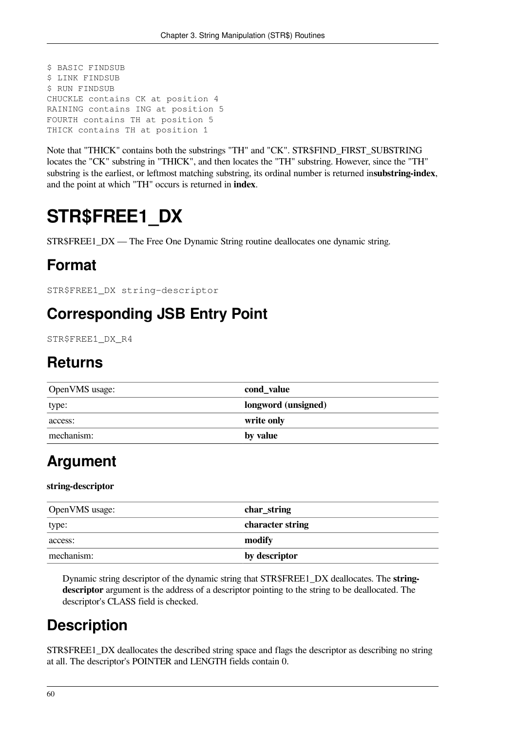```
$ BASIC FINDSUB
$ LINK FINDSUB
$ RUN FINDSUB
CHUCKLE contains CK at position 4
RAINING contains ING at position 5
FOURTH contains TH at position 5
THICK contains TH at position 1
```
Note that "THICK" contains both the substrings "TH" and "CK". STR\$FIND\_FIRST\_SUBSTRING locates the "CK" substring in "THICK", and then locates the "TH" substring. However, since the "TH" substring is the earliest, or leftmost matching substring, its ordinal number is returned in**substring-index**, and the point at which "TH" occurs is returned in **index**.

## **STR\$FREE1\_DX**

STR\$FREE1\_DX — The Free One Dynamic String routine deallocates one dynamic string.

### **Format**

STR\$FREE1\_DX string-descriptor

### **Corresponding JSB Entry Point**

STR\$FREE1\_DX\_R4

#### **Returns**

| OpenVMS usage: | cond_value          |
|----------------|---------------------|
| type:          | longword (unsigned) |
| access:        | write only          |
| mechanism:     | by value            |

### **Argument**

#### **string-descriptor**

| OpenVMS usage: | char_string      |
|----------------|------------------|
| type:          | character string |
| access:        | modify           |
| mechanism:     | by descriptor    |

Dynamic string descriptor of the dynamic string that STR\$FREE1\_DX deallocates. The **stringdescriptor** argument is the address of a descriptor pointing to the string to be deallocated. The descriptor's CLASS field is checked.

### **Description**

STR\$FREE1\_DX deallocates the described string space and flags the descriptor as describing no string at all. The descriptor's POINTER and LENGTH fields contain 0.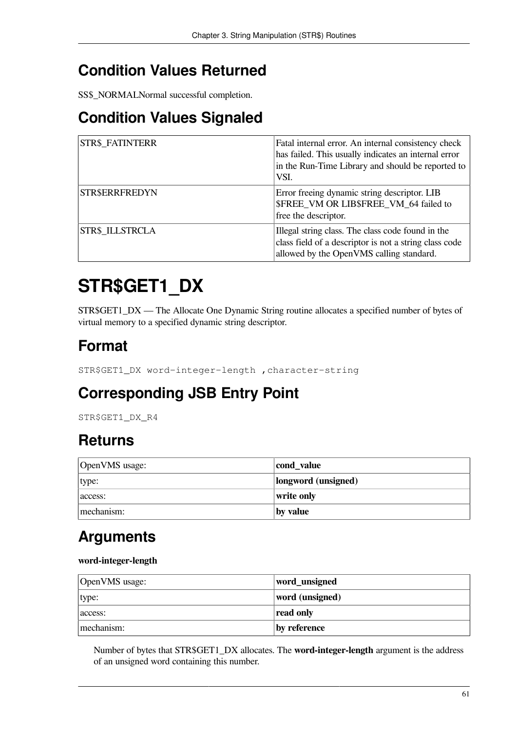### **Condition Values Returned**

SS\$\_NORMALNormal successful completion.

### **Condition Values Signaled**

| <b>STR\$ FATINTERR</b> | Fatal internal error. An internal consistency check<br>has failed. This usually indicates an internal error<br>in the Run-Time Library and should be reported to<br>VSI. |
|------------------------|--------------------------------------------------------------------------------------------------------------------------------------------------------------------------|
| STR\$ERRFREDYN         | Error freeing dynamic string descriptor. LIB<br>\$FREE VM OR LIB\$FREE VM 64 failed to<br>free the descriptor.                                                           |
| <b>STR\$ ILLSTRCLA</b> | Illegal string class. The class code found in the<br>class field of a descriptor is not a string class code<br>allowed by the OpenVMS calling standard.                  |

## **STR\$GET1\_DX**

STR\$GET1\_DX — The Allocate One Dynamic String routine allocates a specified number of bytes of virtual memory to a specified dynamic string descriptor.

### **Format**

STR\$GET1\_DX word-integer-length ,character-string

### **Corresponding JSB Entry Point**

STR\$GET1\_DX\_R4

### **Returns**

| OpenVMS usage: | cond_value          |
|----------------|---------------------|
| type:          | longword (unsigned) |
| access:        | write only          |
| mechanism:     | by value            |

### **Arguments**

#### **word-integer-length**

| OpenVMS usage: | word_unsigned   |
|----------------|-----------------|
| type:          | word (unsigned) |
| access:        | read only       |
| mechanism:     | by reference    |

Number of bytes that STR\$GET1\_DX allocates. The **word-integer-length** argument is the address of an unsigned word containing this number.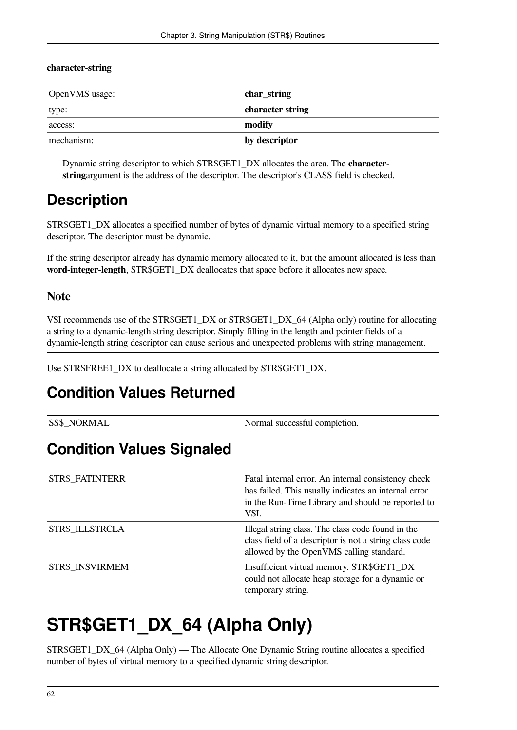#### **character-string**

| OpenVMS usage: | char_string      |
|----------------|------------------|
| type:          | character string |
| access:        | modify           |
| mechanism:     | by descriptor    |

Dynamic string descriptor to which STR\$GET1\_DX allocates the area. The **characterstring**argument is the address of the descriptor. The descriptor's CLASS field is checked.

#### **Description**

STR\$GET1\_DX allocates a specified number of bytes of dynamic virtual memory to a specified string descriptor. The descriptor must be dynamic.

If the string descriptor already has dynamic memory allocated to it, but the amount allocated is less than **word-integer-length**, STR\$GET1\_DX deallocates that space before it allocates new space.

#### **Note**

VSI recommends use of the STR\$GET1\_DX or STR\$GET1\_DX\_64 (Alpha only) routine for allocating a string to a dynamic-length string descriptor. Simply filling in the length and pointer fields of a dynamic-length string descriptor can cause serious and unexpected problems with string management.

Use STR\$FREE1\_DX to deallocate a string allocated by STR\$GET1\_DX.

#### **Condition Values Returned**

| <b>SS\$ NORMAL</b> | Normal successful completion. |
|--------------------|-------------------------------|
|--------------------|-------------------------------|

### **Condition Values Signaled**

| <b>STR\$ FATINTERR</b> | Fatal internal error. An internal consistency check<br>has failed. This usually indicates an internal error<br>in the Run-Time Library and should be reported to<br>VSI. |
|------------------------|--------------------------------------------------------------------------------------------------------------------------------------------------------------------------|
| <b>STR\$ ILLSTRCLA</b> | Illegal string class. The class code found in the<br>class field of a descriptor is not a string class code<br>allowed by the OpenVMS calling standard.                  |
| STR\$ INSVIRMEM        | Insufficient virtual memory. STR\$GET1_DX<br>could not allocate heap storage for a dynamic or<br>temporary string.                                                       |

## **STR\$GET1\_DX\_64 (Alpha Only)**

STR\$GET1\_DX\_64 (Alpha Only) — The Allocate One Dynamic String routine allocates a specified number of bytes of virtual memory to a specified dynamic string descriptor.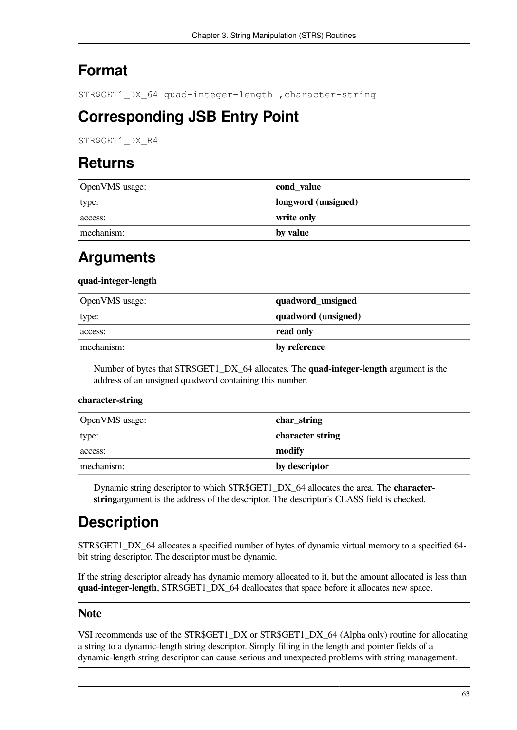### **Format**

STR\$GET1\_DX\_64 quad-integer-length ,character-string

### **Corresponding JSB Entry Point**

STR\$GET1\_DX\_R4

### **Returns**

| OpenVMS usage: | cond_value          |
|----------------|---------------------|
| type:          | longword (unsigned) |
| access:        | write only          |
| mechanism:     | by value            |

#### **Arguments**

#### **quad-integer-length**

| OpenVMS usage: | quadword_unsigned   |
|----------------|---------------------|
| type:          | quadword (unsigned) |
| access:        | read only           |
| mechanism:     | by reference        |

Number of bytes that STR\$GET1\_DX\_64 allocates. The **quad-integer-length** argument is the address of an unsigned quadword containing this number.

#### **character-string**

| OpenVMS usage: | char_string      |
|----------------|------------------|
| type:          | character string |
| access:        | modify           |
| mechanism:     | by descriptor    |

Dynamic string descriptor to which STR\$GET1\_DX\_64 allocates the area. The **characterstring**argument is the address of the descriptor. The descriptor's CLASS field is checked.

## **Description**

STR\$GET1\_DX\_64 allocates a specified number of bytes of dynamic virtual memory to a specified 64bit string descriptor. The descriptor must be dynamic.

If the string descriptor already has dynamic memory allocated to it, but the amount allocated is less than **quad-integer-length**, STR\$GET1\_DX\_64 deallocates that space before it allocates new space.

#### **Note**

VSI recommends use of the STR\$GET1\_DX or STR\$GET1\_DX\_64 (Alpha only) routine for allocating a string to a dynamic-length string descriptor. Simply filling in the length and pointer fields of a dynamic-length string descriptor can cause serious and unexpected problems with string management.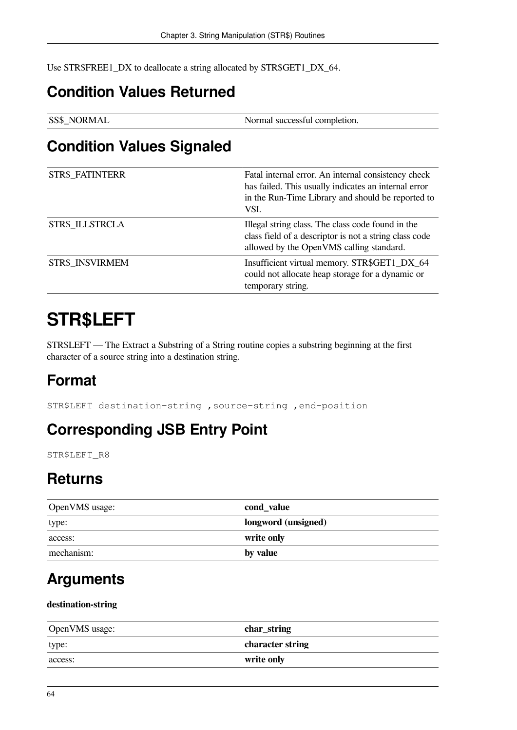Use STR\$FREE1\_DX to deallocate a string allocated by STR\$GET1\_DX\_64.

### **Condition Values Returned**

| <b>SS\$_NORMAL</b> | Normal successful completion. |
|--------------------|-------------------------------|
|--------------------|-------------------------------|

#### **Condition Values Signaled**

| <b>STR\$ FATINTERR</b> | Fatal internal error. An internal consistency check<br>has failed. This usually indicates an internal error<br>in the Run-Time Library and should be reported to<br>VSI. |
|------------------------|--------------------------------------------------------------------------------------------------------------------------------------------------------------------------|
| <b>STR\$ ILLSTRCLA</b> | Illegal string class. The class code found in the<br>class field of a descriptor is not a string class code<br>allowed by the OpenVMS calling standard.                  |
| STR\$ INSVIRMEM        | Insufficient virtual memory. STR\$GET1_DX_64<br>could not allocate heap storage for a dynamic or<br>temporary string.                                                    |

## **STR\$LEFT**

STR\$LEFT — The Extract a Substring of a String routine copies a substring beginning at the first character of a source string into a destination string.

## **Format**

STR\$LEFT destination-string ,source-string ,end-position

### **Corresponding JSB Entry Point**

STR\$LEFT\_R8

### **Returns**

| OpenVMS usage: | cond_value          |
|----------------|---------------------|
| type:          | longword (unsigned) |
| access:        | write only          |
| mechanism:     | $\mathbf{y}$ value  |

### **Arguments**

#### **destination-string**

| OpenVMS usage: | char_string      |
|----------------|------------------|
| type:          | character string |
| access:        | write only       |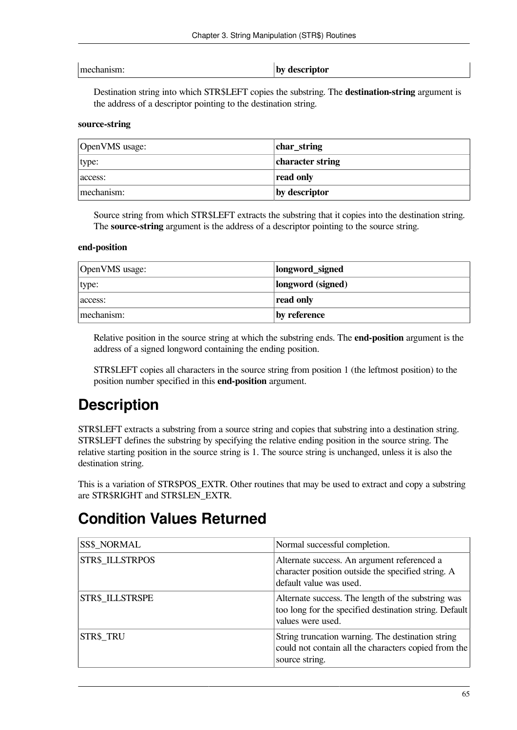mechanism: **by descriptor**

Destination string into which STR\$LEFT copies the substring. The **destination-string** argument is the address of a descriptor pointing to the destination string.

#### **source-string**

| OpenVMS usage: | char_string      |
|----------------|------------------|
| type:          | character string |
| access:        | read only        |
| mechanism:     | by descriptor    |

Source string from which STR\$LEFT extracts the substring that it copies into the destination string. The **source-string** argument is the address of a descriptor pointing to the source string.

#### **end-position**

| OpenVMS usage: | longword_signed   |
|----------------|-------------------|
| type:          | longword (signed) |
| access:        | read only         |
| mechanism:     | by reference      |

Relative position in the source string at which the substring ends. The **end-position** argument is the address of a signed longword containing the ending position.

STR\$LEFT copies all characters in the source string from position 1 (the leftmost position) to the position number specified in this **end-position** argument.

### **Description**

STR\$LEFT extracts a substring from a source string and copies that substring into a destination string. STR\$LEFT defines the substring by specifying the relative ending position in the source string. The relative starting position in the source string is 1. The source string is unchanged, unless it is also the destination string.

This is a variation of STR\$POS\_EXTR. Other routines that may be used to extract and copy a substring are STR\$RIGHT and STR\$LEN\_EXTR.

#### **Condition Values Returned**

| SS\$_NORMAL            | Normal successful completion.                                                                                                     |
|------------------------|-----------------------------------------------------------------------------------------------------------------------------------|
| <b>STR\$ ILLSTRPOS</b> | Alternate success. An argument referenced a<br>character position outside the specified string. A<br>default value was used.      |
| STR\$ ILLSTRSPE        | Alternate success. The length of the substring was<br>too long for the specified destination string. Default<br>values were used. |
| <b>STR\$ TRU</b>       | String truncation warning. The destination string<br>could not contain all the characters copied from the<br>source string.       |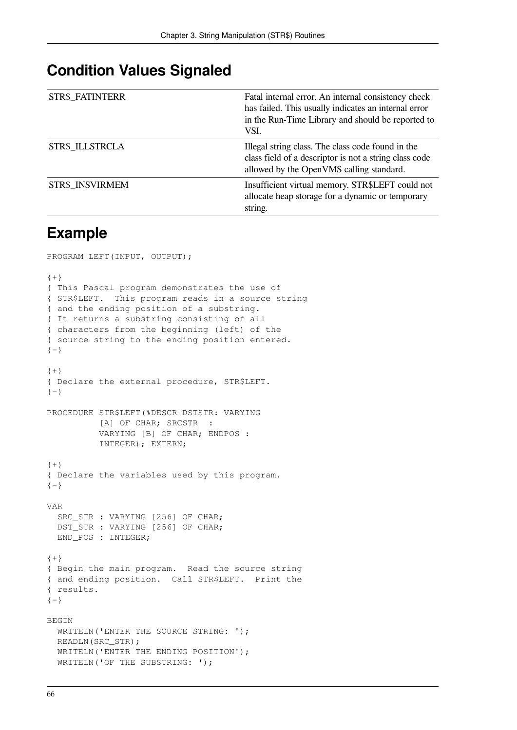#### **Condition Values Signaled**

| <b>STR\$ FATINTERR</b> | Fatal internal error. An internal consistency check<br>has failed. This usually indicates an internal error<br>in the Run-Time Library and should be reported to<br>VSI. |
|------------------------|--------------------------------------------------------------------------------------------------------------------------------------------------------------------------|
| <b>STR\$ ILLSTRCLA</b> | Illegal string class. The class code found in the<br>class field of a descriptor is not a string class code<br>allowed by the OpenVMS calling standard.                  |
| STR\$ INSVIRMEM        | Insufficient virtual memory. STR\$LEFT could not<br>allocate heap storage for a dynamic or temporary<br>string.                                                          |

#### **Example**

PROGRAM LEFT(INPUT, OUTPUT);

```
{+}
{ This Pascal program demonstrates the use of
{ STR$LEFT. This program reads in a source string
{ and the ending position of a substring.
{ It returns a substring consisting of all
{ characters from the beginning (left) of the
{ source string to the ending position entered.
{-}{+}
{ Declare the external procedure, STR$LEFT.
{-}PROCEDURE STR$LEFT(%DESCR DSTSTR: VARYING
          [A] OF CHAR; SRCSTR :
           VARYING [B] OF CHAR; ENDPOS :
           INTEGER); EXTERN;
{+}{ Declare the variables used by this program.
{-}VAR
  SRC_STR : VARYING [256] OF CHAR;
  DST_STR : VARYING [256] OF CHAR;
 END POS : INTEGER;
{+}{ Begin the main program. Read the source string
{ and ending position. Call STR$LEFT. Print the
{ results.
{-}BEGIN
 WRITELN('ENTER THE SOURCE STRING: ');
  READLN(SRC_STR);
 WRITELN('ENTER THE ENDING POSITION');
 WRITELN('OF THE SUBSTRING: ');
```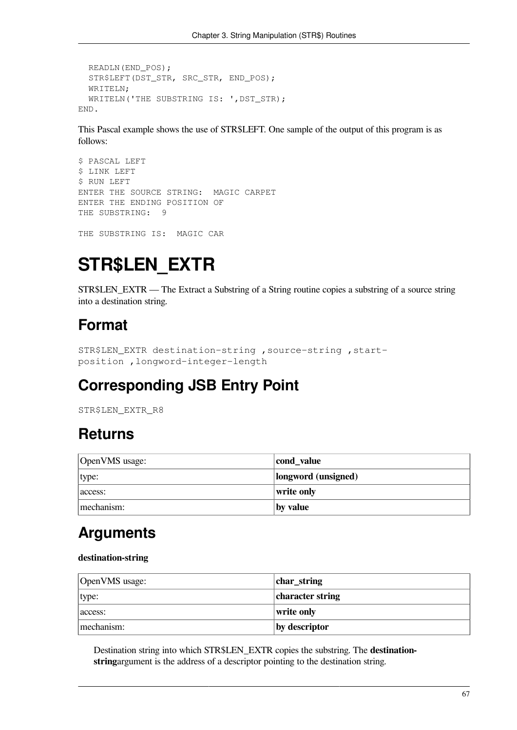```
 READLN(END_POS);
   STR$LEFT(DST_STR, SRC_STR, END_POS);
   WRITELN;
  WRITELN('THE SUBSTRING IS: ', DST_STR);
END.
```
This Pascal example shows the use of STR\$LEFT. One sample of the output of this program is as follows:

```
$ PASCAL LEFT
$ LINK LEFT
$ RUN LEFT
ENTER THE SOURCE STRING: MAGIC CARPET
ENTER THE ENDING POSITION OF
THE SUBSTRING: 9
```
THE SUBSTRING IS: MAGIC CAR

# **STR\$LEN\_EXTR**

STR\$LEN EXTR — The Extract a Substring of a String routine copies a substring of a source string into a destination string.

### **Format**

```
STR$LEN_EXTR destination-string ,source-string ,start-
position ,longword-integer-length
```
## **Corresponding JSB Entry Point**

STR\$LEN\_EXTR\_R8

### **Returns**

| OpenVMS usage: | cond_value          |
|----------------|---------------------|
| type:          | longword (unsigned) |
| access:        | write only          |
| mechanism:     | by value            |

### **Arguments**

#### **destination-string**

| OpenVMS usage: | $ char_{str}$    |
|----------------|------------------|
| type:          | character string |
| access:        | write only       |
| mechanism:     | by descriptor    |

Destination string into which STR\$LEN\_EXTR copies the substring. The **destinationstring**argument is the address of a descriptor pointing to the destination string.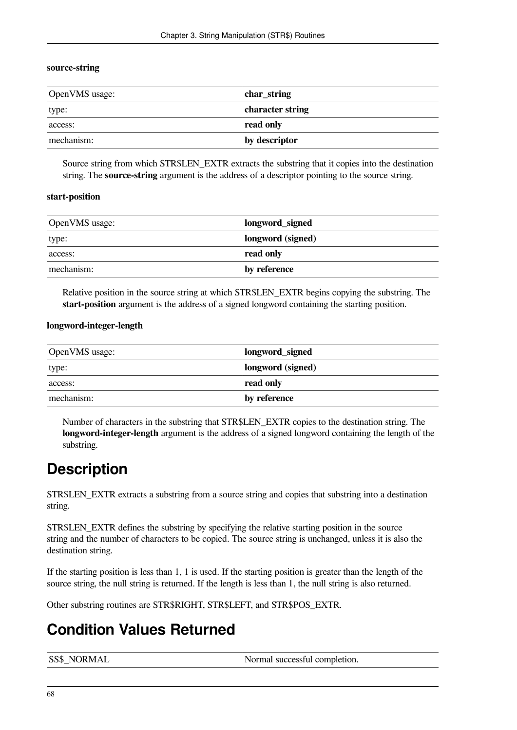#### **source-string**

| OpenVMS usage: | char_string      |
|----------------|------------------|
| type:          | character string |
| access:        | read only        |
| mechanism:     | by descriptor    |

Source string from which STR\$LEN\_EXTR extracts the substring that it copies into the destination string. The **source-string** argument is the address of a descriptor pointing to the source string.

#### **start-position**

| OpenVMS usage: | longword_signed   |
|----------------|-------------------|
| type:          | longword (signed) |
| access:        | read only         |
| mechanism:     | by reference      |

Relative position in the source string at which STR\$LEN\_EXTR begins copying the substring. The **start-position** argument is the address of a signed longword containing the starting position.

#### **longword-integer-length**

| OpenVMS usage: | longword_signed   |
|----------------|-------------------|
| type:          | longword (signed) |
| access:        | read only         |
| mechanism:     | by reference      |

Number of characters in the substring that STR\$LEN\_EXTR copies to the destination string. The **longword-integer-length** argument is the address of a signed longword containing the length of the substring.

### **Description**

STR\$LEN\_EXTR extracts a substring from a source string and copies that substring into a destination string.

STR\$LEN\_EXTR defines the substring by specifying the relative starting position in the source string and the number of characters to be copied. The source string is unchanged, unless it is also the destination string.

If the starting position is less than 1, 1 is used. If the starting position is greater than the length of the source string, the null string is returned. If the length is less than 1, the null string is also returned.

Other substring routines are STR\$RIGHT, STR\$LEFT, and STR\$POS\_EXTR.

# **Condition Values Returned**

| <b>SS\$_NORMAL</b> | Normal successful completion. |
|--------------------|-------------------------------|
|--------------------|-------------------------------|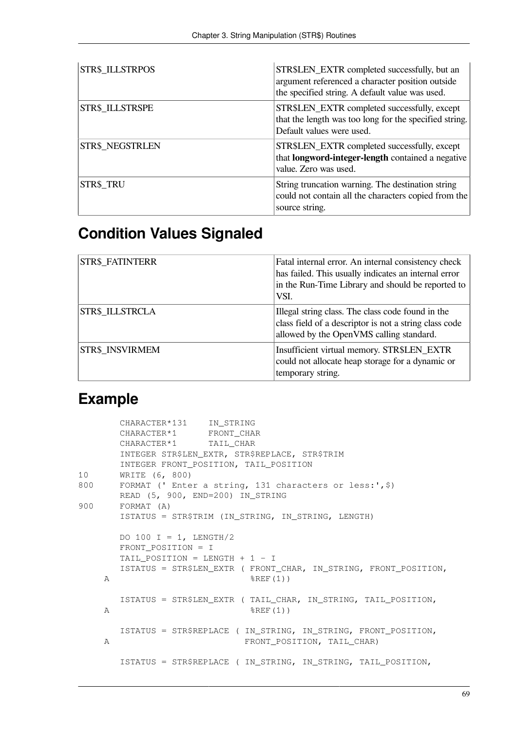| STR\$_ILLSTRPOS | STR\$LEN_EXTR completed successfully, but an<br>argument referenced a character position outside<br>the specified string. A default value was used. |
|-----------------|-----------------------------------------------------------------------------------------------------------------------------------------------------|
| STR\$_ILLSTRSPE | STR\$LEN_EXTR completed successfully, except<br>that the length was too long for the specified string.<br>Default values were used.                 |
| STR\$ NEGSTRLEN | STR\$LEN_EXTR completed successfully, except<br>that <b>longword-integer-length</b> contained a negative<br>value. Zero was used.                   |
| STR\$ TRU       | String truncation warning. The destination string<br>could not contain all the characters copied from the<br>source string.                         |

# **Condition Values Signaled**

| <b>STR\$ FATINTERR</b> | Fatal internal error. An internal consistency check<br>has failed. This usually indicates an internal error<br>in the Run-Time Library and should be reported to<br>VSI. |
|------------------------|--------------------------------------------------------------------------------------------------------------------------------------------------------------------------|
| STR\$ ILLSTRCLA        | Illegal string class. The class code found in the<br>class field of a descriptor is not a string class code<br>allowed by the OpenVMS calling standard.                  |
| STR\$ INSVIRMEM        | Insufficient virtual memory. STR\$LEN_EXTR<br>could not allocate heap storage for a dynamic or<br>temporary string.                                                      |

# **Example**

|              | CHARACTER*131 IN STRING                                                                      |
|--------------|----------------------------------------------------------------------------------------------|
|              | CHARACTER*1 FRONT CHAR                                                                       |
|              | CHARACTER*1 TAIL CHAR                                                                        |
|              | INTEGER STR\$LEN_EXTR, STR\$REPLACE, STR\$TRIM                                               |
|              | INTEGER FRONT POSITION, TAIL POSITION                                                        |
| 10           | WRITE (6, 800)                                                                               |
| 800          | FORMAT (' Enter a string, 131 characters or less:', \$)<br>READ (5, 900, END=200) IN_STRING  |
| 900          | FORMAT (A)                                                                                   |
|              | ISTATUS = STR\$TRIM (IN_STRING, IN_STRING, LENGTH)                                           |
|              | DO 100 I = 1, LENGTH/2<br>FRONT POSITION = I                                                 |
|              | TAIL_POSITION = LENGTH + $1 - I$                                                             |
| $\mathbb{A}$ | ISTATUS = STR\$LEN_EXTR ( FRONT_CHAR, IN_STRING, FRONT_POSITION,<br>$$REF(1)$ )              |
|              | ISTATUS = STR\$LEN_EXTR (TAIL_CHAR, IN_STRING, TAIL_POSITION,                                |
| $\mathbb{A}$ | $$REF(1)$ )                                                                                  |
| A            | ISTATUS = STR\$REPLACE ( IN_STRING, IN_STRING, FRONT_POSITION,<br>FRONT POSITION, TAIL CHAR) |
|              | ISTATUS = STR\$REPLACE ( IN_STRING, IN_STRING, TAIL_POSITION,                                |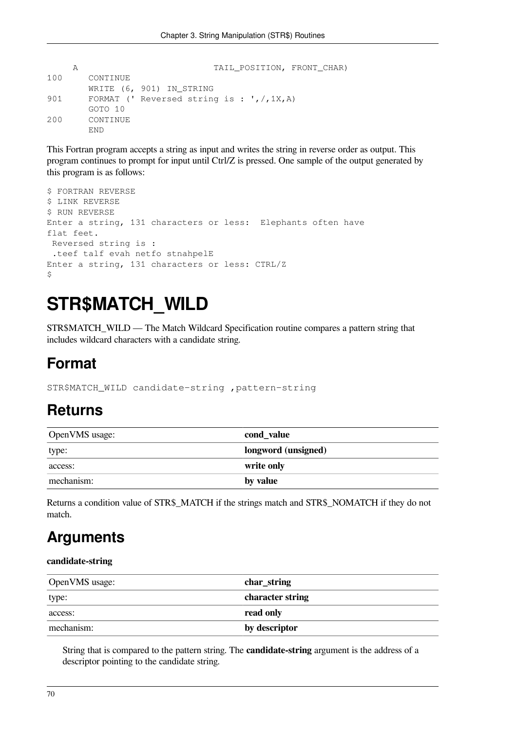```
A TAIL_POSITION, FRONT_CHAR)
100 CONTINUE
       WRITE (6, 901) IN_STRING
901 FORMAT (' Reversed string is : ', /, 1X, A)
       GOTO 10
200 CONTINUE
       END
```
This Fortran program accepts a string as input and writes the string in reverse order as output. This program continues to prompt for input until Ctrl/Z is pressed. One sample of the output generated by this program is as follows:

```
$ FORTRAN REVERSE
$ LINK REVERSE
$ RUN REVERSE
Enter a string, 131 characters or less: Elephants often have
flat feet.
 Reversed string is :
  .teef talf evah netfo stnahpelE
Enter a string, 131 characters or less: CTRL/Z
\mathsf{S}
```
# **STR\$MATCH\_WILD**

STR\$MATCH\_WILD — The Match Wildcard Specification routine compares a pattern string that includes wildcard characters with a candidate string.

## **Format**

STR\$MATCH\_WILD candidate-string ,pattern-string

### **Returns**

| OpenVMS usage: | cond_value          |
|----------------|---------------------|
| type:          | longword (unsigned) |
| access:        | write only          |
| mechanism:     | by value            |

Returns a condition value of STR\$\_MATCH if the strings match and STR\$\_NOMATCH if they do not match.

## **Arguments**

#### **candidate-string**

| OpenVMS usage: | char_string      |
|----------------|------------------|
| type:          | character string |
| access:        | read only        |
| mechanism:     | by descriptor    |

String that is compared to the pattern string. The **candidate-string** argument is the address of a descriptor pointing to the candidate string.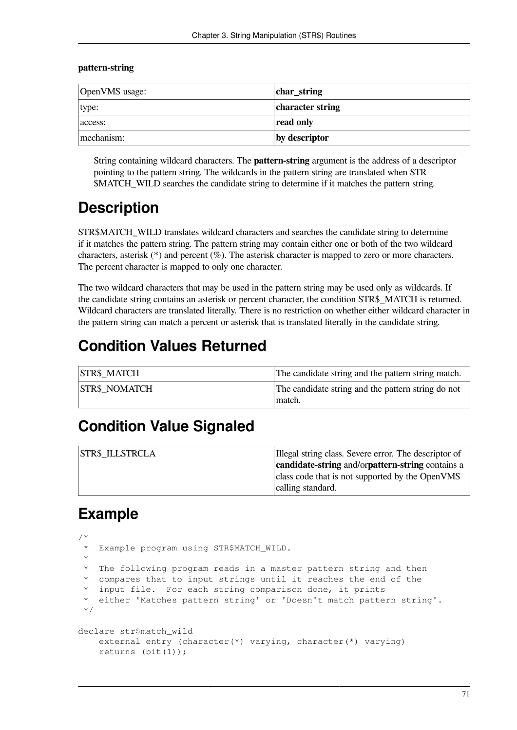#### **pattern-string**

| OpenVMS usage: | char_string      |
|----------------|------------------|
| type:          | character string |
| access:        | read only        |
| mechanism:     | by descriptor    |

String containing wildcard characters. The **pattern-string** argument is the address of a descriptor pointing to the pattern string. The wildcards in the pattern string are translated when STR \$MATCH\_WILD searches the candidate string to determine if it matches the pattern string.

# **Description**

STR\$MATCH\_WILD translates wildcard characters and searches the candidate string to determine if it matches the pattern string. The pattern string may contain either one or both of the two wildcard characters, asterisk (\*) and percent (%). The asterisk character is mapped to zero or more characters. The percent character is mapped to only one character.

The two wildcard characters that may be used in the pattern string may be used only as wildcards. If the candidate string contains an asterisk or percent character, the condition STR\$\_MATCH is returned. Wildcard characters are translated literally. There is no restriction on whether either wildcard character in the pattern string can match a percent or asterisk that is translated literally in the candidate string.

### **Condition Values Returned**

| <b>STR\$ MATCH</b>   | The candidate string and the pattern string match.           |
|----------------------|--------------------------------------------------------------|
| <b>STR\$ NOMATCH</b> | The candidate string and the pattern string do not<br>match. |

### **Condition Value Signaled**

| <b>STR\$ ILLSTRCLA</b> | Illegal string class. Severe error. The descriptor of |
|------------------------|-------------------------------------------------------|
|                        | candidate-string and/orpattern-string contains a      |
|                        | class code that is not supported by the OpenVMS       |
|                        | calling standard.                                     |

### **Example**

```
/ \starExample program using STR$MATCH_WILD.
 *
    The following program reads in a master pattern string and then
    compares that to input strings until it reaches the end of the
    input file. For each string comparison done, it prints
    either 'Matches pattern string' or 'Doesn't match pattern string'.
  */
declare str$match_wild
     external entry (character(*) varying, character(*) varying)
     returns (bit(1));
```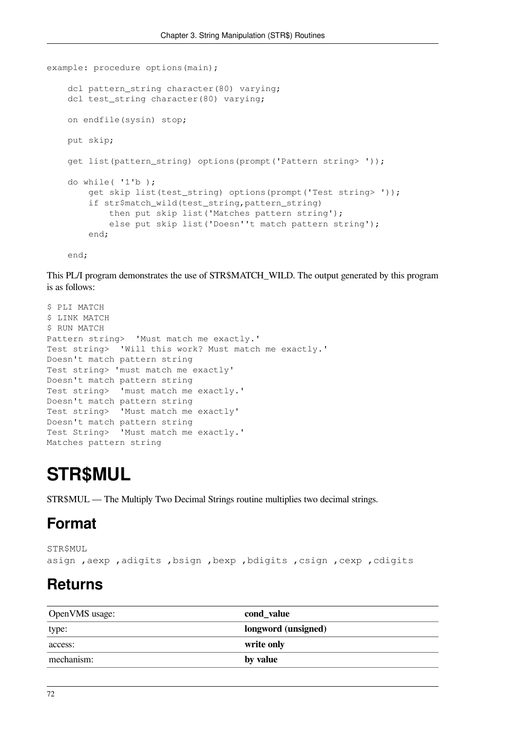```
example: procedure options(main);
     dcl pattern_string character(80) varying;
     dcl test_string character(80) varying;
     on endfile(sysin) stop;
     put skip;
     get list(pattern_string) options(prompt('Pattern string> '));
     do while( '1'b );
         get skip list(test_string) options(prompt('Test string> '));
         if str$match_wild(test_string,pattern_string)
             then put skip list('Matches pattern string');
             else put skip list('Doesn''t match pattern string');
         end;
```
end;

This PL/I program demonstrates the use of STR\$MATCH\_WILD. The output generated by this program is as follows:

```
$ PLI MATCH
$ LINK MATCH
$ RUN MATCH
Pattern string> 'Must match me exactly.'
Test string> 'Will this work? Must match me exactly.'
Doesn't match pattern string
Test string> 'must match me exactly'
Doesn't match pattern string
Test string> 'must match me exactly.'
Doesn't match pattern string
Test string> 'Must match me exactly'
Doesn't match pattern string
Test String> 'Must match me exactly.'
Matches pattern string
```
# **STR\$MUL**

STR\$MUL — The Multiply Two Decimal Strings routine multiplies two decimal strings.

### **Format**

```
STR$MUL
asign ,aexp ,adigits ,bsign ,bexp ,bdigits ,csign ,cexp ,cdigits
```
### **Returns**

| OpenVMS usage: | cond_value          |
|----------------|---------------------|
| type:          | longword (unsigned) |
| access:        | write only          |
| mechanism:     | by value            |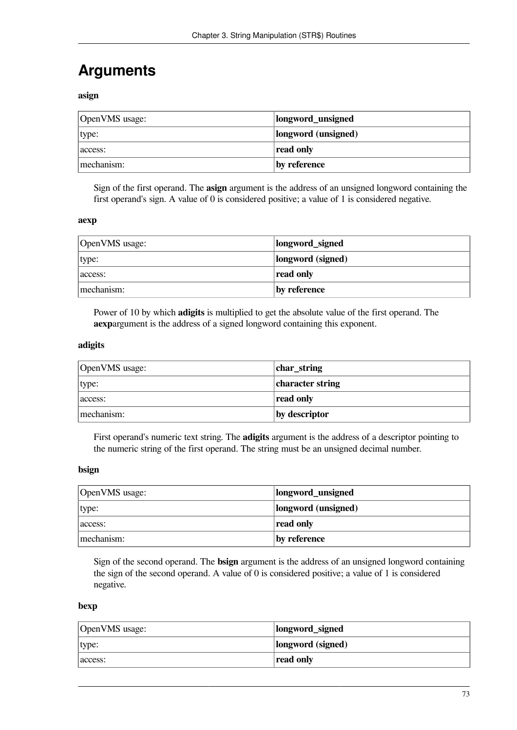# **Arguments**

**asign**

| OpenVMS usage: | longword_unsigned   |
|----------------|---------------------|
| type:          | longword (unsigned) |
| access:        | read only           |
| mechanism:     | by reference        |

Sign of the first operand. The **asign** argument is the address of an unsigned longword containing the first operand's sign. A value of 0 is considered positive; a value of 1 is considered negative.

#### **aexp**

| OpenVMS usage: | longword_signed   |
|----------------|-------------------|
| type:          | longword (signed) |
| access:        | read only         |
| mechanism:     | by reference      |

Power of 10 by which **adigits** is multiplied to get the absolute value of the first operand. The **aexp**argument is the address of a signed longword containing this exponent.

#### **adigits**

| OpenVMS usage: | char_string      |
|----------------|------------------|
| type:          | character string |
| access:        | read only        |
| mechanism:     | by descriptor    |

First operand's numeric text string. The **adigits** argument is the address of a descriptor pointing to the numeric string of the first operand. The string must be an unsigned decimal number.

#### **bsign**

| OpenVMS usage: | longword_unsigned   |
|----------------|---------------------|
| type:          | longword (unsigned) |
| access:        | read only           |
| mechanism:     | by reference        |

Sign of the second operand. The **bsign** argument is the address of an unsigned longword containing the sign of the second operand. A value of 0 is considered positive; a value of 1 is considered negative.

#### **bexp**

| OpenVMS usage: | longword_signed   |
|----------------|-------------------|
| type:          | longword (signed) |
| access:        | read only         |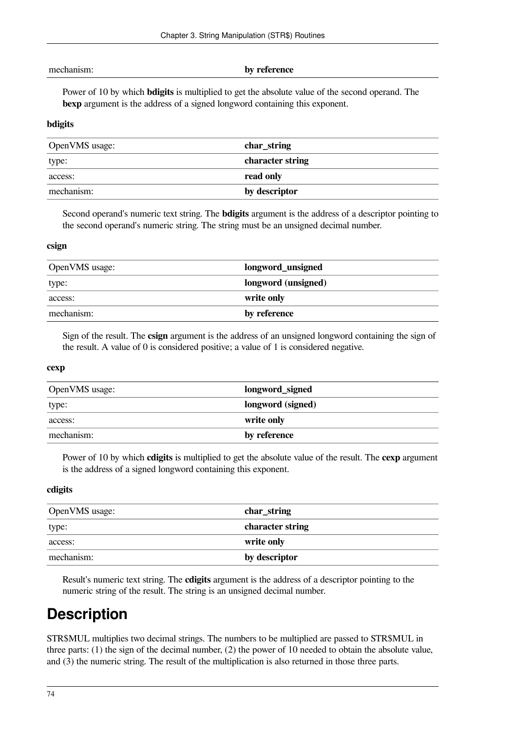| mechanism: |  |
|------------|--|
|            |  |

#### by reference

Power of 10 by which **bdigits** is multiplied to get the absolute value of the second operand. The **bexp** argument is the address of a signed longword containing this exponent.

#### **bdigits**

| OpenVMS usage: | char_string      |
|----------------|------------------|
| type:          | character string |
| access:        | read only        |
| mechanism:     | by descriptor    |

Second operand's numeric text string. The **bdigits** argument is the address of a descriptor pointing to the second operand's numeric string. The string must be an unsigned decimal number.

#### **csign**

| OpenVMS usage: | longword_unsigned   |
|----------------|---------------------|
| type:          | longword (unsigned) |
| access:        | write only          |
| mechanism:     | by reference        |

Sign of the result. The **csign** argument is the address of an unsigned longword containing the sign of the result. A value of 0 is considered positive; a value of 1 is considered negative.

#### **cexp**

| OpenVMS usage: | longword_signed   |
|----------------|-------------------|
| type:          | longword (signed) |
| access:        | write only        |
| mechanism:     | by reference      |

Power of 10 by which **cdigits** is multiplied to get the absolute value of the result. The **cexp** argument is the address of a signed longword containing this exponent.

#### **cdigits**

| OpenVMS usage: | char_string      |
|----------------|------------------|
| type:          | character string |
| access:        | write only       |
| mechanism:     | by descriptor    |

Result's numeric text string. The **cdigits** argument is the address of a descriptor pointing to the numeric string of the result. The string is an unsigned decimal number.

## **Description**

STR\$MUL multiplies two decimal strings. The numbers to be multiplied are passed to STR\$MUL in three parts: (1) the sign of the decimal number, (2) the power of 10 needed to obtain the absolute value, and (3) the numeric string. The result of the multiplication is also returned in those three parts.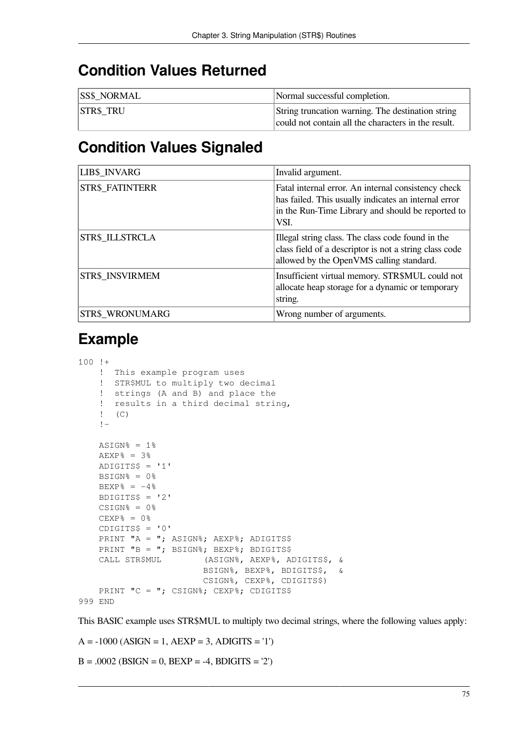### **Condition Values Returned**

| <b>SS\$ NORMAL</b> | Normal successful completion.                                                                            |
|--------------------|----------------------------------------------------------------------------------------------------------|
| <b>STR\$ TRU</b>   | String truncation warning. The destination string<br>could not contain all the characters in the result. |

### **Condition Values Signaled**

| LIB\$_INVARG           | Invalid argument.                                                                                                                                                        |
|------------------------|--------------------------------------------------------------------------------------------------------------------------------------------------------------------------|
| <b>STR\$ FATINTERR</b> | Fatal internal error. An internal consistency check<br>has failed. This usually indicates an internal error<br>in the Run-Time Library and should be reported to<br>VSL. |
| STR\$ ILLSTRCLA        | Illegal string class. The class code found in the<br>class field of a descriptor is not a string class code<br>allowed by the OpenVMS calling standard.                  |
| STR\$ INSVIRMEM        | Insufficient virtual memory. STR\$MUL could not<br>allocate heap storage for a dynamic or temporary<br>string.                                                           |
| <b>STR\$ WRONUMARG</b> | Wrong number of arguments.                                                                                                                                               |

### **Example**

```
100 !+
     ! This example program uses
     ! STR$MUL to multiply two decimal
     ! strings (A and B) and place the
     ! results in a third decimal string,
     ! (C)
    \mathsf{I} -ASIGN<sup>o</sup> = 1<sup>o</sup>AEXP% = 3%
    ADIGITS$ = '1'BSIGN% = 0%
    BEXP% = -4%
    BDIGITS$ = '2'CSIGN<sup>o</sup> = 0<sup>o</sup>CEXP_{8} = 0%
    CDIGITS$ = '0'PRINT "A = "; ASIGN%; AEXP%; ADIGITS$
    PRINT "B = "; BSIGN%; BEXP%; BDIGITS$
     CALL STR$MUL (ASIGN%, AEXP%, ADIGITS$, &
                           BSIGN%, BEXP%, BDIGITS$, &
                           CSIGN%, CEXP%, CDIGITS$)
    PRINT "C = "; CSIGN%; CEXP%; CDIGITS$
999 END
```
This BASIC example uses STR\$MUL to multiply two decimal strings, where the following values apply:

 $A = -1000 (ASIGN = 1, AEXP = 3, ADIGITS = '1')$ 

 $B = .0002$  (BSIGN = 0, BEXP = -4, BDIGITS = '2')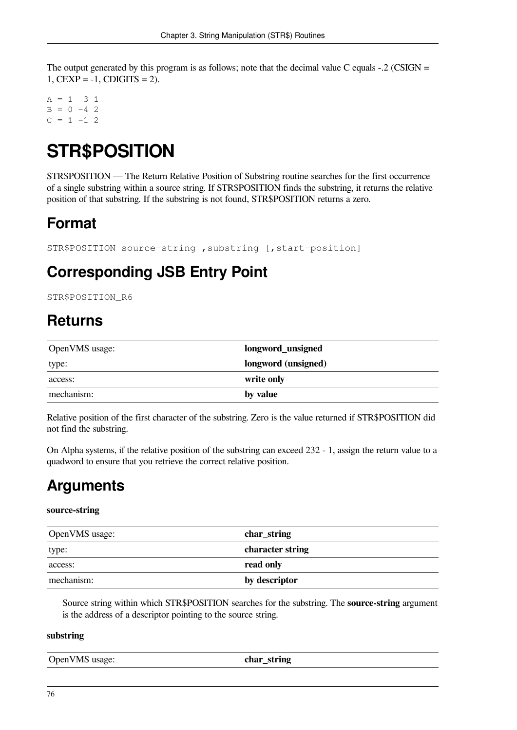The output generated by this program is as follows; note that the decimal value C equals  $-2$  (CSIGN = 1,  $CEXP = -1$ ,  $CDIGITS = 2$ ).

 $A = 1 3 1$  $B = 0 -4$  2  $C = 1 -1$  2

# **STR\$POSITION**

STR\$POSITION — The Return Relative Position of Substring routine searches for the first occurrence of a single substring within a source string. If STR\$POSITION finds the substring, it returns the relative position of that substring. If the substring is not found, STR\$POSITION returns a zero.

# **Format**

```
STR$POSITION source-string ,substring [,start-position]
```
# **Corresponding JSB Entry Point**

STR\$POSITION R6

## **Returns**

| OpenVMS usage: | longword_unsigned   |
|----------------|---------------------|
| type:          | longword (unsigned) |
| access:        | write only          |
| mechanism:     | by value            |

Relative position of the first character of the substring. Zero is the value returned if STR\$POSITION did not find the substring.

On Alpha systems, if the relative position of the substring can exceed 232 - 1, assign the return value to a quadword to ensure that you retrieve the correct relative position.

## **Arguments**

### **source-string**

| OpenVMS usage: | char_string      |
|----------------|------------------|
| type:          | character string |
| access:        | read only        |
| mechanism:     | by descriptor    |

Source string within which STR\$POSITION searches for the substring. The **source-string** argument is the address of a descriptor pointing to the source string.

#### **substring**

| 'OpenVM <sub>&gt;</sub><br>ctríno<br>$-$<br>∍∧م .<br>usage <sup>.</sup><br>лы<br>۰.<br>_<br>-<br>and the state of the con- |
|----------------------------------------------------------------------------------------------------------------------------|
|----------------------------------------------------------------------------------------------------------------------------|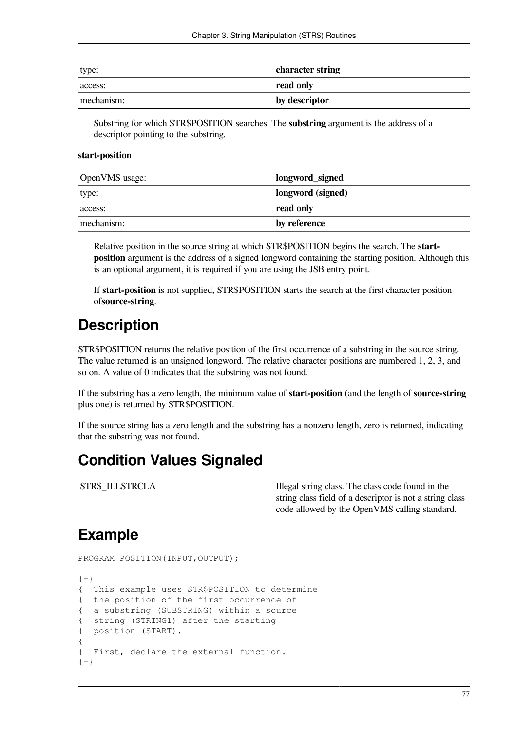| type:      | character string |
|------------|------------------|
| access:    | read only        |
| mechanism: | by descriptor    |

Substring for which STR\$POSITION searches. The **substring** argument is the address of a descriptor pointing to the substring.

#### **start-position**

| OpenVMS usage: | longword_signed   |
|----------------|-------------------|
| type:          | longword (signed) |
| access:        | read only         |
| mechanism:     | by reference      |

Relative position in the source string at which STR\$POSITION begins the search. The **startposition** argument is the address of a signed longword containing the starting position. Although this is an optional argument, it is required if you are using the JSB entry point.

If **start-position** is not supplied, STR\$POSITION starts the search at the first character position of**source-string**.

## **Description**

STR\$POSITION returns the relative position of the first occurrence of a substring in the source string. The value returned is an unsigned longword. The relative character positions are numbered 1, 2, 3, and so on. A value of 0 indicates that the substring was not found.

If the substring has a zero length, the minimum value of **start-position** (and the length of **source-string** plus one) is returned by STR\$POSITION.

If the source string has a zero length and the substring has a nonzero length, zero is returned, indicating that the substring was not found.

### **Condition Values Signaled**

| <b>STR\$ ILLSTRCLA</b> | Illegal string class. The class code found in the        |
|------------------------|----------------------------------------------------------|
|                        | string class field of a descriptor is not a string class |
|                        | code allowed by the OpenVMS calling standard.            |

### **Example**

PROGRAM POSITION(INPUT, OUTPUT);

```
{+}
{ This example uses STR$POSITION to determine
{ the position of the first occurrence of
{ a substring (SUBSTRING) within a source
{ string (STRING1) after the starting
{ position (START).
{
{ First, declare the external function.
{-}
```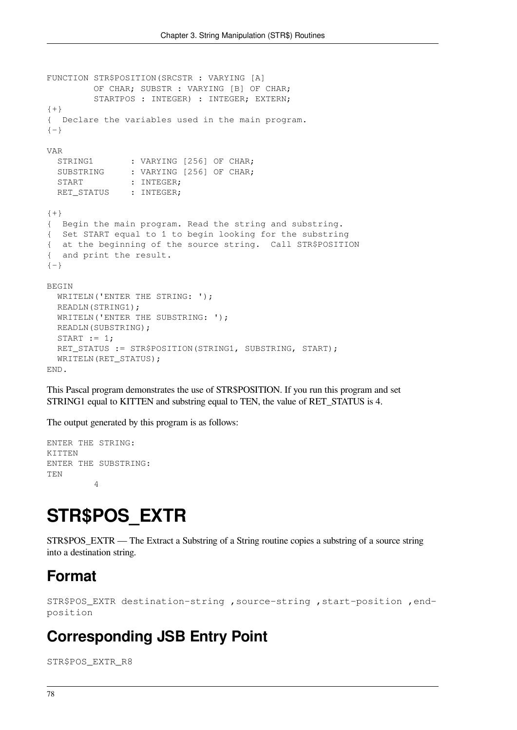```
FUNCTION STR$POSITION(SRCSTR : VARYING [A]
         OF CHAR; SUBSTR : VARYING [B] OF CHAR;
        STARTPOS : INTEGER) : INTEGER; EXTERN;
{+}
{ Declare the variables used in the main program.
{-}VAR
 STRING1 : VARYING [256] OF CHAR;
 SUBSTRING : VARYING [256] OF CHAR;
 START : INTEGER;
 RET STATUS : INTEGER;
{+}{ Begin the main program. Read the string and substring.
{ Set START equal to 1 to begin looking for the substring
{ at the beginning of the source string. Call STR$POSITION
{ and print the result.
{-}BEGIN
 WRITELN('ENTER THE STRING: ');
  READLN(STRING1);
 WRITELN('ENTER THE SUBSTRING: ');
  READLN(SUBSTRING);
 START := 1;RET_STATUS := STR$POSITION(STRING1, SUBSTRING, START);
 WRITELN(RET_STATUS);
END.
```
This Pascal program demonstrates the use of STR\$POSITION. If you run this program and set STRING1 equal to KITTEN and substring equal to TEN, the value of RET\_STATUS is 4.

The output generated by this program is as follows:

ENTER THE STRING: KITTEN ENTER THE SUBSTRING: TEN 4

# **STR\$POS\_EXTR**

STR\$POS\_EXTR — The Extract a Substring of a String routine copies a substring of a source string into a destination string.

### **Format**

```
STR$POS_EXTR destination-string ,source-string ,start-position ,end-
position
```
### **Corresponding JSB Entry Point**

STR\$POS\_EXTR\_R8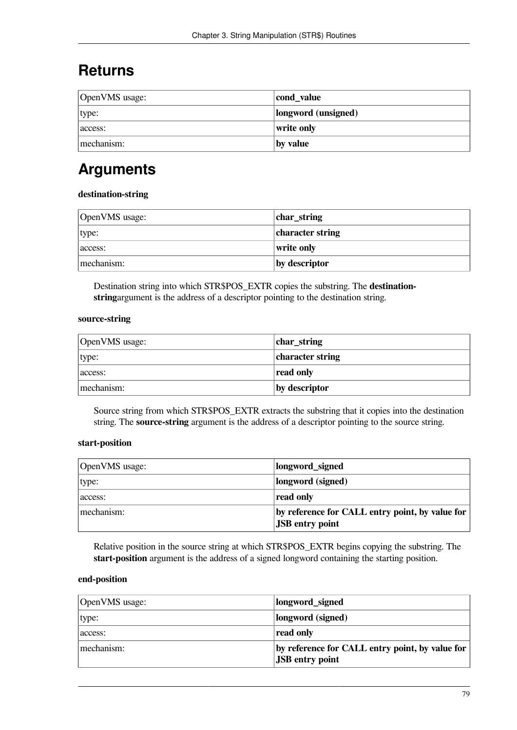## **Returns**

| OpenVMS usage: | cond_value          |
|----------------|---------------------|
| type:          | longword (unsigned) |
| access:        | write only          |
| mechanism:     | by value            |

# **Arguments**

#### **destination-string**

| OpenVMS usage: | char_string      |
|----------------|------------------|
| type:          | character string |
| access:        | write only       |
| mechanism:     | by descriptor    |

Destination string into which STR\$POS\_EXTR copies the substring. The **destinationstring**argument is the address of a descriptor pointing to the destination string.

#### **source-string**

| OpenVMS usage: | char_string      |
|----------------|------------------|
| type:          | character string |
| access:        | read only        |
| mechanism:     | by descriptor    |

Source string from which STR\$POS\_EXTR extracts the substring that it copies into the destination string. The **source-string** argument is the address of a descriptor pointing to the source string.

### **start-position**

| OpenVMS usage: | longword_signed                                                           |
|----------------|---------------------------------------------------------------------------|
| type:          | longword (signed)                                                         |
| access:        | read only                                                                 |
| mechanism:     | by reference for CALL entry point, by value for<br><b>JSB</b> entry point |

Relative position in the source string at which STR\$POS\_EXTR begins copying the substring. The **start-position** argument is the address of a signed longword containing the starting position.

#### **end-position**

| OpenVMS usage: | longword_signed                                                           |
|----------------|---------------------------------------------------------------------------|
| type:          | longword (signed)                                                         |
| access:        | read only                                                                 |
| mechanism:     | by reference for CALL entry point, by value for<br><b>JSB</b> entry point |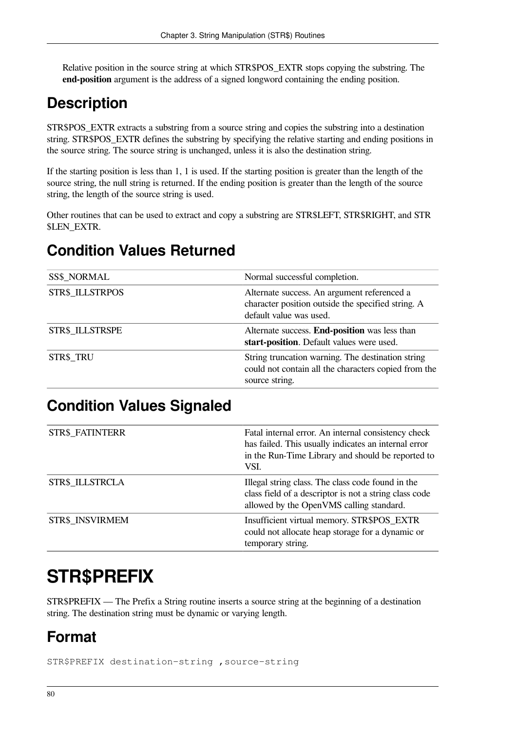Relative position in the source string at which STR\$POS\_EXTR stops copying the substring. The **end-position** argument is the address of a signed longword containing the ending position.

# **Description**

STR\$POS\_EXTR extracts a substring from a source string and copies the substring into a destination string. STR\$POS\_EXTR defines the substring by specifying the relative starting and ending positions in the source string. The source string is unchanged, unless it is also the destination string.

If the starting position is less than 1, 1 is used. If the starting position is greater than the length of the source string, the null string is returned. If the ending position is greater than the length of the source string, the length of the source string is used.

Other routines that can be used to extract and copy a substring are STR\$LEFT, STR\$RIGHT, and STR \$LEN\_EXTR.

# **Condition Values Returned**

| <b>SS\$ NORMAL</b>     | Normal successful completion.                                                                                                |
|------------------------|------------------------------------------------------------------------------------------------------------------------------|
| <b>STR\$ ILLSTRPOS</b> | Alternate success. An argument referenced a<br>character position outside the specified string. A<br>default value was used. |
| <b>STR\$ ILLSTRSPE</b> | Alternate success. End-position was less than<br>start-position. Default values were used.                                   |
| <b>STR\$ TRU</b>       | String truncation warning. The destination string<br>could not contain all the characters copied from the<br>source string.  |

## **Condition Values Signaled**

| <b>STR\$ FATINTERR</b> | Fatal internal error. An internal consistency check<br>has failed. This usually indicates an internal error<br>in the Run-Time Library and should be reported to<br>VSI. |
|------------------------|--------------------------------------------------------------------------------------------------------------------------------------------------------------------------|
| <b>STR\$ ILLSTRCLA</b> | Illegal string class. The class code found in the<br>class field of a descriptor is not a string class code<br>allowed by the OpenVMS calling standard.                  |
| STR\$ INSVIRMEM        | Insufficient virtual memory. STR\$POS_EXTR<br>could not allocate heap storage for a dynamic or<br>temporary string.                                                      |

# **STR\$PREFIX**

STR\$PREFIX — The Prefix a String routine inserts a source string at the beginning of a destination string. The destination string must be dynamic or varying length.

# **Format**

STR\$PREFIX destination-string ,source-string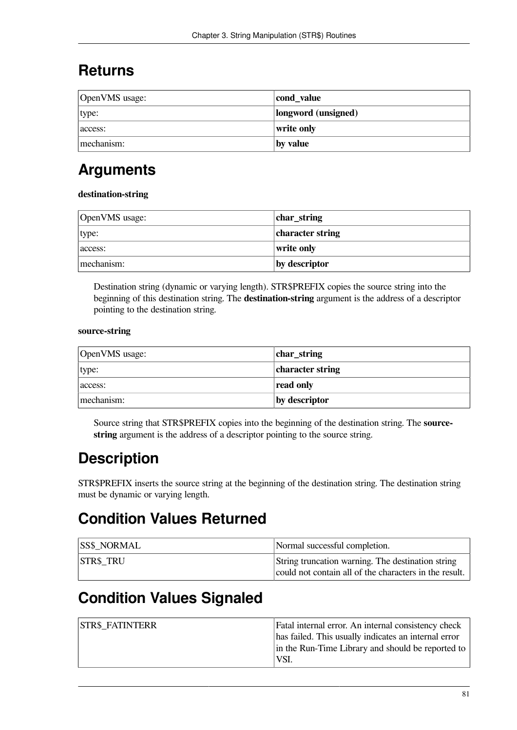### **Returns**

| OpenVMS usage: | cond_value          |
|----------------|---------------------|
| type:          | longword (unsigned) |
| access:        | write only          |
| mechanism:     | by value            |

# **Arguments**

### **destination-string**

| OpenVMS usage: | char_string      |
|----------------|------------------|
| type:          | character string |
| access:        | write only       |
| mechanism:     | by descriptor    |

Destination string (dynamic or varying length). STR\$PREFIX copies the source string into the beginning of this destination string. The **destination-string** argument is the address of a descriptor pointing to the destination string.

#### **source-string**

| OpenVMS usage: | char_string      |
|----------------|------------------|
| type:          | character string |
| access:        | read only        |
| mechanism:     | by descriptor    |

Source string that STR\$PREFIX copies into the beginning of the destination string. The **sourcestring** argument is the address of a descriptor pointing to the source string.

## **Description**

STR\$PREFIX inserts the source string at the beginning of the destination string. The destination string must be dynamic or varying length.

### **Condition Values Returned**

| <b>SS\$ NORMAL</b> | Normal successful completion.                                                                               |
|--------------------|-------------------------------------------------------------------------------------------------------------|
| <b>STR\$ TRU</b>   | String truncation warning. The destination string<br>could not contain all of the characters in the result. |

## **Condition Values Signaled**

| <b>STR\$ FATINTERR</b> | Fatal internal error. An internal consistency check  |
|------------------------|------------------------------------------------------|
|                        | has failed. This usually indicates an internal error |
|                        | in the Run-Time Library and should be reported to    |
|                        | VSI.                                                 |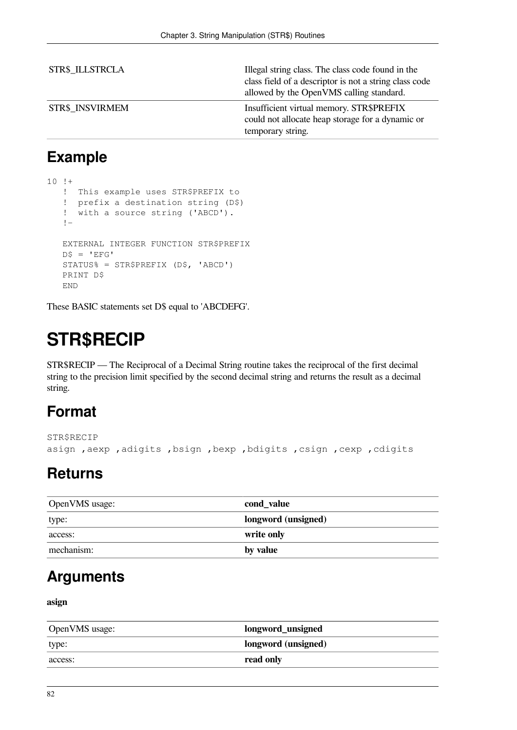| <b>STR\$ ILLSTRCLA</b> | Illegal string class. The class code found in the<br>class field of a descriptor is not a string class code<br>allowed by the OpenVMS calling standard. |
|------------------------|---------------------------------------------------------------------------------------------------------------------------------------------------------|
| <b>STR\$ INSVIRMEM</b> | Insufficient virtual memory. STR\$PREFIX<br>could not allocate heap storage for a dynamic or<br>temporary string.                                       |

# **Example**

```
10 !+
    ! This example uses STR$PREFIX to
    ! prefix a destination string (D$)
    ! with a source string ('ABCD').
    !-
    EXTERNAL INTEGER FUNCTION STR$PREFIX
   DS = 'EFG' STATUS% = STR$PREFIX (D$, 'ABCD')
    PRINT D$
    END
```
These BASIC statements set D\$ equal to 'ABCDEFG'.

# **STR\$RECIP**

STR\$RECIP — The Reciprocal of a Decimal String routine takes the reciprocal of the first decimal string to the precision limit specified by the second decimal string and returns the result as a decimal string.

# **Format**

```
STR$RECIP
asign ,aexp ,adigits ,bsign ,bexp ,bdigits ,csign ,cexp ,cdigits
```
### **Returns**

| OpenVMS usage: | cond_value          |
|----------------|---------------------|
| type:          | longword (unsigned) |
| access:        | write only          |
| mechanism:     | by value            |

### **Arguments**

### **asign**

| OpenVMS usage: | longword_unsigned          |
|----------------|----------------------------|
| type:          | <b>longword</b> (unsigned) |
| access:        | read only                  |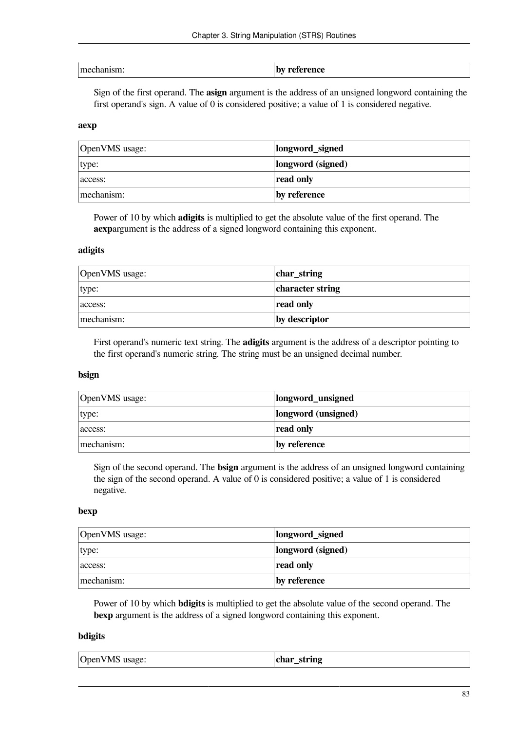| mechanism: |  |
|------------|--|
|            |  |

by reference

Sign of the first operand. The **asign** argument is the address of an unsigned longword containing the first operand's sign. A value of 0 is considered positive; a value of 1 is considered negative.

#### **aexp**

| OpenVMS usage: | longword_signed   |
|----------------|-------------------|
| type:          | longword (signed) |
| access:        | read only         |
| mechanism:     | by reference      |

Power of 10 by which **adigits** is multiplied to get the absolute value of the first operand. The **aexp**argument is the address of a signed longword containing this exponent.

#### **adigits**

| OpenVMS usage: | char_string      |
|----------------|------------------|
| type:          | character string |
| access:        | read only        |
| mechanism:     | by descriptor    |

First operand's numeric text string. The **adigits** argument is the address of a descriptor pointing to the first operand's numeric string. The string must be an unsigned decimal number.

#### **bsign**

| OpenVMS usage: | longword_unsigned   |
|----------------|---------------------|
| type:          | longword (unsigned) |
| access:        | read only           |
| mechanism:     | by reference        |

Sign of the second operand. The **bsign** argument is the address of an unsigned longword containing the sign of the second operand. A value of 0 is considered positive; a value of 1 is considered negative.

#### **bexp**

| OpenVMS usage: | longword_signed   |
|----------------|-------------------|
| type:          | longword (signed) |
| access:        | read only         |
| mechanism:     | by reference      |

Power of 10 by which **bdigits** is multiplied to get the absolute value of the second operand. The **bexp** argument is the address of a signed longword containing this exponent.

#### **bdigits**

| OpenVMS usage: | $\epsilon$ char<br>string |
|----------------|---------------------------|
|----------------|---------------------------|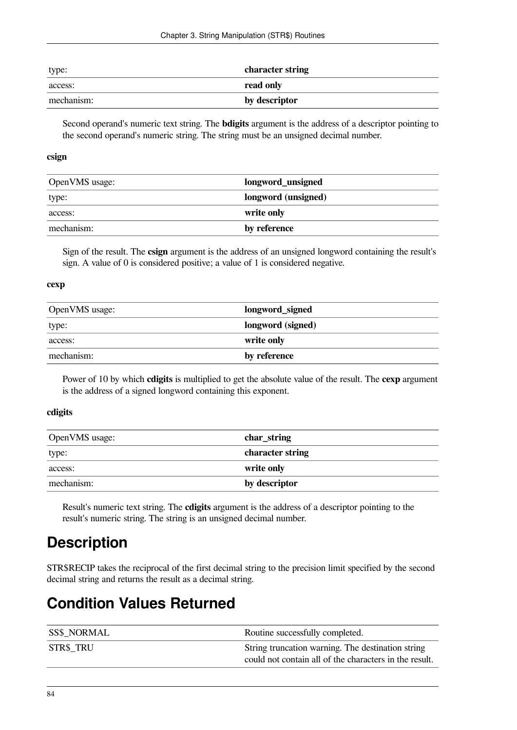| type:      | character string |
|------------|------------------|
| access:    | read only        |
| mechanism: | by descriptor    |

Second operand's numeric text string. The **bdigits** argument is the address of a descriptor pointing to the second operand's numeric string. The string must be an unsigned decimal number.

#### **csign**

| OpenVMS usage: | longword_unsigned   |
|----------------|---------------------|
| type:          | longword (unsigned) |
| access:        | write only          |
| mechanism:     | by reference        |

Sign of the result. The **csign** argument is the address of an unsigned longword containing the result's sign. A value of 0 is considered positive; a value of 1 is considered negative.

#### **cexp**

| OpenVMS usage: | longword_signed   |
|----------------|-------------------|
| type:          | longword (signed) |
| access:        | write only        |
| mechanism:     | by reference      |

Power of 10 by which **cdigits** is multiplied to get the absolute value of the result. The **cexp** argument is the address of a signed longword containing this exponent.

#### **cdigits**

| OpenVMS usage: | char_string      |
|----------------|------------------|
| type:          | character string |
| access:        | write only       |
| mechanism:     | by descriptor    |

Result's numeric text string. The **cdigits** argument is the address of a descriptor pointing to the result's numeric string. The string is an unsigned decimal number.

## **Description**

STR\$RECIP takes the reciprocal of the first decimal string to the precision limit specified by the second decimal string and returns the result as a decimal string.

### **Condition Values Returned**

| <b>SS\$ NORMAL</b> | Routine successfully completed.                                                                             |
|--------------------|-------------------------------------------------------------------------------------------------------------|
| <b>STR\$ TRU</b>   | String truncation warning. The destination string<br>could not contain all of the characters in the result. |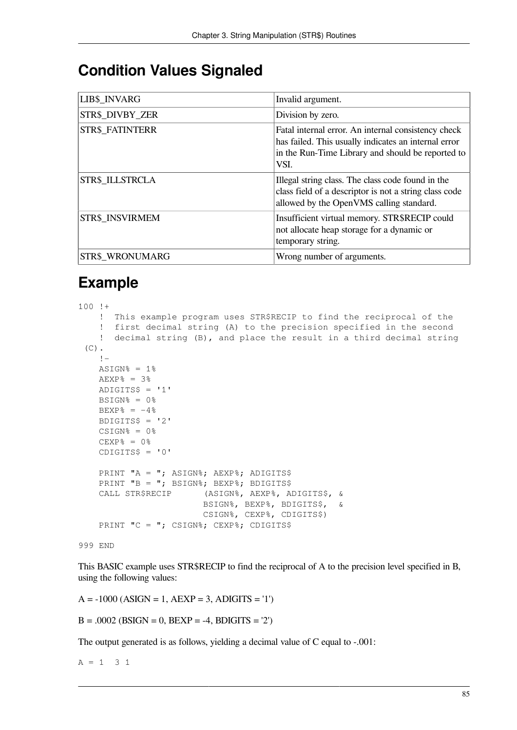### **Condition Values Signaled**

| LIB\$_INVARG           | Invalid argument.                                                                                                                                                        |
|------------------------|--------------------------------------------------------------------------------------------------------------------------------------------------------------------------|
| STR\$ DIVBY ZER        | Division by zero.                                                                                                                                                        |
| <b>STR\$ FATINTERR</b> | Fatal internal error. An internal consistency check<br>has failed. This usually indicates an internal error<br>in the Run-Time Library and should be reported to<br>VSI. |
| STR\$ ILLSTRCLA        | Illegal string class. The class code found in the<br>class field of a descriptor is not a string class code<br>allowed by the OpenVMS calling standard.                  |
| STR\$ INSVIRMEM        | Insufficient virtual memory. STR\$RECIP could<br>not allocate heap storage for a dynamic or<br>temporary string.                                                         |
| STR\$ WRONUMARG        | Wrong number of arguments.                                                                                                                                               |

# **Example**

```
100 !+
     ! This example program uses STR$RECIP to find the reciprocal of the
     ! first decimal string (A) to the precision specified in the second
     ! decimal string (B), and place the result in a third decimal string
 (C).
    \mathbf{I}ASIGN% = 1%
    AEXP% = 3%
    ADIGITS$ = '1'BSIGN<sup>o</sup> = 0<sup>o</sup>BEXP% = -4%
    BDIGITS$ = '2'CSIGN<sup>o</sup> = 0<sup>o</sup>CEXP% = 0%
    CDIGITS$ = '0'PRINT "A = "; ASIGN%; AEXP%; ADIGITS$
    PRINT "B = "; BSIGN%; BEXP%; BDIGITS$
     CALL STR$RECIP (ASIGN%, AEXP%, ADIGITS$, &
                           BSIGN%, BEXP%, BDIGITS$, &
                           CSIGN%, CEXP%, CDIGITS$)
    PRINT "C = "; CSIGN%; CEXP%; CDIGITS$
999 END
```
This BASIC example uses STR\$RECIP to find the reciprocal of A to the precision level specified in B, using the following values:

 $A = -1000 (ASIGN = 1, AEXP = 3, ADIGITS = '1')$ 

 $B = .0002$  (BSIGN = 0, BEXP = -4, BDIGITS = '2')

The output generated is as follows, yielding a decimal value of C equal to -.001:

 $A = 1 3 1$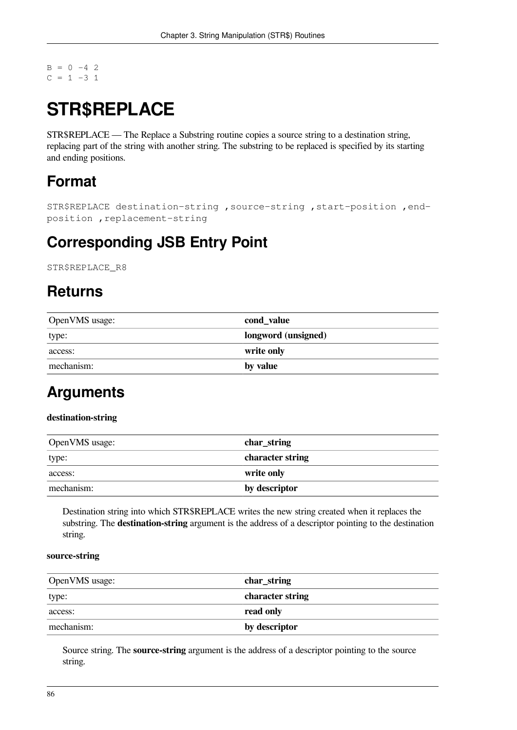$B = 0 -4$  2  $C = 1 -3 1$ 

# **STR\$REPLACE**

STR\$REPLACE — The Replace a Substring routine copies a source string to a destination string, replacing part of the string with another string. The substring to be replaced is specified by its starting and ending positions.

# **Format**

```
STR$REPLACE destination-string ,source-string ,start-position ,end-
position ,replacement-string
```
### **Corresponding JSB Entry Point**

STR\$REPLACE\_R8

## **Returns**

| OpenVMS usage: | cond_value          |
|----------------|---------------------|
| type:          | longword (unsigned) |
| access:        | write only          |
| mechanism:     | by value            |

## **Arguments**

### **destination-string**

| OpenVMS usage: | char_string      |
|----------------|------------------|
| type:          | character string |
| access:        | write only       |
| mechanism:     | by descriptor    |

Destination string into which STR\$REPLACE writes the new string created when it replaces the substring. The **destination-string** argument is the address of a descriptor pointing to the destination string.

#### **source-string**

| OpenVMS usage: | char_string      |
|----------------|------------------|
| type:          | character string |
| access:        | read only        |
| mechanism:     | by descriptor    |

Source string. The **source-string** argument is the address of a descriptor pointing to the source string.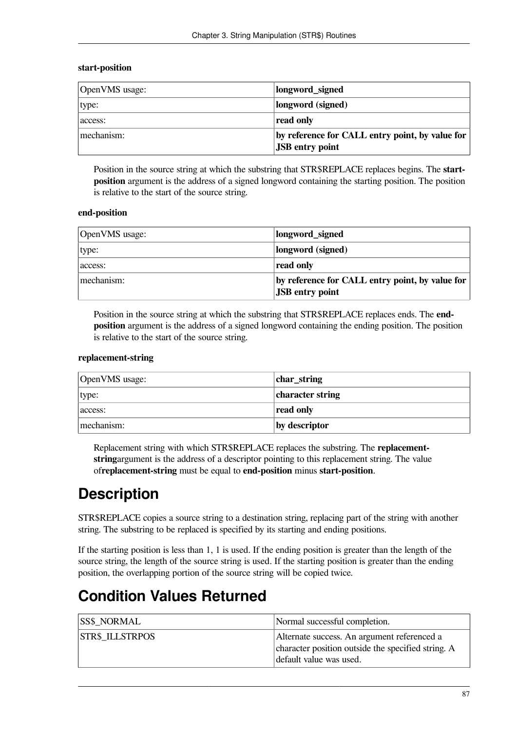#### **start-position**

| OpenVMS usage: | longword_signed                                                           |
|----------------|---------------------------------------------------------------------------|
| type:          | longword (signed)                                                         |
| access:        | read only                                                                 |
| mechanism:     | by reference for CALL entry point, by value for<br><b>JSB</b> entry point |

Position in the source string at which the substring that STR\$REPLACE replaces begins. The **startposition** argument is the address of a signed longword containing the starting position. The position is relative to the start of the source string.

#### **end-position**

| OpenVMS usage: | longword_signed                                 |
|----------------|-------------------------------------------------|
| type:          | longword (signed)                               |
| access:        | read only                                       |
| mechanism:     | by reference for CALL entry point, by value for |
|                | <b>JSB</b> entry point                          |

Position in the source string at which the substring that STR\$REPLACE replaces ends. The **endposition** argument is the address of a signed longword containing the ending position. The position is relative to the start of the source string.

#### **replacement-string**

| OpenVMS usage: | char_string      |
|----------------|------------------|
| type:          | character string |
| access:        | read only        |
| mechanism:     | by descriptor    |

Replacement string with which STR\$REPLACE replaces the substring. The **replacementstring**argument is the address of a descriptor pointing to this replacement string. The value of**replacement-string** must be equal to **end-position** minus **start-position**.

# **Description**

STR\$REPLACE copies a source string to a destination string, replacing part of the string with another string. The substring to be replaced is specified by its starting and ending positions.

If the starting position is less than 1, 1 is used. If the ending position is greater than the length of the source string, the length of the source string is used. If the starting position is greater than the ending position, the overlapping portion of the source string will be copied twice.

### **Condition Values Returned**

| <b>SS\$ NORMAL</b>     | Normal successful completion.                                                                                                |
|------------------------|------------------------------------------------------------------------------------------------------------------------------|
| <b>STR\$ ILLSTRPOS</b> | Alternate success. An argument referenced a<br>character position outside the specified string. A<br>default value was used. |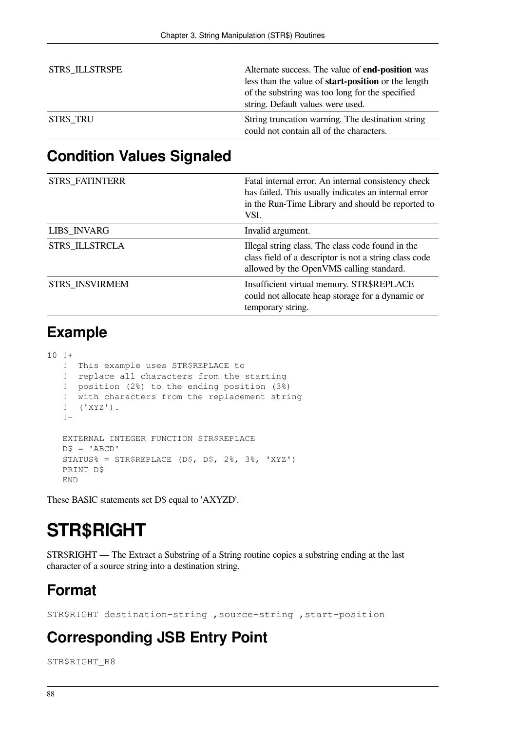| <b>STR\$ ILLSTRSPE</b> | Alternate success. The value of end-position was<br>less than the value of <b>start-position</b> or the length<br>of the substring was too long for the specified<br>string. Default values were used. |
|------------------------|--------------------------------------------------------------------------------------------------------------------------------------------------------------------------------------------------------|
| <b>STR\$ TRU</b>       | String truncation warning. The destination string<br>could not contain all of the characters.                                                                                                          |

### **Condition Values Signaled**

| STR\$_FATINTERR | Fatal internal error. An internal consistency check<br>has failed. This usually indicates an internal error<br>in the Run-Time Library and should be reported to<br>VSI. |
|-----------------|--------------------------------------------------------------------------------------------------------------------------------------------------------------------------|
| LIB\$_INVARG    | Invalid argument.                                                                                                                                                        |
| STR\$ ILLSTRCLA | Illegal string class. The class code found in the<br>class field of a descriptor is not a string class code<br>allowed by the OpenVMS calling standard.                  |
| STR\$ INSVIRMEM | Insufficient virtual memory. STR\$REPLACE<br>could not allocate heap storage for a dynamic or<br>temporary string.                                                       |

### **Example**

```
10 !+
    ! This example uses STR$REPLACE to
    ! replace all characters from the starting
    ! position (2%) to the ending position (3%)
    ! with characters from the replacement string
    ! ('XYZ').
   !-
   EXTERNAL INTEGER FUNCTION STR$REPLACE
  D\ = 'ABCD'
   STATUS% = STR$REPLACE (D$, D$, 2%, 3%, 'XYZ')
   PRINT D$
   END
```
These BASIC statements set D\$ equal to 'AXYZD'.

# **STR\$RIGHT**

STR\$RIGHT — The Extract a Substring of a String routine copies a substring ending at the last character of a source string into a destination string.

# **Format**

STR\$RIGHT destination-string ,source-string ,start-position

## **Corresponding JSB Entry Point**

STR\$RIGHT\_R8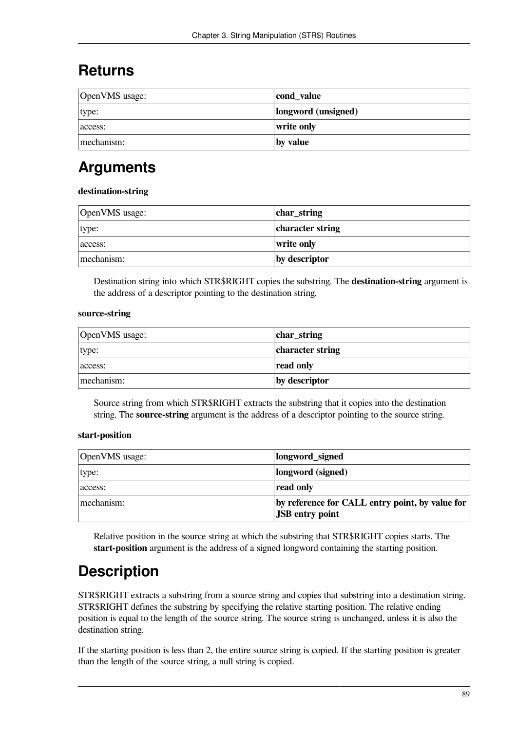## **Returns**

| OpenVMS usage: | cond_value          |
|----------------|---------------------|
| type:          | longword (unsigned) |
| access:        | write only          |
| mechanism:     | by value            |

## **Arguments**

#### **destination-string**

| OpenVMS usage: | char_string      |
|----------------|------------------|
| type:          | character string |
| access:        | write only       |
| mechanism:     | by descriptor    |

Destination string into which STR\$RIGHT copies the substring. The **destination-string** argument is the address of a descriptor pointing to the destination string.

#### **source-string**

| OpenVMS usage: | char_string      |
|----------------|------------------|
| type:          | character string |
| access:        | read only        |
| mechanism:     | by descriptor    |

Source string from which STR\$RIGHT extracts the substring that it copies into the destination string. The **source-string** argument is the address of a descriptor pointing to the source string.

#### **start-position**

| OpenVMS usage: | longword_signed                                                           |
|----------------|---------------------------------------------------------------------------|
| type:          | longword (signed)                                                         |
| access:        | read only                                                                 |
| mechanism:     | by reference for CALL entry point, by value for<br><b>JSB</b> entry point |

Relative position in the source string at which the substring that STR\$RIGHT copies starts. The **start-position** argument is the address of a signed longword containing the starting position.

# **Description**

STR\$RIGHT extracts a substring from a source string and copies that substring into a destination string. STR\$RIGHT defines the substring by specifying the relative starting position. The relative ending position is equal to the length of the source string. The source string is unchanged, unless it is also the destination string.

If the starting position is less than 2, the entire source string is copied. If the starting position is greater than the length of the source string, a null string is copied.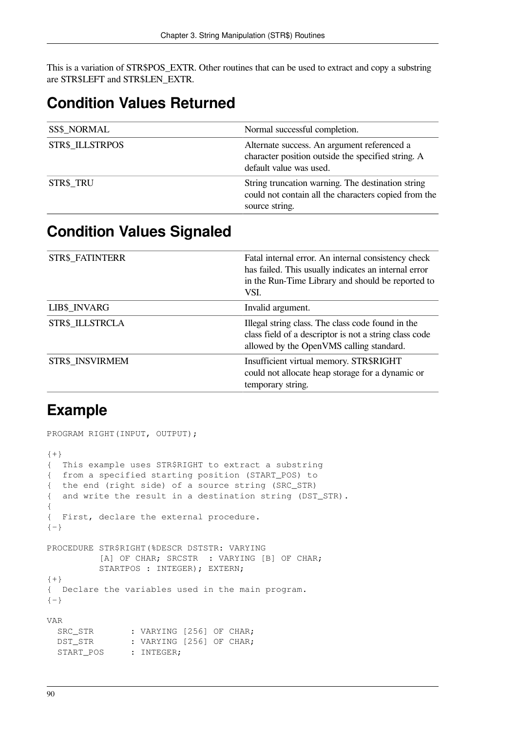This is a variation of STR\$POS\_EXTR. Other routines that can be used to extract and copy a substring are STR\$LEFT and STR\$LEN\_EXTR.

## **Condition Values Returned**

| <b>SS\$_NORMAL</b>     | Normal successful completion.                                                                                                |
|------------------------|------------------------------------------------------------------------------------------------------------------------------|
| <b>STR\$_ILLSTRPOS</b> | Alternate success. An argument referenced a<br>character position outside the specified string. A<br>default value was used. |
| <b>STR\$ TRU</b>       | String truncation warning. The destination string<br>could not contain all the characters copied from the<br>source string.  |

### **Condition Values Signaled**

| STR\$_FATINTERR | Fatal internal error. An internal consistency check<br>has failed. This usually indicates an internal error<br>in the Run-Time Library and should be reported to<br>VSI. |
|-----------------|--------------------------------------------------------------------------------------------------------------------------------------------------------------------------|
| LIB\$_INVARG    | Invalid argument.                                                                                                                                                        |
| STR\$ ILLSTRCLA | Illegal string class. The class code found in the<br>class field of a descriptor is not a string class code<br>allowed by the OpenVMS calling standard.                  |
| STR\$ INSVIRMEM | Insufficient virtual memory. STR\$RIGHT<br>could not allocate heap storage for a dynamic or<br>temporary string.                                                         |

### **Example**

```
PROGRAM RIGHT(INPUT, OUTPUT);
{+}{ This example uses STR$RIGHT to extract a substring
{ from a specified starting position (START_POS) to
{ the end (right side) of a source string (SRC_STR)
{ and write the result in a destination string (DST_STR).
{
{ First, declare the external procedure.
{-}PROCEDURE STR$RIGHT(%DESCR DSTSTR: VARYING
         [A] OF CHAR; SRCSTR : VARYING [B] OF CHAR;
         STARTPOS : INTEGER); EXTERN;
{+}{ Declare the variables used in the main program.
\{-\}VAR
  SRC_STR : VARYING [256] OF CHAR;
  DST_STR : VARYING [256] OF CHAR;
 START_POS : INTEGER;
```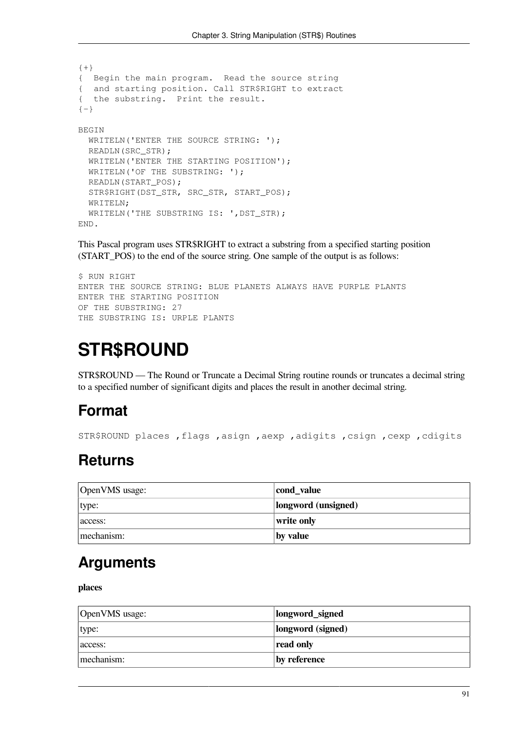```
{+}
{ Begin the main program. Read the source string
{ and starting position. Call STR$RIGHT to extract
{ the substring. Print the result.
{-}BEGIN
 WRITELN('ENTER THE SOURCE STRING: ');
  READLN(SRC_STR);
  WRITELN('ENTER THE STARTING POSITION');
 WRITELN('OF THE SUBSTRING: ');
  READLN(START_POS);
   STR$RIGHT(DST_STR, SRC_STR, START_POS);
  WRITELN;
  WRITELN('THE SUBSTRING IS: ',DST_STR);
END.
```
This Pascal program uses STR\$RIGHT to extract a substring from a specified starting position (START\_POS) to the end of the source string. One sample of the output is as follows:

```
$ RUN RIGHT
ENTER THE SOURCE STRING: BLUE PLANETS ALWAYS HAVE PURPLE PLANTS
ENTER THE STARTING POSITION
OF THE SUBSTRING: 27
THE SUBSTRING IS: URPLE PLANTS
```
# **STR\$ROUND**

STR\$ROUND — The Round or Truncate a Decimal String routine rounds or truncates a decimal string to a specified number of significant digits and places the result in another decimal string.

## **Format**

STR\$ROUND places ,flags ,asign ,aexp ,adigits ,csign ,cexp ,cdigits

### **Returns**

| OpenVMS usage: | cond_value          |
|----------------|---------------------|
| type:          | longword (unsigned) |
| access:        | write only          |
| mechanism:     | by value            |

### **Arguments**

**places**

| OpenVMS usage: | longword_signed   |
|----------------|-------------------|
| type:          | longword (signed) |
| access:        | read only         |
| mechanism:     | by reference      |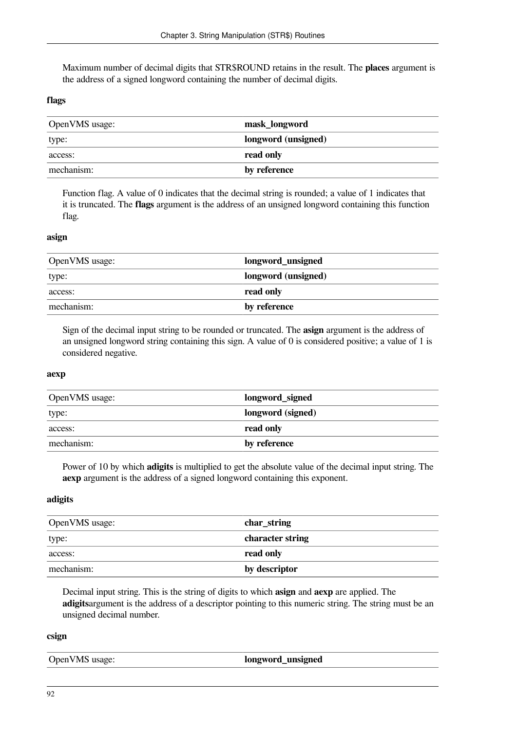Maximum number of decimal digits that STR\$ROUND retains in the result. The **places** argument is the address of a signed longword containing the number of decimal digits.

#### **flags**

| OpenVMS usage: | mask_longword       |
|----------------|---------------------|
| type:          | longword (unsigned) |
| access:        | read only           |
| mechanism:     | by reference        |

Function flag. A value of 0 indicates that the decimal string is rounded; a value of 1 indicates that it is truncated. The **flags** argument is the address of an unsigned longword containing this function flag.

#### **asign**

| OpenVMS usage: | longword_unsigned   |
|----------------|---------------------|
| type:          | longword (unsigned) |
| access:        | read only           |
| mechanism:     | by reference        |

Sign of the decimal input string to be rounded or truncated. The **asign** argument is the address of an unsigned longword string containing this sign. A value of 0 is considered positive; a value of 1 is considered negative.

#### **aexp**

| OpenVMS usage: | longword_signed   |
|----------------|-------------------|
| type:          | longword (signed) |
| access:        | read only         |
| mechanism:     | by reference      |

Power of 10 by which **adigits** is multiplied to get the absolute value of the decimal input string. The **aexp** argument is the address of a signed longword containing this exponent.

#### **adigits**

| OpenVMS usage: | $ char_{str}$    |
|----------------|------------------|
| type:          | character string |
| access:        | read only        |
| mechanism:     | by descriptor    |

Decimal input string. This is the string of digits to which **asign** and **aexp** are applied. The **adigits**argument is the address of a descriptor pointing to this numeric string. The string must be an unsigned decimal number.

#### **csign**

| OpenVMS usage: | longword_unsigned |
|----------------|-------------------|
|                |                   |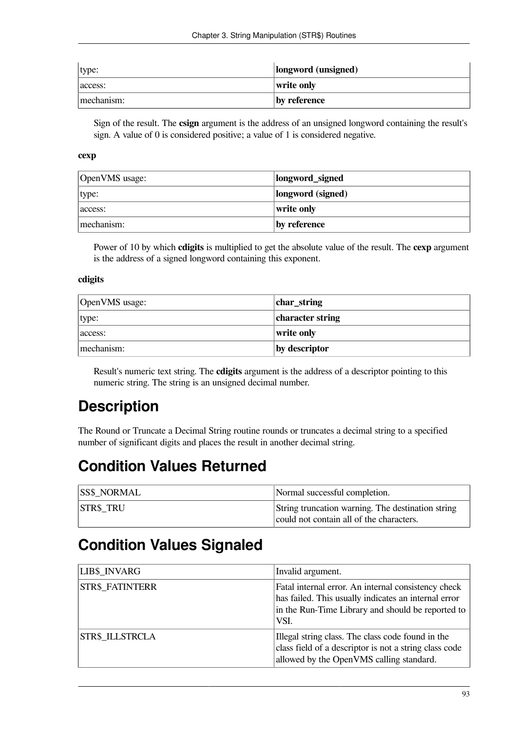| type:      | longword (unsigned) |
|------------|---------------------|
| access:    | write only          |
| mechanism: | by reference        |

Sign of the result. The **csign** argument is the address of an unsigned longword containing the result's sign. A value of 0 is considered positive; a value of 1 is considered negative.

#### **cexp**

| OpenVMS usage: | longword_signed   |
|----------------|-------------------|
| type:          | longword (signed) |
| access:        | write only        |
| mechanism:     | by reference      |

Power of 10 by which **cdigits** is multiplied to get the absolute value of the result. The **cexp** argument is the address of a signed longword containing this exponent.

#### **cdigits**

| OpenVMS usage: | char_string      |
|----------------|------------------|
| type:          | character string |
| access:        | write only       |
| mechanism:     | by descriptor    |

Result's numeric text string. The **cdigits** argument is the address of a descriptor pointing to this numeric string. The string is an unsigned decimal number.

# **Description**

The Round or Truncate a Decimal String routine rounds or truncates a decimal string to a specified number of significant digits and places the result in another decimal string.

## **Condition Values Returned**

| <b>SS\$ NORMAL</b> | Normal successful completion.                     |
|--------------------|---------------------------------------------------|
| <b>STR\$ TRU</b>   | String truncation warning. The destination string |
|                    | could not contain all of the characters.          |

### **Condition Values Signaled**

| <b>LIB\$ INVARG</b>    | Invalid argument.                                                                                                                                                        |
|------------------------|--------------------------------------------------------------------------------------------------------------------------------------------------------------------------|
| <b>STR\$ FATINTERR</b> | Fatal internal error. An internal consistency check<br>has failed. This usually indicates an internal error<br>in the Run-Time Library and should be reported to<br>VSI. |
| <b>STR\$ ILLSTRCLA</b> | Illegal string class. The class code found in the<br>class field of a descriptor is not a string class code<br>allowed by the OpenVMS calling standard.                  |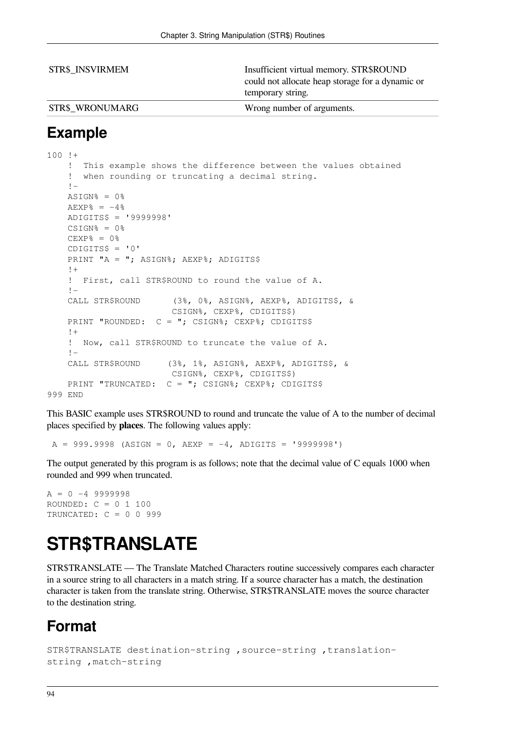| <b>STR\$ INSVIRMEM</b> | Insufficient virtual memory. STR\$ROUND<br>could not allocate heap storage for a dynamic or<br>temporary string. |
|------------------------|------------------------------------------------------------------------------------------------------------------|
| <b>STR\$ WRONUMARG</b> | Wrong number of arguments.                                                                                       |

### **Example**

```
100 !+
     ! This example shows the difference between the values obtained
     ! when rounding or truncating a decimal string.
    ! -ASTGN% = 0%
    AEXP% = -4%
     ADIGITS$ = '9999998'
    CSIGN<sup>8</sup> = 0<sup>8</sup>CEXP_{8} = 0%
    CDIGITS$ = '0'PRINT "A = "; ASIGN%; AEXP%; ADIGITS$
     !+
     ! First, call STR$ROUND to round the value of A.
    \perp CALL STR$ROUND (3%, 0%, ASIGN%, AEXP%, ADIGITS$, &
                          CSIGN%, CEXP%, CDIGITS$)
    PRINT "ROUNDED: C = "; CSIGN%; CEXP%; CDIGITS$
    + ! Now, call STR$ROUND to truncate the value of A.
    \pm CALL STR$ROUND (3%, 1%, ASIGN%, AEXP%, ADIGITS$, &
                         CSIGN%, CEXP%, CDIGITS$)
    PRINT "TRUNCATED: C = "; CSIGN%; CEXP%; CDIGITS$
999 END
```
This BASIC example uses STR\$ROUND to round and truncate the value of A to the number of decimal places specified by **places**. The following values apply:

 $A = 999.9998$  (ASIGN = 0, AEXP = -4, ADIGITS = '9999998')

The output generated by this program is as follows; note that the decimal value of C equals 1000 when rounded and 999 when truncated.

 $A = 0 -4 9999998$ ROUNDED: C = 0 1 100 TRUNCATED: C = 0 0 999

# **STR\$TRANSLATE**

STR\$TRANSLATE — The Translate Matched Characters routine successively compares each character in a source string to all characters in a match string. If a source character has a match, the destination character is taken from the translate string. Otherwise, STR\$TRANSLATE moves the source character to the destination string.

# **Format**

```
STR$TRANSLATE destination-string ,source-string ,translation-
string ,match-string
```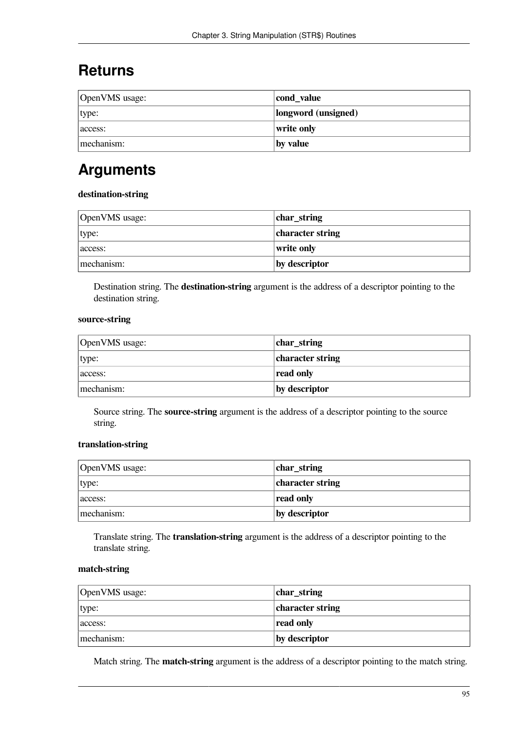## **Returns**

| OpenVMS usage: | cond_value          |
|----------------|---------------------|
| type:          | longword (unsigned) |
| access:        | write only          |
| mechanism:     | by value            |

# **Arguments**

#### **destination-string**

| OpenVMS usage: | char_string      |
|----------------|------------------|
| type:          | character string |
| access:        | write only       |
| mechanism:     | by descriptor    |

Destination string. The **destination-string** argument is the address of a descriptor pointing to the destination string.

#### **source-string**

| OpenVMS usage: | char_string      |
|----------------|------------------|
| type:          | character string |
| access:        | read only        |
| mechanism:     | by descriptor    |

Source string. The **source-string** argument is the address of a descriptor pointing to the source string.

### **translation-string**

| OpenVMS usage: | char_string      |
|----------------|------------------|
| type:          | character string |
| access:        | read only        |
| mechanism:     | by descriptor    |

Translate string. The **translation-string** argument is the address of a descriptor pointing to the translate string.

### **match-string**

| OpenVMS usage: | char_string      |
|----------------|------------------|
| type:          | character string |
| access:        | read only        |
| mechanism:     | by descriptor    |

Match string. The **match-string** argument is the address of a descriptor pointing to the match string.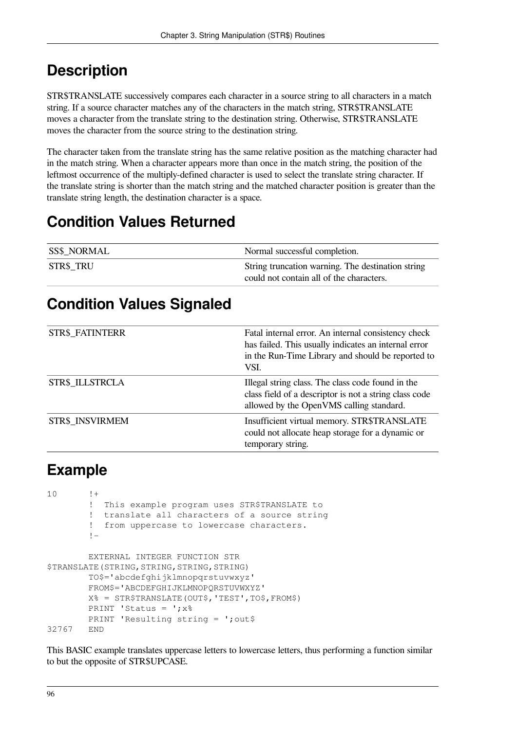# **Description**

STR\$TRANSLATE successively compares each character in a source string to all characters in a match string. If a source character matches any of the characters in the match string, STR\$TRANSLATE moves a character from the translate string to the destination string. Otherwise, STR\$TRANSLATE moves the character from the source string to the destination string.

The character taken from the translate string has the same relative position as the matching character had in the match string. When a character appears more than once in the match string, the position of the leftmost occurrence of the multiply-defined character is used to select the translate string character. If the translate string is shorter than the match string and the matched character position is greater than the translate string length, the destination character is a space.

# **Condition Values Returned**

| <b>SS\$ NORMAL</b> | Normal successful completion.                                                                 |
|--------------------|-----------------------------------------------------------------------------------------------|
| <b>STR\$ TRU</b>   | String truncation warning. The destination string<br>could not contain all of the characters. |

## **Condition Values Signaled**

| <b>STR\$_FATINTERR</b> | Fatal internal error. An internal consistency check<br>has failed. This usually indicates an internal error<br>in the Run-Time Library and should be reported to<br>VSI. |
|------------------------|--------------------------------------------------------------------------------------------------------------------------------------------------------------------------|
| STR\$ ILLSTRCLA        | Illegal string class. The class code found in the<br>class field of a descriptor is not a string class code<br>allowed by the OpenVMS calling standard.                  |
| STR\$ INSVIRMEM        | Insufficient virtual memory. STR\$TRANSLATE<br>could not allocate heap storage for a dynamic or<br>temporary string.                                                     |

# **Example**

```
10 \t! + ! This example program uses STR$TRANSLATE to
         ! translate all characters of a source string
         ! from uppercase to lowercase characters.
        \mathbf{I} EXTERNAL INTEGER FUNCTION STR
$TRANSLATE(STRING, STRING, STRING, STRING)
         TO$='abcdefghijklmnopqrstuvwxyz'
         FROM$='ABCDEFGHIJKLMNOPQRSTUVWXYZ'
         X% = STR$TRANSLATE(OUT$,'TEST',TO$,FROM$)
        PRINT 'Status = ':x%
        PRINT 'Resulting string = '; out$
32767 END
```
This BASIC example translates uppercase letters to lowercase letters, thus performing a function similar to but the opposite of STR\$UPCASE.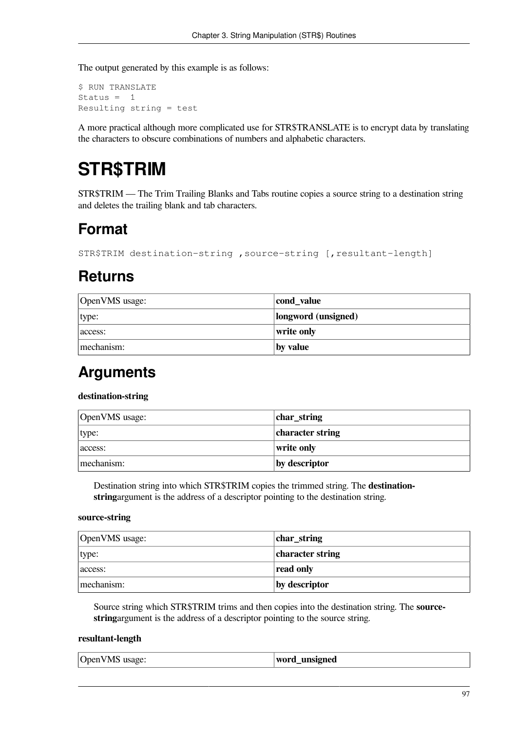The output generated by this example is as follows:

\$ RUN TRANSLATE Status  $= 1$ Resulting string = test

A more practical although more complicated use for STR\$TRANSLATE is to encrypt data by translating the characters to obscure combinations of numbers and alphabetic characters.

# **STR\$TRIM**

STR\$TRIM — The Trim Trailing Blanks and Tabs routine copies a source string to a destination string and deletes the trailing blank and tab characters.

## **Format**

STR\$TRIM destination-string , source-string [, resultant-length]

### **Returns**

| OpenVMS usage: | cond_value          |
|----------------|---------------------|
| type:          | longword (unsigned) |
| access:        | write only          |
| mechanism:     | by value            |

### **Arguments**

#### **destination-string**

| OpenVMS usage: | char_string      |
|----------------|------------------|
| type:          | character string |
| access:        | write only       |
| mechanism:     | by descriptor    |

Destination string into which STR\$TRIM copies the trimmed string. The **destinationstring**argument is the address of a descriptor pointing to the destination string.

#### **source-string**

| OpenVMS usage: | char_string      |
|----------------|------------------|
| type:          | character string |
| access:        | read only        |
| mechanism:     | by descriptor    |

Source string which STR\$TRIM trims and then copies into the destination string. The **sourcestring**argument is the address of a descriptor pointing to the source string.

#### **resultant-length**

| OpenVMS usage: | word_unsigned |
|----------------|---------------|
|----------------|---------------|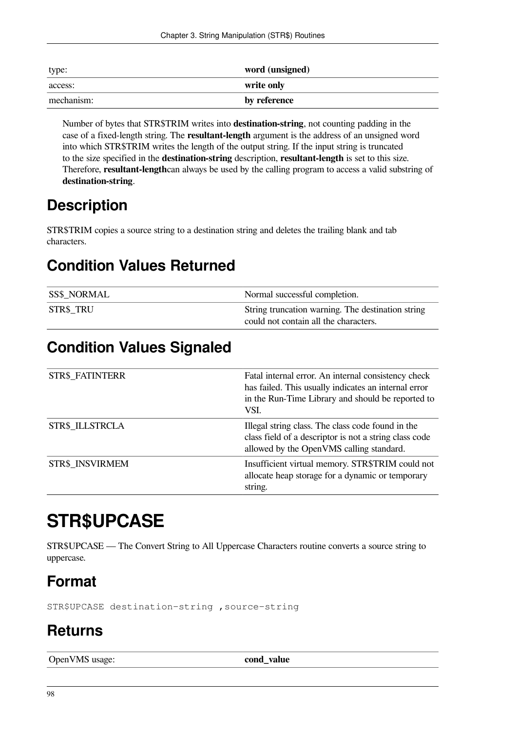| type:      | word (unsigned) |
|------------|-----------------|
| access:    | write only      |
| mechanism: | by reference    |

Number of bytes that STR\$TRIM writes into **destination-string**, not counting padding in the case of a fixed-length string. The **resultant-length** argument is the address of an unsigned word into which STR\$TRIM writes the length of the output string. If the input string is truncated to the size specified in the **destination-string** description, **resultant-length** is set to this size. Therefore, **resultant-length**can always be used by the calling program to access a valid substring of **destination-string**.

## **Description**

STR\$TRIM copies a source string to a destination string and deletes the trailing blank and tab characters.

# **Condition Values Returned**

| <b>SS\$ NORMAL</b> | Normal successful completion.                                                              |
|--------------------|--------------------------------------------------------------------------------------------|
| <b>STR\$ TRU</b>   | String truncation warning. The destination string<br>could not contain all the characters. |

# **Condition Values Signaled**

| STR\$_FATINTERR | Fatal internal error. An internal consistency check<br>has failed. This usually indicates an internal error<br>in the Run-Time Library and should be reported to<br>VSI. |
|-----------------|--------------------------------------------------------------------------------------------------------------------------------------------------------------------------|
| STR\$ ILLSTRCLA | Illegal string class. The class code found in the<br>class field of a descriptor is not a string class code<br>allowed by the OpenVMS calling standard.                  |
| STR\$ INSVIRMEM | Insufficient virtual memory. STR\$TRIM could not<br>allocate heap storage for a dynamic or temporary<br>string.                                                          |

# **STR\$UPCASE**

STR\$UPCASE — The Convert String to All Uppercase Characters routine converts a source string to uppercase.

# **Format**

STR\$UPCASE destination-string ,source-string

# **Returns**

OpenVMS usage: **cond\_value**  $\vert$  **cond\_value**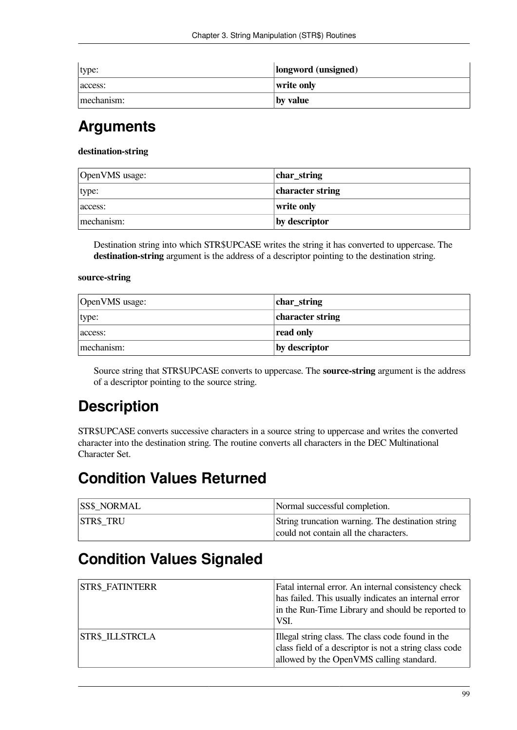| type:      | longword (unsigned) |
|------------|---------------------|
| access:    | write only          |
| mechanism: | by value            |

## **Arguments**

#### **destination-string**

| OpenVMS usage: | char_string      |
|----------------|------------------|
| type:          | character string |
| access:        | write only       |
| mechanism:     | by descriptor    |

Destination string into which STR\$UPCASE writes the string it has converted to uppercase. The **destination-string** argument is the address of a descriptor pointing to the destination string.

#### **source-string**

| OpenVMS usage: | char_string      |
|----------------|------------------|
| type:          | character string |
| access:        | read only        |
| mechanism:     | by descriptor    |

Source string that STR\$UPCASE converts to uppercase. The **source-string** argument is the address of a descriptor pointing to the source string.

# **Description**

STR\$UPCASE converts successive characters in a source string to uppercase and writes the converted character into the destination string. The routine converts all characters in the DEC Multinational Character Set.

### **Condition Values Returned**

| <b>SS\$ NORMAL</b> | Normal successful completion.                                                              |
|--------------------|--------------------------------------------------------------------------------------------|
| <b>STR\$ TRU</b>   | String truncation warning. The destination string<br>could not contain all the characters. |

# **Condition Values Signaled**

| <b>STR\$ FATINTERR</b> | Fatal internal error. An internal consistency check<br>has failed. This usually indicates an internal error<br>in the Run-Time Library and should be reported to<br>VSI. |
|------------------------|--------------------------------------------------------------------------------------------------------------------------------------------------------------------------|
| <b>STR\$ ILLSTRCLA</b> | Illegal string class. The class code found in the<br>class field of a descriptor is not a string class code<br>allowed by the OpenVMS calling standard.                  |